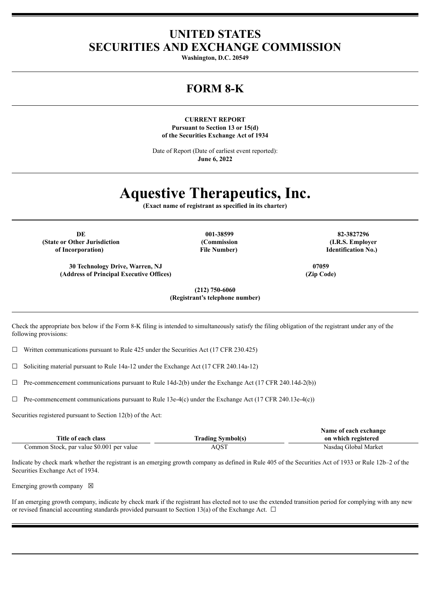# **UNITED STATES SECURITIES AND EXCHANGE COMMISSION**

**Washington, D.C. 20549**

# **FORM 8-K**

**CURRENT REPORT Pursuant to Section 13 or 15(d) of the Securities Exchange Act of 1934**

Date of Report (Date of earliest event reported): **June 6, 2022**

# **Aquestive Therapeutics, Inc.**

**(Exact name of registrant as specified in its charter)**

**(State or Other Jurisdiction of Incorporation)**

> **30 Technology Drive, Warren, NJ 07059 (Address of Principal Executive Offices) (Zip Code)**

**(Commission File Number)**

**DE 001-38599 82-3827296 (I.R.S. Employer Identification No.)**

**(212) 750-6060 (Registrant's telephone number)**

Check the appropriate box below if the Form 8-K filing is intended to simultaneously satisfy the filing obligation of the registrant under any of the following provisions:

 $\Box$  Written communications pursuant to Rule 425 under the Securities Act (17 CFR 230.425)

 $\Box$  Soliciting material pursuant to Rule 14a-12 under the Exchange Act (17 CFR 240.14a-12)

 $\Box$  Pre-commencement communications pursuant to Rule 14d-2(b) under the Exchange Act (17 CFR 240.14d-2(b))

☐ Pre-commencement communications pursuant to Rule 13e-4(c) under the Exchange Act (17 CFR 240.13e-4(c))

Securities registered pursuant to Section 12(b) of the Act:

|                                           |                          | Name of each exchange |
|-------------------------------------------|--------------------------|-----------------------|
| Title of each class                       | <b>Trading Symbol(s)</b> | on which registered   |
| Common Stock, par value \$0.001 per value | AOST                     | Nasdaq Global Market  |

Indicate by check mark whether the registrant is an emerging growth company as defined in Rule 405 of the Securities Act of 1933 or Rule 12b–2 of the Securities Exchange Act of 1934.

Emerging growth company  $\boxtimes$ 

If an emerging growth company, indicate by check mark if the registrant has elected not to use the extended transition period for complying with any new or revised financial accounting standards provided pursuant to Section 13(a) of the Exchange Act.  $\Box$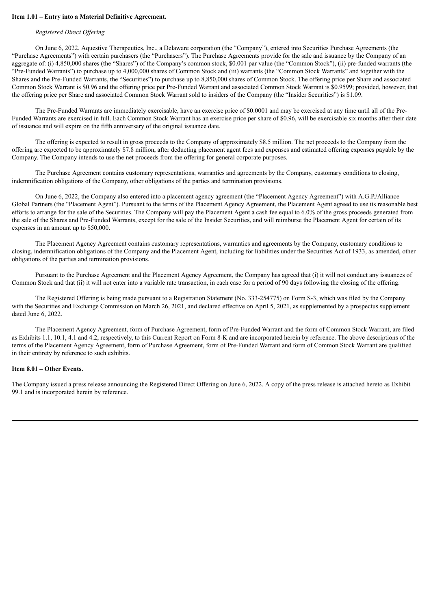#### **Item 1.01 – Entry into a Material Definitive Agreement.**

#### *Registered Direct Of ering*

On June 6, 2022, Aquestive Therapeutics, Inc., a Delaware corporation (the "Company"), entered into Securities Purchase Agreements (the "Purchase Agreements") with certain purchasers (the "Purchasers"). The Purchase Agreements provide for the sale and issuance by the Company of an aggregate of: (i) 4,850,000 shares (the "Shares") of the Company's common stock, \$0.001 par value (the "Common Stock"), (ii) pre-funded warrants (the "Pre-Funded Warrants") to purchase up to 4,000,000 shares of Common Stock and (iii) warrants (the "Common Stock Warrants" and together with the Shares and the Pre-Funded Warrants, the "Securities") to purchase up to 8,850,000 shares of Common Stock. The offering price per Share and associated Common Stock Warrant is \$0.96 and the offering price per Pre-Funded Warrant and associated Common Stock Warrant is \$0.9599; provided, however, that the offering price per Share and associated Common Stock Warrant sold to insiders of the Company (the "Insider Securities") is \$1.09.

The Pre-Funded Warrants are immediately exercisable, have an exercise price of \$0.0001 and may be exercised at any time until all of the Pre-Funded Warrants are exercised in full. Each Common Stock Warrant has an exercise price per share of \$0.96, will be exercisable six months after their date of issuance and will expire on the fifth anniversary of the original issuance date.

The offering is expected to result in gross proceeds to the Company of approximately \$8.5 million. The net proceeds to the Company from the offering are expected to be approximately \$7.8 million, after deducting placement agent fees and expenses and estimated offering expenses payable by the Company. The Company intends to use the net proceeds from the offering for general corporate purposes.

The Purchase Agreement contains customary representations, warranties and agreements by the Company, customary conditions to closing, indemnification obligations of the Company, other obligations of the parties and termination provisions.

On June 6, 2022, the Company also entered into a placement agency agreement (the "Placement Agency Agreement") with A.G.P./Alliance Global Partners (the "Placement Agent"). Pursuant to the terms of the Placement Agency Agreement, the Placement Agent agreed to use its reasonable best efforts to arrange for the sale of the Securities. The Company will pay the Placement Agent a cash fee equal to 6.0% of the gross proceeds generated from the sale of the Shares and Pre-Funded Warrants, except for the sale of the Insider Securities, and will reimburse the Placement Agent for certain of its expenses in an amount up to \$50,000.

The Placement Agency Agreement contains customary representations, warranties and agreements by the Company, customary conditions to closing, indemnification obligations of the Company and the Placement Agent, including for liabilities under the Securities Act of 1933, as amended, other obligations of the parties and termination provisions.

Pursuant to the Purchase Agreement and the Placement Agency Agreement, the Company has agreed that (i) it will not conduct any issuances of Common Stock and that (ii) it will not enter into a variable rate transaction, in each case for a period of 90 days following the closing of the offering.

The Registered Offering is being made pursuant to a Registration Statement (No. 333-254775) on Form S-3, which was filed by the Company with the Securities and Exchange Commission on March 26, 2021, and declared effective on April 5, 2021, as supplemented by a prospectus supplement dated June 6, 2022.

The Placement Agency Agreement, form of Purchase Agreement, form of Pre-Funded Warrant and the form of Common Stock Warrant, are filed as Exhibits 1.1, 10.1, 4.1 and 4.2, respectively, to this Current Report on Form 8-K and are incorporated herein by reference. The above descriptions of the terms of the Placement Agency Agreement, form of Purchase Agreement, form of Pre-Funded Warrant and form of Common Stock Warrant are qualified in their entirety by reference to such exhibits.

## **Item 8.01 – Other Events.**

The Company issued a press release announcing the Registered Direct Offering on June 6, 2022. A copy of the press release is attached hereto as Exhibit 99.1 and is incorporated herein by reference.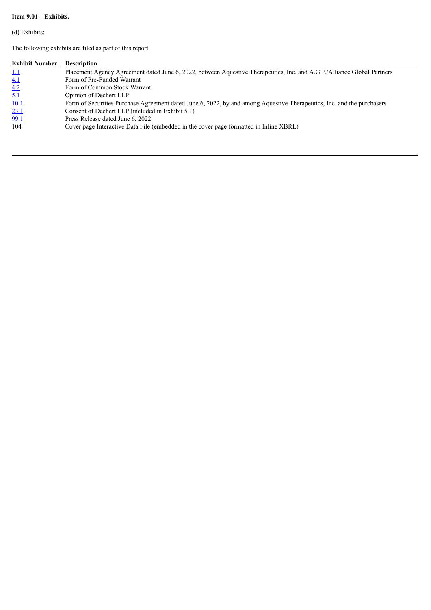# **Item 9.01 – Exhibits.**

(d) Exhibits:

The following exhibits are filed as part of this report

| <b>Exhibit Number</b> | <b>Description</b>                                                                                                      |
|-----------------------|-------------------------------------------------------------------------------------------------------------------------|
| <u>1.1</u>            | Placement Agency Agreement dated June 6, 2022, between Aquestive Therapeutics, Inc. and A.G.P./Alliance Global Partners |
| 4.1                   | Form of Pre-Funded Warrant                                                                                              |
| 4.2                   | Form of Common Stock Warrant                                                                                            |
| 5.1                   | Opinion of Dechert LLP                                                                                                  |
| <u>10.1</u>           | Form of Securities Purchase Agreement dated June 6, 2022, by and among Aquestive Therapeutics, Inc. and the purchasers  |
| 23.1                  | Consent of Dechert LLP (included in Exhibit 5.1)                                                                        |
| 99.1                  | Press Release dated June 6, 2022                                                                                        |
| 104                   | Cover page Interactive Data File (embedded in the cover page formatted in Inline XBRL)                                  |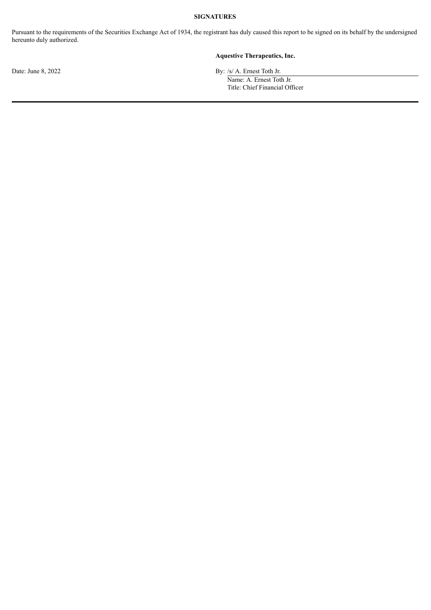## **SIGNATURES**

Pursuant to the requirements of the Securities Exchange Act of 1934, the registrant has duly caused this report to be signed on its behalf by the undersigned hereunto duly authorized.

# **Aquestive Therapeutics, Inc.**

Date: June 8, 2022 By: /s/ A. Ernest Toth Jr.

Name: A. Ernest Toth Jr. Title: Chief Financial Officer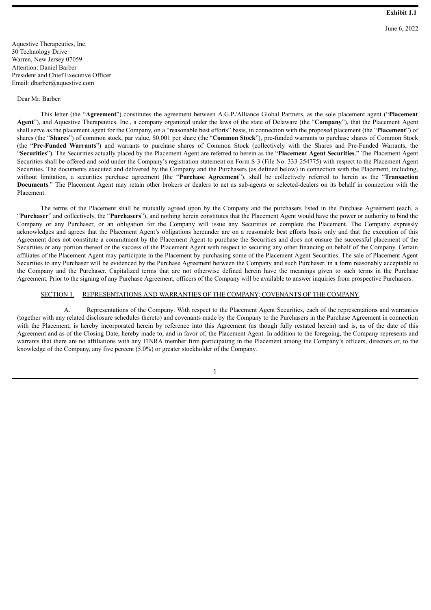June 6, 2022

<span id="page-4-0"></span>Aquestive Therapeutics, Inc. 30 Technology Drive Warren, New Jersey 07059 Attention: Daniel Barber President and Chief Executive Officer Email: dbarber@aquestive.com

### Dear Mr. Barber:

This letter (the "**Agreement**") constitutes the agreement between A.G.P./Alliance Global Partners, as the sole placement agent ("**Placement Agent**"), and Aquestive Therapeutics, Inc., a company organized under the laws of the state of Delaware (the "**Company**"), that the Placement Agent shall serve as the placement agent for the Company, on a "reasonable best efforts" basis, in connection with the proposed placement (the "**Placement**") of shares (the "**Shares**") of common stock, par value, \$0.001 per share (the "**Common Stock**"), pre-funded warrants to purchase shares of Common Stock (the "**Pre-Funded Warrants**") and warrants to purchase shares of Common Stock (collectively with the Shares and Pre-Funded Warrants, the "**Securities**"). The Securities actually placed by the Placement Agent are referred to herein as the "**Placement Agent Securities**." The Placement Agent Securities shall be offered and sold under the Company's registration statement on Form S-3 (File No. 333-254775) with respect to the Placement Agent Securities. The documents executed and delivered by the Company and the Purchasers (as defined below) in connection with the Placement, including, without limitation, a securities purchase agreement (the "**Purchase Agreement**"), shall be collectively referred to herein as the "**Transaction Documents**." The Placement Agent may retain other brokers or dealers to act as sub-agents or selected-dealers on its behalf in connection with the Placement.

The terms of the Placement shall be mutually agreed upon by the Company and the purchasers listed in the Purchase Agreement (each, a "**Purchaser**" and collectively, the "**Purchasers**"), and nothing herein constitutes that the Placement Agent would have the power or authority to bind the Company or any Purchaser, or an obligation for the Company will issue any Securities or complete the Placement. The Company expressly acknowledges and agrees that the Placement Agent's obligations hereunder are on a reasonable best efforts basis only and that the execution of this Agreement does not constitute a commitment by the Placement Agent to purchase the Securities and does not ensure the successful placement of the Securities or any portion thereof or the success of the Placement Agent with respect to securing any other financing on behalf of the Company. Certain affiliates of the Placement Agent may participate in the Placement by purchasing some of the Placement Agent Securities. The sale of Placement Agent Securities to any Purchaser will be evidenced by the Purchase Agreement between the Company and such Purchaser, in a form reasonably acceptable to the Company and the Purchaser. Capitalized terms that are not otherwise defined herein have the meanings given to such terms in the Purchase Agreement. Prior to the signing of any Purchase Agreement, officers of the Company will be available to answer inquiries from prospective Purchasers.

# SECTION 1. REPRESENTATIONS AND WARRANTIES OF THE COMPANY; COVENANTS OF THE COMPANY.

A. Representations of the Company. With respect to the Placement Agent Securities, each of the representations and warranties (together with any related disclosure schedules thereto) and covenants made by the Company to the Purchasers in the Purchase Agreement in connection with the Placement, is hereby incorporated herein by reference into this Agreement (as though fully restated herein) and is, as of the date of this Agreement and as of the Closing Date, hereby made to, and in favor of, the Placement Agent. In addition to the foregoing, the Company represents and warrants that there are no affiliations with any FINRA member firm participating in the Placement among the Company's officers, directors or, to the knowledge of the Company, any five percent (5.0%) or greater stockholder of the Company.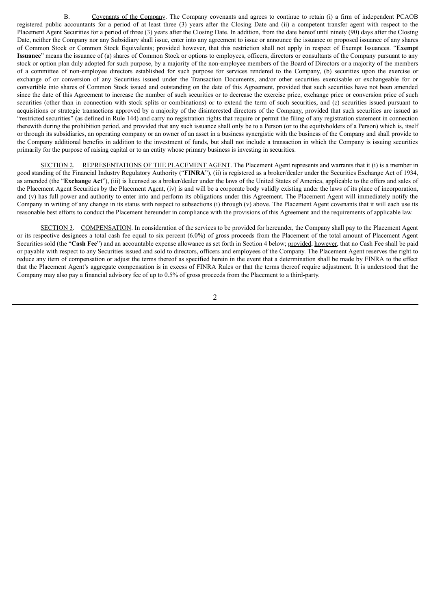B. Covenants of the Company. The Company covenants and agrees to continue to retain (i) a firm of independent PCAOB registered public accountants for a period of at least three (3) years after the Closing Date and (ii) a competent transfer agent with respect to the Placement Agent Securities for a period of three (3) years after the Closing Date. In addition, from the date hereof until ninety (90) days after the Closing Date, neither the Company nor any Subsidiary shall issue, enter into any agreement to issue or announce the issuance or proposed issuance of any shares of Common Stock or Common Stock Equivalents; provided however, that this restriction shall not apply in respect of Exempt Issuances. "**Exempt Issuance**" means the issuance of (a) shares of Common Stock or options to employees, officers, directors or consultants of the Company pursuant to any stock or option plan duly adopted for such purpose, by a majority of the non-employee members of the Board of Directors or a majority of the members of a committee of non-employee directors established for such purpose for services rendered to the Company, (b) securities upon the exercise or exchange of or conversion of any Securities issued under the Transaction Documents, and/or other securities exercisable or exchangeable for or convertible into shares of Common Stock issued and outstanding on the date of this Agreement, provided that such securities have not been amended since the date of this Agreement to increase the number of such securities or to decrease the exercise price, exchange price or conversion price of such securities (other than in connection with stock splits or combinations) or to extend the term of such securities, and (c) securities issued pursuant to acquisitions or strategic transactions approved by a majority of the disinterested directors of the Company, provided that such securities are issued as "restricted securities" (as defined in Rule 144) and carry no registration rights that require or permit the filing of any registration statement in connection therewith during the prohibition period, and provided that any such issuance shall only be to a Person (or to the equityholders of a Person) which is, itself or through its subsidiaries, an operating company or an owner of an asset in a business synergistic with the business of the Company and shall provide to the Company additional benefits in addition to the investment of funds, but shall not include a transaction in which the Company is issuing securities primarily for the purpose of raising capital or to an entity whose primary business is investing in securities.

SECTION 2. REPRESENTATIONS OF THE PLACEMENT AGENT. The Placement Agent represents and warrants that it (i) is a member in good standing of the Financial Industry Regulatory Authority ("**FINRA**"), (ii) is registered as a broker/dealer under the Securities Exchange Act of 1934, as amended (the "**Exchange Act**"), (iii) is licensed as a broker/dealer under the laws of the United States of America, applicable to the offers and sales of the Placement Agent Securities by the Placement Agent, (iv) is and will be a corporate body validly existing under the laws of its place of incorporation, and (v) has full power and authority to enter into and perform its obligations under this Agreement. The Placement Agent will immediately notify the Company in writing of any change in its status with respect to subsections (i) through (v) above. The Placement Agent covenants that it will each use its reasonable best efforts to conduct the Placement hereunder in compliance with the provisions of this Agreement and the requirements of applicable law.

SECTION 3. COMPENSATION. In consideration of the services to be provided for hereunder, the Company shall pay to the Placement Agent or its respective designees a total cash fee equal to six percent (6.0%) of gross proceeds from the Placement of the total amount of Placement Agent Securities sold (the "**Cash Fee**") and an accountable expense allowance as set forth in Section 4 below; provided, however, that no Cash Fee shall be paid or payable with respect to any Securities issued and sold to directors, officers and employees of the Company. The Placement Agent reserves the right to reduce any item of compensation or adjust the terms thereof as specified herein in the event that a determination shall be made by FINRA to the effect that the Placement Agent's aggregate compensation is in excess of FINRA Rules or that the terms thereof require adjustment. It is understood that the Company may also pay a financial advisory fee of up to 0.5% of gross proceeds from the Placement to a third-party.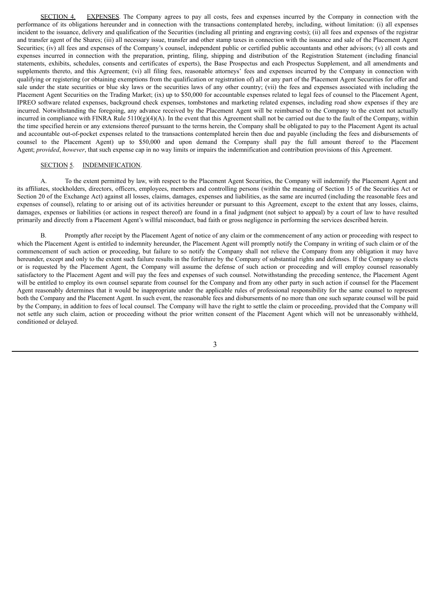SECTION 4. EXPENSES. The Company agrees to pay all costs, fees and expenses incurred by the Company in connection with the performance of its obligations hereunder and in connection with the transactions contemplated hereby, including, without limitation: (i) all expenses incident to the issuance, delivery and qualification of the Securities (including all printing and engraving costs); (ii) all fees and expenses of the registrar and transfer agent of the Shares; (iii) all necessary issue, transfer and other stamp taxes in connection with the issuance and sale of the Placement Agent Securities; (iv) all fees and expenses of the Company's counsel, independent public or certified public accountants and other advisors; (v) all costs and expenses incurred in connection with the preparation, printing, filing, shipping and distribution of the Registration Statement (including financial statements, exhibits, schedules, consents and certificates of experts), the Base Prospectus and each Prospectus Supplement, and all amendments and supplements thereto, and this Agreement; (vi) all filing fees, reasonable attorneys' fees and expenses incurred by the Company in connection with qualifying or registering (or obtaining exemptions from the qualification or registration of) all or any part of the Placement Agent Securities for offer and sale under the state securities or blue sky laws or the securities laws of any other country; (vii) the fees and expenses associated with including the Placement Agent Securities on the Trading Market; (ix) up to \$50,000 for accountable expenses related to legal fees of counsel to the Placement Agent, IPREO software related expenses, background check expenses, tombstones and marketing related expenses, including road show expenses if they are incurred. Notwithstanding the foregoing, any advance received by the Placement Agent will be reimbursed to the Company to the extent not actually incurred in compliance with FINRA Rule 5110(g)(4)(A). In the event that this Agreement shall not be carried out due to the fault of the Company, within the time specified herein or any extensions thereof pursuant to the terms herein, the Company shall be obligated to pay to the Placement Agent its actual and accountable out-of-pocket expenses related to the transactions contemplated herein then due and payable (including the fees and disbursements of counsel to the Placement Agent) up to \$50,000 and upon demand the Company shall pay the full amount thereof to the Placement Agent; *provided*, *however*, that such expense cap in no way limits or impairs the indemnification and contribution provisions of this Agreement.

# SECTION 5. INDEMNIFICATION.

A. To the extent permitted by law, with respect to the Placement Agent Securities, the Company will indemnify the Placement Agent and its affiliates, stockholders, directors, officers, employees, members and controlling persons (within the meaning of Section 15 of the Securities Act or Section 20 of the Exchange Act) against all losses, claims, damages, expenses and liabilities, as the same are incurred (including the reasonable fees and expenses of counsel), relating to or arising out of its activities hereunder or pursuant to this Agreement, except to the extent that any losses, claims, damages, expenses or liabilities (or actions in respect thereof) are found in a final judgment (not subject to appeal) by a court of law to have resulted primarily and directly from a Placement Agent's willful misconduct, bad faith or gross negligence in performing the services described herein.

B. Promptly after receipt by the Placement Agent of notice of any claim or the commencement of any action or proceeding with respect to which the Placement Agent is entitled to indemnity hereunder, the Placement Agent will promptly notify the Company in writing of such claim or of the commencement of such action or proceeding, but failure to so notify the Company shall not relieve the Company from any obligation it may have hereunder, except and only to the extent such failure results in the forfeiture by the Company of substantial rights and defenses. If the Company so elects or is requested by the Placement Agent, the Company will assume the defense of such action or proceeding and will employ counsel reasonably satisfactory to the Placement Agent and will pay the fees and expenses of such counsel. Notwithstanding the preceding sentence, the Placement Agent will be entitled to employ its own counsel separate from counsel for the Company and from any other party in such action if counsel for the Placement Agent reasonably determines that it would be inappropriate under the applicable rules of professional responsibility for the same counsel to represent both the Company and the Placement Agent. In such event, the reasonable fees and disbursements of no more than one such separate counsel will be paid by the Company, in addition to fees of local counsel. The Company will have the right to settle the claim or proceeding, provided that the Company will not settle any such claim, action or proceeding without the prior written consent of the Placement Agent which will not be unreasonably withheld, conditioned or delayed.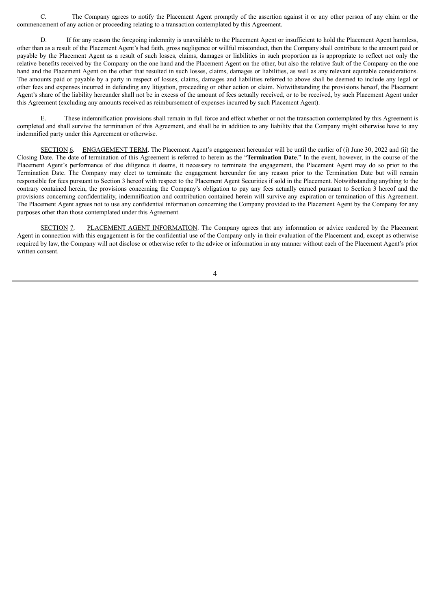C. The Company agrees to notify the Placement Agent promptly of the assertion against it or any other person of any claim or the commencement of any action or proceeding relating to a transaction contemplated by this Agreement.

D. If for any reason the foregoing indemnity is unavailable to the Placement Agent or insufficient to hold the Placement Agent harmless, other than as a result of the Placement Agent's bad faith, gross negligence or willful misconduct, then the Company shall contribute to the amount paid or payable by the Placement Agent as a result of such losses, claims, damages or liabilities in such proportion as is appropriate to reflect not only the relative benefits received by the Company on the one hand and the Placement Agent on the other, but also the relative fault of the Company on the one hand and the Placement Agent on the other that resulted in such losses, claims, damages or liabilities, as well as any relevant equitable considerations. The amounts paid or payable by a party in respect of losses, claims, damages and liabilities referred to above shall be deemed to include any legal or other fees and expenses incurred in defending any litigation, proceeding or other action or claim. Notwithstanding the provisions hereof, the Placement Agent's share of the liability hereunder shall not be in excess of the amount of fees actually received, or to be received, by such Placement Agent under this Agreement (excluding any amounts received as reimbursement of expenses incurred by such Placement Agent).

E. These indemnification provisions shall remain in full force and effect whether or not the transaction contemplated by this Agreement is completed and shall survive the termination of this Agreement, and shall be in addition to any liability that the Company might otherwise have to any indemnified party under this Agreement or otherwise.

SECTION 6. ENGAGEMENT TERM. The Placement Agent's engagement hereunder will be until the earlier of (i) June 30, 2022 and (ii) the Closing Date. The date of termination of this Agreement is referred to herein as the "**Termination Date**." In the event, however, in the course of the Placement Agent's performance of due diligence it deems, it necessary to terminate the engagement, the Placement Agent may do so prior to the Termination Date. The Company may elect to terminate the engagement hereunder for any reason prior to the Termination Date but will remain responsible for fees pursuant to Section 3 hereof with respect to the Placement Agent Securities if sold in the Placement. Notwithstanding anything to the contrary contained herein, the provisions concerning the Company's obligation to pay any fees actually earned pursuant to Section 3 hereof and the provisions concerning confidentiality, indemnification and contribution contained herein will survive any expiration or termination of this Agreement. The Placement Agent agrees not to use any confidential information concerning the Company provided to the Placement Agent by the Company for any purposes other than those contemplated under this Agreement.

SECTION 7. PLACEMENT AGENT INFORMATION. The Company agrees that any information or advice rendered by the Placement Agent in connection with this engagement is for the confidential use of the Company only in their evaluation of the Placement and, except as otherwise required by law, the Company will not disclose or otherwise refer to the advice or information in any manner without each of the Placement Agent's prior written consent.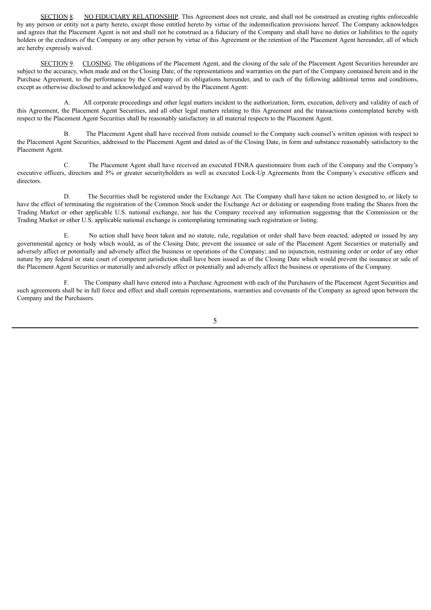SECTION 8. NO FIDUCIARY RELATIONSHIP. This Agreement does not create, and shall not be construed as creating rights enforceable by any person or entity not a party hereto, except those entitled hereto by virtue of the indemnification provisions hereof. The Company acknowledges and agrees that the Placement Agent is not and shall not be construed as a fiduciary of the Company and shall have no duties or liabilities to the equity holders or the creditors of the Company or any other person by virtue of this Agreement or the retention of the Placement Agent hereunder, all of which are hereby expressly waived.

SECTION 9. CLOSING. The obligations of the Placement Agent, and the closing of the sale of the Placement Agent Securities hereunder are subject to the accuracy, when made and on the Closing Date, of the representations and warranties on the part of the Company contained herein and in the Purchase Agreement, to the performance by the Company of its obligations hereunder, and to each of the following additional terms and conditions, except as otherwise disclosed to and acknowledged and waived by the Placement Agent:

A. All corporate proceedings and other legal matters incident to the authorization, form, execution, delivery and validity of each of this Agreement, the Placement Agent Securities, and all other legal matters relating to this Agreement and the transactions contemplated hereby with respect to the Placement Agent Securities shall be reasonably satisfactory in all material respects to the Placement Agent.

B. The Placement Agent shall have received from outside counsel to the Company such counsel's written opinion with respect to the Placement Agent Securities, addressed to the Placement Agent and dated as of the Closing Date, in form and substance reasonably satisfactory to the Placement Agent.

C. The Placement Agent shall have received an executed FINRA questionnaire from each of the Company and the Company's executive officers, directors and 5% or greater securityholders as well as executed Lock-Up Agreements from the Company's executive officers and directors.

D. The Securities shall be registered under the Exchange Act. The Company shall have taken no action designed to, or likely to have the effect of terminating the registration of the Common Stock under the Exchange Act or delisting or suspending from trading the Shares from the Trading Market or other applicable U.S. national exchange, nor has the Company received any information suggesting that the Commission or the Trading Market or other U.S. applicable national exchange is contemplating terminating such registration or listing.

E. No action shall have been taken and no statute, rule, regulation or order shall have been enacted, adopted or issued by any governmental agency or body which would, as of the Closing Date, prevent the issuance or sale of the Placement Agent Securities or materially and adversely affect or potentially and adversely affect the business or operations of the Company; and no injunction, restraining order or order of any other nature by any federal or state court of competent jurisdiction shall have been issued as of the Closing Date which would prevent the issuance or sale of the Placement Agent Securities or materially and adversely affect or potentially and adversely affect the business or operations of the Company.

F. The Company shall have entered into a Purchase Agreement with each of the Purchasers of the Placement Agent Securities and such agreements shall be in full force and effect and shall contain representations, warranties and covenants of the Company as agreed upon between the Company and the Purchasers.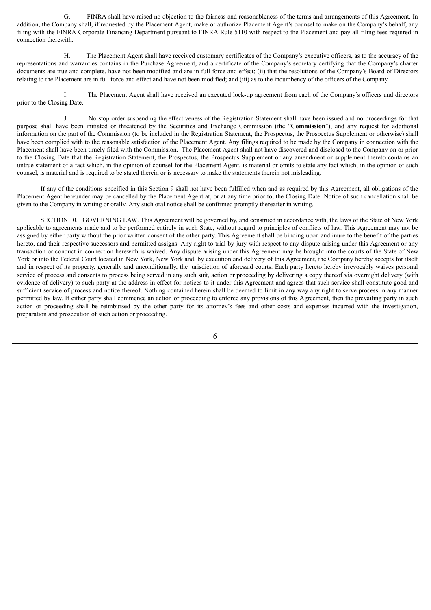G. FINRA shall have raised no objection to the fairness and reasonableness of the terms and arrangements of this Agreement. In addition, the Company shall, if requested by the Placement Agent, make or authorize Placement Agent's counsel to make on the Company's behalf, any filing with the FINRA Corporate Financing Department pursuant to FINRA Rule 5110 with respect to the Placement and pay all filing fees required in connection therewith.

H. The Placement Agent shall have received customary certificates of the Company's executive officers, as to the accuracy of the representations and warranties contains in the Purchase Agreement, and a certificate of the Company's secretary certifying that the Company's charter documents are true and complete, have not been modified and are in full force and effect; (ii) that the resolutions of the Company's Board of Directors relating to the Placement are in full force and effect and have not been modified; and (iii) as to the incumbency of the officers of the Company.

I. The Placement Agent shall have received an executed lock-up agreement from each of the Company's officers and directors prior to the Closing Date.

J. No stop order suspending the effectiveness of the Registration Statement shall have been issued and no proceedings for that purpose shall have been initiated or threatened by the Securities and Exchange Commission (the "**Commission**"), and any request for additional information on the part of the Commission (to be included in the Registration Statement, the Prospectus, the Prospectus Supplement or otherwise) shall have been complied with to the reasonable satisfaction of the Placement Agent. Any filings required to be made by the Company in connection with the Placement shall have been timely filed with the Commission. The Placement Agent shall not have discovered and disclosed to the Company on or prior to the Closing Date that the Registration Statement, the Prospectus, the Prospectus Supplement or any amendment or supplement thereto contains an untrue statement of a fact which, in the opinion of counsel for the Placement Agent, is material or omits to state any fact which, in the opinion of such counsel, is material and is required to be stated therein or is necessary to make the statements therein not misleading.

If any of the conditions specified in this Section 9 shall not have been fulfilled when and as required by this Agreement, all obligations of the Placement Agent hereunder may be cancelled by the Placement Agent at, or at any time prior to, the Closing Date. Notice of such cancellation shall be given to the Company in writing or orally. Any such oral notice shall be confirmed promptly thereafter in writing.

SECTION 10. GOVERNING LAW. This Agreement will be governed by, and construed in accordance with, the laws of the State of New York applicable to agreements made and to be performed entirely in such State, without regard to principles of conflicts of law. This Agreement may not be assigned by either party without the prior written consent of the other party. This Agreement shall be binding upon and inure to the benefit of the parties hereto, and their respective successors and permitted assigns. Any right to trial by jury with respect to any dispute arising under this Agreement or any transaction or conduct in connection herewith is waived. Any dispute arising under this Agreement may be brought into the courts of the State of New York or into the Federal Court located in New York, New York and, by execution and delivery of this Agreement, the Company hereby accepts for itself and in respect of its property, generally and unconditionally, the jurisdiction of aforesaid courts. Each party hereto hereby irrevocably waives personal service of process and consents to process being served in any such suit, action or proceeding by delivering a copy thereof via overnight delivery (with evidence of delivery) to such party at the address in effect for notices to it under this Agreement and agrees that such service shall constitute good and sufficient service of process and notice thereof. Nothing contained herein shall be deemed to limit in any way any right to serve process in any manner permitted by law. If either party shall commence an action or proceeding to enforce any provisions of this Agreement, then the prevailing party in such action or proceeding shall be reimbursed by the other party for its attorney's fees and other costs and expenses incurred with the investigation, preparation and prosecution of such action or proceeding.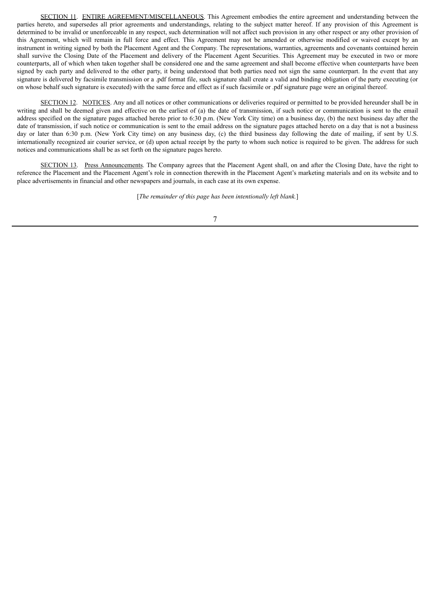SECTION 11. ENTIRE AGREEMENT/MISCELLANEOUS. This Agreement embodies the entire agreement and understanding between the parties hereto, and supersedes all prior agreements and understandings, relating to the subject matter hereof. If any provision of this Agreement is determined to be invalid or unenforceable in any respect, such determination will not affect such provision in any other respect or any other provision of this Agreement, which will remain in full force and effect. This Agreement may not be amended or otherwise modified or waived except by an instrument in writing signed by both the Placement Agent and the Company. The representations, warranties, agreements and covenants contained herein shall survive the Closing Date of the Placement and delivery of the Placement Agent Securities. This Agreement may be executed in two or more counterparts, all of which when taken together shall be considered one and the same agreement and shall become effective when counterparts have been signed by each party and delivered to the other party, it being understood that both parties need not sign the same counterpart. In the event that any signature is delivered by facsimile transmission or a .pdf format file, such signature shall create a valid and binding obligation of the party executing (or on whose behalf such signature is executed) with the same force and effect as if such facsimile or .pdf signature page were an original thereof.

SECTION 12. NOTICES. Any and all notices or other communications or deliveries required or permitted to be provided hereunder shall be in writing and shall be deemed given and effective on the earliest of (a) the date of transmission, if such notice or communication is sent to the email address specified on the signature pages attached hereto prior to 6:30 p.m. (New York City time) on a business day, (b) the next business day after the date of transmission, if such notice or communication is sent to the email address on the signature pages attached hereto on a day that is not a business day or later than 6:30 p.m. (New York City time) on any business day, (c) the third business day following the date of mailing, if sent by U.S. internationally recognized air courier service, or (d) upon actual receipt by the party to whom such notice is required to be given. The address for such notices and communications shall be as set forth on the signature pages hereto.

SECTION 13. Press Announcements. The Company agrees that the Placement Agent shall, on and after the Closing Date, have the right to reference the Placement and the Placement Agent's role in connection therewith in the Placement Agent's marketing materials and on its website and to place advertisements in financial and other newspapers and journals, in each case at its own expense.

[*The remainder of this page has been intentionally left blank.*]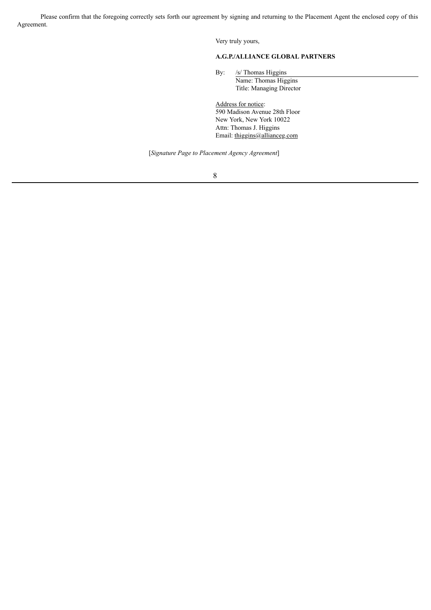Please confirm that the foregoing correctly sets forth our agreement by signing and returning to the Placement Agent the enclosed copy of this Agreement.

Very truly yours,

## **A.G.P./ALLIANCE GLOBAL PARTNERS**

By: /s/ Thomas Higgins Name: Thomas Higgins Title: Managing Director

Address for notice: 590 Madison Avenue 28th Floor New York, New York 10022 Attn: Thomas J. Higgins Email: thiggins@allianceg.com

[*Signature Page to Placement Agency Agreement*]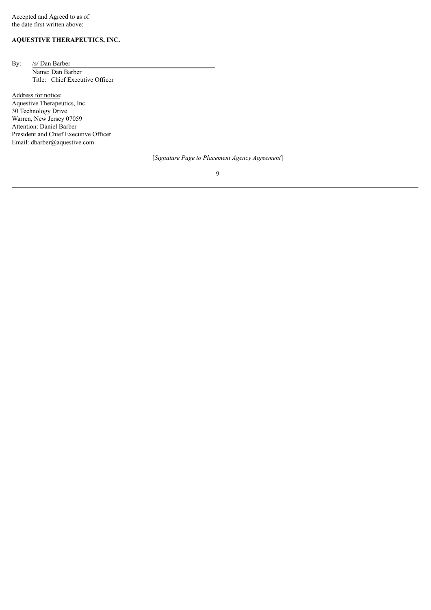# **AQUESTIVE THERAPEUTICS, INC.**

By: /s/ Dan Barber Name: Dan Barber Title: Chief Executive Officer

Address for notice: Aquestive Therapeutics, Inc. 30 Technology Drive Warren, New Jersey 07059 Attention: Daniel Barber President and Chief Executive Officer Email: dbarber@aquestive.com

[*Signature Page to Placement Agency Agreement*]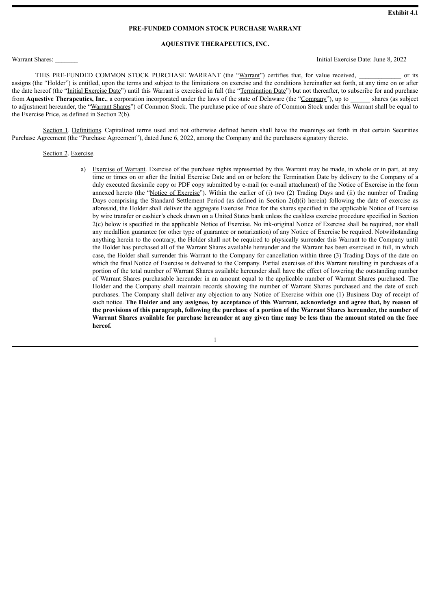#### **PRE-FUNDED COMMON STOCK PURCHASE WARRANT**

#### **AQUESTIVE THERAPEUTICS, INC.**

#### <span id="page-13-0"></span>Warrant Shares: **Exercise Date:** June 8, 2022

THIS PRE-FUNDED COMMON STOCK PURCHASE WARRANT (the "Warrant") certifies that, for value received, or its assigns (the "Holder") is entitled, upon the terms and subject to the limitations on exercise and the conditions hereinafter set forth, at any time on or after the date hereof (the "Initial Exercise Date") until this Warrant is exercised in full (the "Termination Date") but not thereafter, to subscribe for and purchase from **Aquestive Therapeutics, Inc.**, a corporation incorporated under the laws of the state of Delaware (the "Company"), up to shares (as subject to adjustment hereunder, the "Warrant Shares") of Common Stock. The purchase price of one share of Common Stock under this Warrant shall be equal to the Exercise Price, as defined in Section 2(b).

Section 1. Definitions. Capitalized terms used and not otherwise defined herein shall have the meanings set forth in that certain Securities Purchase Agreement (the "Purchase Agreement"), dated June 6, 2022, among the Company and the purchasers signatory thereto.

#### Section 2. Exercise.

a) Exercise of Warrant. Exercise of the purchase rights represented by this Warrant may be made, in whole or in part, at any time or times on or after the Initial Exercise Date and on or before the Termination Date by delivery to the Company of a duly executed facsimile copy or PDF copy submitted by e-mail (or e-mail attachment) of the Notice of Exercise in the form annexed hereto (the "Notice of Exercise"). Within the earlier of (i) two (2) Trading Days and (ii) the number of Trading Days comprising the Standard Settlement Period (as defined in Section 2(d)(i) herein) following the date of exercise as aforesaid, the Holder shall deliver the aggregate Exercise Price for the shares specified in the applicable Notice of Exercise by wire transfer or cashier's check drawn on a United States bank unless the cashless exercise procedure specified in Section 2(c) below is specified in the applicable Notice of Exercise. No ink-original Notice of Exercise shall be required, nor shall any medallion guarantee (or other type of guarantee or notarization) of any Notice of Exercise be required. Notwithstanding anything herein to the contrary, the Holder shall not be required to physically surrender this Warrant to the Company until the Holder has purchased all of the Warrant Shares available hereunder and the Warrant has been exercised in full, in which case, the Holder shall surrender this Warrant to the Company for cancellation within three (3) Trading Days of the date on which the final Notice of Exercise is delivered to the Company. Partial exercises of this Warrant resulting in purchases of a portion of the total number of Warrant Shares available hereunder shall have the effect of lowering the outstanding number of Warrant Shares purchasable hereunder in an amount equal to the applicable number of Warrant Shares purchased. The Holder and the Company shall maintain records showing the number of Warrant Shares purchased and the date of such purchases. The Company shall deliver any objection to any Notice of Exercise within one (1) Business Day of receipt of such notice. The Holder and any assignee, by acceptance of this Warrant, acknowledge and agree that, by reason of the provisions of this paragraph, following the purchase of a portion of the Warrant Shares hereunder, the number of Warrant Shares available for purchase hereunder at any given time may be less than the amount stated on the face **hereof.**

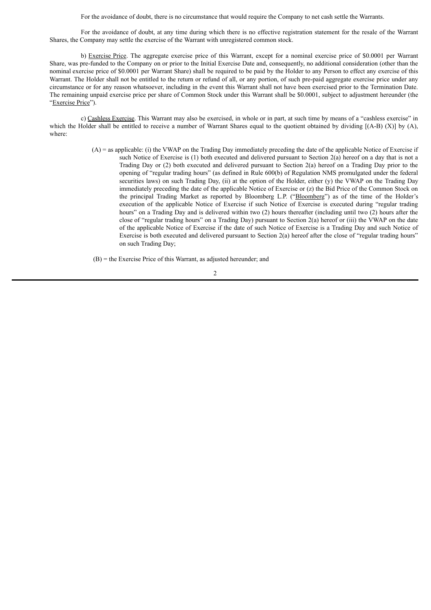For the avoidance of doubt, there is no circumstance that would require the Company to net cash settle the Warrants.

For the avoidance of doubt, at any time during which there is no effective registration statement for the resale of the Warrant Shares, the Company may settle the exercise of the Warrant with unregistered common stock.

b) Exercise Price. The aggregate exercise price of this Warrant, except for a nominal exercise price of \$0.0001 per Warrant Share, was pre-funded to the Company on or prior to the Initial Exercise Date and, consequently, no additional consideration (other than the nominal exercise price of \$0.0001 per Warrant Share) shall be required to be paid by the Holder to any Person to effect any exercise of this Warrant. The Holder shall not be entitled to the return or refund of all, or any portion, of such pre-paid aggregate exercise price under any circumstance or for any reason whatsoever, including in the event this Warrant shall not have been exercised prior to the Termination Date. The remaining unpaid exercise price per share of Common Stock under this Warrant shall be \$0.0001, subject to adjustment hereunder (the "Exercise Price").

c) Cashless Exercise. This Warrant may also be exercised, in whole or in part, at such time by means of a "cashless exercise" in which the Holder shall be entitled to receive a number of Warrant Shares equal to the quotient obtained by dividing [(A-B) (X)] by (A), where:

> (A) = as applicable: (i) the VWAP on the Trading Day immediately preceding the date of the applicable Notice of Exercise if such Notice of Exercise is (1) both executed and delivered pursuant to Section 2(a) hereof on a day that is not a Trading Day or (2) both executed and delivered pursuant to Section 2(a) hereof on a Trading Day prior to the opening of "regular trading hours" (as defined in Rule 600(b) of Regulation NMS promulgated under the federal securities laws) on such Trading Day, (ii) at the option of the Holder, either (y) the VWAP on the Trading Day immediately preceding the date of the applicable Notice of Exercise or (z) the Bid Price of the Common Stock on the principal Trading Market as reported by Bloomberg L.P. ("Bloomberg") as of the time of the Holder's execution of the applicable Notice of Exercise if such Notice of Exercise is executed during "regular trading hours" on a Trading Day and is delivered within two (2) hours thereafter (including until two (2) hours after the close of "regular trading hours" on a Trading Day) pursuant to Section 2(a) hereof or (iii) the VWAP on the date of the applicable Notice of Exercise if the date of such Notice of Exercise is a Trading Day and such Notice of Exercise is both executed and delivered pursuant to Section  $2(a)$  hereof after the close of "regular trading hours" on such Trading Day;

(B) = the Exercise Price of this Warrant, as adjusted hereunder; and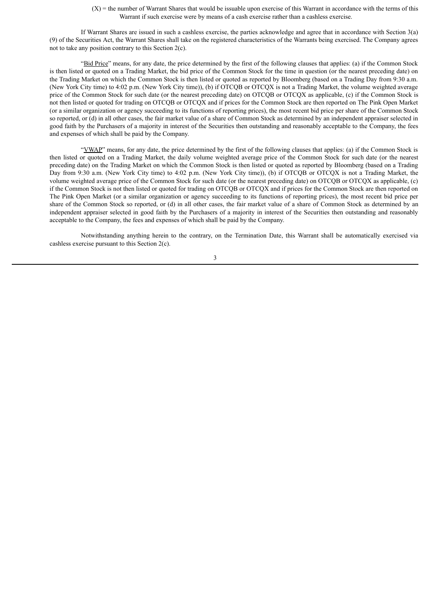$(X)$  = the number of Warrant Shares that would be issuable upon exercise of this Warrant in accordance with the terms of this Warrant if such exercise were by means of a cash exercise rather than a cashless exercise.

If Warrant Shares are issued in such a cashless exercise, the parties acknowledge and agree that in accordance with Section 3(a) (9) of the Securities Act, the Warrant Shares shall take on the registered characteristics of the Warrants being exercised. The Company agrees not to take any position contrary to this Section 2(c).

"Bid Price" means, for any date, the price determined by the first of the following clauses that applies: (a) if the Common Stock is then listed or quoted on a Trading Market, the bid price of the Common Stock for the time in question (or the nearest preceding date) on the Trading Market on which the Common Stock is then listed or quoted as reported by Bloomberg (based on a Trading Day from 9:30 a.m. (New York City time) to 4:02 p.m. (New York City time)), (b) if OTCQB or OTCQX is not a Trading Market, the volume weighted average price of the Common Stock for such date (or the nearest preceding date) on OTCQB or OTCQX as applicable, (c) if the Common Stock is not then listed or quoted for trading on OTCQB or OTCQX and if prices for the Common Stock are then reported on The Pink Open Market (or a similar organization or agency succeeding to its functions of reporting prices), the most recent bid price per share of the Common Stock so reported, or  $(d)$  in all other cases, the fair market value of a share of Common Stock as determined by an independent appraiser selected in good faith by the Purchasers of a majority in interest of the Securities then outstanding and reasonably acceptable to the Company, the fees and expenses of which shall be paid by the Company.

"VWAP" means, for any date, the price determined by the first of the following clauses that applies: (a) if the Common Stock is then listed or quoted on a Trading Market, the daily volume weighted average price of the Common Stock for such date (or the nearest preceding date) on the Trading Market on which the Common Stock is then listed or quoted as reported by Bloomberg (based on a Trading Day from 9:30 a.m. (New York City time) to 4:02 p.m. (New York City time)), (b) if OTCQB or OTCQX is not a Trading Market, the volume weighted average price of the Common Stock for such date (or the nearest preceding date) on OTCQB or OTCQX as applicable, (c) if the Common Stock is not then listed or quoted for trading on OTCQB or OTCQX and if prices for the Common Stock are then reported on The Pink Open Market (or a similar organization or agency succeeding to its functions of reporting prices), the most recent bid price per share of the Common Stock so reported, or (d) in all other cases, the fair market value of a share of Common Stock as determined by an independent appraiser selected in good faith by the Purchasers of a majority in interest of the Securities then outstanding and reasonably acceptable to the Company, the fees and expenses of which shall be paid by the Company.

Notwithstanding anything herein to the contrary, on the Termination Date, this Warrant shall be automatically exercised via cashless exercise pursuant to this Section 2(c).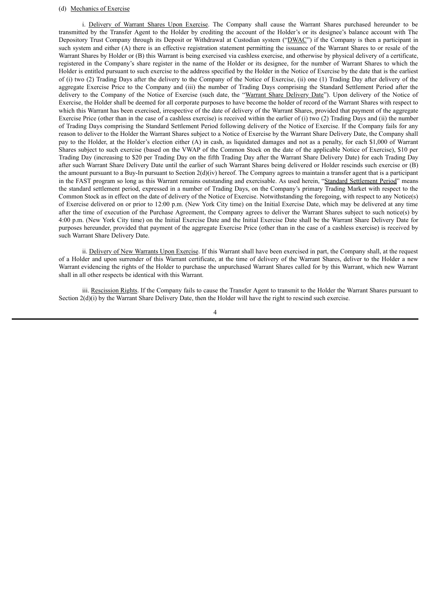#### (d) Mechanics of Exercise

i. Delivery of Warrant Shares Upon Exercise. The Company shall cause the Warrant Shares purchased hereunder to be transmitted by the Transfer Agent to the Holder by crediting the account of the Holder's or its designee's balance account with The Depository Trust Company through its Deposit or Withdrawal at Custodian system ("DWAC") if the Company is then a participant in such system and either (A) there is an effective registration statement permitting the issuance of the Warrant Shares to or resale of the Warrant Shares by Holder or (B) this Warrant is being exercised via cashless exercise, and otherwise by physical delivery of a certificate, registered in the Company's share register in the name of the Holder or its designee, for the number of Warrant Shares to which the Holder is entitled pursuant to such exercise to the address specified by the Holder in the Notice of Exercise by the date that is the earliest of (i) two (2) Trading Days after the delivery to the Company of the Notice of Exercise, (ii) one (1) Trading Day after delivery of the aggregate Exercise Price to the Company and (iii) the number of Trading Days comprising the Standard Settlement Period after the delivery to the Company of the Notice of Exercise (such date, the "Warrant Share Delivery Date"). Upon delivery of the Notice of Exercise, the Holder shall be deemed for all corporate purposes to have become the holder of record of the Warrant Shares with respect to which this Warrant has been exercised, irrespective of the date of delivery of the Warrant Shares, provided that payment of the aggregate Exercise Price (other than in the case of a cashless exercise) is received within the earlier of (i) two (2) Trading Days and (ii) the number of Trading Days comprising the Standard Settlement Period following delivery of the Notice of Exercise. If the Company fails for any reason to deliver to the Holder the Warrant Shares subject to a Notice of Exercise by the Warrant Share Delivery Date, the Company shall pay to the Holder, at the Holder's election either (A) in cash, as liquidated damages and not as a penalty, for each \$1,000 of Warrant Shares subject to such exercise (based on the VWAP of the Common Stock on the date of the applicable Notice of Exercise), \$10 per Trading Day (increasing to \$20 per Trading Day on the fifth Trading Day after the Warrant Share Delivery Date) for each Trading Day after such Warrant Share Delivery Date until the earlier of such Warrant Shares being delivered or Holder rescinds such exercise or (B) the amount pursuant to a Buy-In pursuant to Section  $2(d)(iv)$  hereof. The Company agrees to maintain a transfer agent that is a participant in the FAST program so long as this Warrant remains outstanding and exercisable. As used herein, "Standard Settlement Period" means the standard settlement period, expressed in a number of Trading Days, on the Company's primary Trading Market with respect to the Common Stock as in effect on the date of delivery of the Notice of Exercise. Notwithstanding the foregoing, with respect to any Notice(s) of Exercise delivered on or prior to 12:00 p.m. (New York City time) on the Initial Exercise Date, which may be delivered at any time after the time of execution of the Purchase Agreement, the Company agrees to deliver the Warrant Shares subject to such notice(s) by 4:00 p.m. (New York City time) on the Initial Exercise Date and the Initial Exercise Date shall be the Warrant Share Delivery Date for purposes hereunder, provided that payment of the aggregate Exercise Price (other than in the case of a cashless exercise) is received by such Warrant Share Delivery Date.

ii. Delivery of New Warrants Upon Exercise. If this Warrant shall have been exercised in part, the Company shall, at the request of a Holder and upon surrender of this Warrant certificate, at the time of delivery of the Warrant Shares, deliver to the Holder a new Warrant evidencing the rights of the Holder to purchase the unpurchased Warrant Shares called for by this Warrant, which new Warrant shall in all other respects be identical with this Warrant.

iii. Rescission Rights. If the Company fails to cause the Transfer Agent to transmit to the Holder the Warrant Shares pursuant to Section  $2(d)(i)$  by the Warrant Share Delivery Date, then the Holder will have the right to rescind such exercise.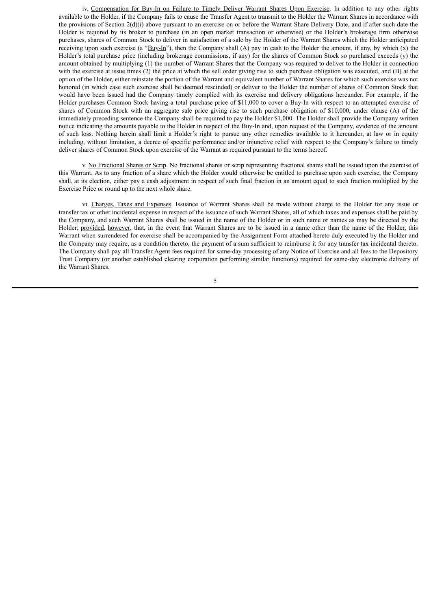iv. Compensation for Buy-In on Failure to Timely Deliver Warrant Shares Upon Exercise. In addition to any other rights available to the Holder, if the Company fails to cause the Transfer Agent to transmit to the Holder the Warrant Shares in accordance with the provisions of Section  $2(d)(i)$  above pursuant to an exercise on or before the Warrant Share Delivery Date, and if after such date the Holder is required by its broker to purchase (in an open market transaction or otherwise) or the Holder's brokerage firm otherwise purchases, shares of Common Stock to deliver in satisfaction of a sale by the Holder of the Warrant Shares which the Holder anticipated receiving upon such exercise (a "Buy-In"), then the Company shall (A) pay in cash to the Holder the amount, if any, by which  $(x)$  the Holder's total purchase price (including brokerage commissions, if any) for the shares of Common Stock so purchased exceeds (y) the amount obtained by multiplying (1) the number of Warrant Shares that the Company was required to deliver to the Holder in connection with the exercise at issue times (2) the price at which the sell order giving rise to such purchase obligation was executed, and (B) at the option of the Holder, either reinstate the portion of the Warrant and equivalent number of Warrant Shares for which such exercise was not honored (in which case such exercise shall be deemed rescinded) or deliver to the Holder the number of shares of Common Stock that would have been issued had the Company timely complied with its exercise and delivery obligations hereunder. For example, if the Holder purchases Common Stock having a total purchase price of \$11,000 to cover a Buy-In with respect to an attempted exercise of shares of Common Stock with an aggregate sale price giving rise to such purchase obligation of \$10,000, under clause (A) of the immediately preceding sentence the Company shall be required to pay the Holder \$1,000. The Holder shall provide the Company written notice indicating the amounts payable to the Holder in respect of the Buy-In and, upon request of the Company, evidence of the amount of such loss. Nothing herein shall limit a Holder's right to pursue any other remedies available to it hereunder, at law or in equity including, without limitation, a decree of specific performance and/or injunctive relief with respect to the Company's failure to timely deliver shares of Common Stock upon exercise of the Warrant as required pursuant to the terms hereof.

v. No Fractional Shares or Scrip. No fractional shares or scrip representing fractional shares shall be issued upon the exercise of this Warrant. As to any fraction of a share which the Holder would otherwise be entitled to purchase upon such exercise, the Company shall, at its election, either pay a cash adjustment in respect of such final fraction in an amount equal to such fraction multiplied by the Exercise Price or round up to the next whole share.

vi. Charges, Taxes and Expenses. Issuance of Warrant Shares shall be made without charge to the Holder for any issue or transfer tax or other incidental expense in respect of the issuance of such Warrant Shares, all of which taxes and expenses shall be paid by the Company, and such Warrant Shares shall be issued in the name of the Holder or in such name or names as may be directed by the Holder; provided, however, that, in the event that Warrant Shares are to be issued in a name other than the name of the Holder, this Warrant when surrendered for exercise shall be accompanied by the Assignment Form attached hereto duly executed by the Holder and the Company may require, as a condition thereto, the payment of a sum sufficient to reimburse it for any transfer tax incidental thereto. The Company shall pay all Transfer Agent fees required for same-day processing of any Notice of Exercise and all fees to the Depository Trust Company (or another established clearing corporation performing similar functions) required for same-day electronic delivery of the Warrant Shares.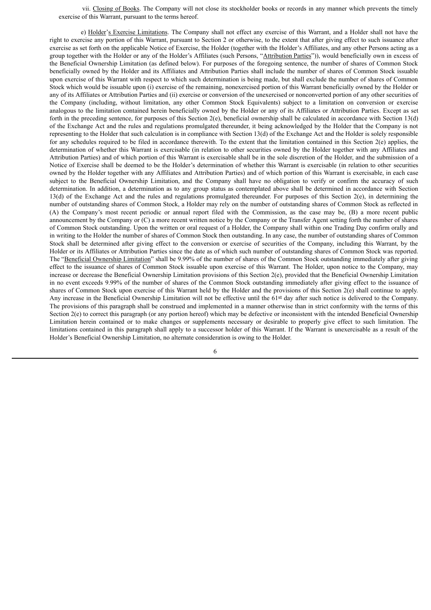vii. Closing of Books. The Company will not close its stockholder books or records in any manner which prevents the timely exercise of this Warrant, pursuant to the terms hereof.

e) Holder's Exercise Limitations. The Company shall not effect any exercise of this Warrant, and a Holder shall not have the right to exercise any portion of this Warrant, pursuant to Section 2 or otherwise, to the extent that after giving effect to such issuance after exercise as set forth on the applicable Notice of Exercise, the Holder (together with the Holder's Affiliates, and any other Persons acting as a group together with the Holder or any of the Holder's Affiliates (such Persons, "Attribution Parties")), would beneficially own in excess of the Beneficial Ownership Limitation (as defined below). For purposes of the foregoing sentence, the number of shares of Common Stock beneficially owned by the Holder and its Affiliates and Attribution Parties shall include the number of shares of Common Stock issuable upon exercise of this Warrant with respect to which such determination is being made, but shall exclude the number of shares of Common Stock which would be issuable upon (i) exercise of the remaining, nonexercised portion of this Warrant beneficially owned by the Holder or any of its Affiliates or Attribution Parties and (ii) exercise or conversion of the unexercised or nonconverted portion of any other securities of the Company (including, without limitation, any other Common Stock Equivalents) subject to a limitation on conversion or exercise analogous to the limitation contained herein beneficially owned by the Holder or any of its Affiliates or Attribution Parties. Except as set forth in the preceding sentence, for purposes of this Section 2(e), beneficial ownership shall be calculated in accordance with Section 13(d) of the Exchange Act and the rules and regulations promulgated thereunder, it being acknowledged by the Holder that the Company is not representing to the Holder that such calculation is in compliance with Section 13(d) of the Exchange Act and the Holder is solely responsible for any schedules required to be filed in accordance therewith. To the extent that the limitation contained in this Section 2(e) applies, the determination of whether this Warrant is exercisable (in relation to other securities owned by the Holder together with any Affiliates and Attribution Parties) and of which portion of this Warrant is exercisable shall be in the sole discretion of the Holder, and the submission of a Notice of Exercise shall be deemed to be the Holder's determination of whether this Warrant is exercisable (in relation to other securities owned by the Holder together with any Affiliates and Attribution Parties) and of which portion of this Warrant is exercisable, in each case subject to the Beneficial Ownership Limitation, and the Company shall have no obligation to verify or confirm the accuracy of such determination. In addition, a determination as to any group status as contemplated above shall be determined in accordance with Section 13(d) of the Exchange Act and the rules and regulations promulgated thereunder. For purposes of this Section 2(e), in determining the number of outstanding shares of Common Stock, a Holder may rely on the number of outstanding shares of Common Stock as reflected in (A) the Company's most recent periodic or annual report filed with the Commission, as the case may be, (B) a more recent public announcement by the Company or (C) a more recent written notice by the Company or the Transfer Agent setting forth the number of shares of Common Stock outstanding. Upon the written or oral request of a Holder, the Company shall within one Trading Day confirm orally and in writing to the Holder the number of shares of Common Stock then outstanding. In any case, the number of outstanding shares of Common Stock shall be determined after giving effect to the conversion or exercise of securities of the Company, including this Warrant, by the Holder or its Affiliates or Attribution Parties since the date as of which such number of outstanding shares of Common Stock was reported. The "Beneficial Ownership Limitation" shall be 9.99% of the number of shares of the Common Stock outstanding immediately after giving effect to the issuance of shares of Common Stock issuable upon exercise of this Warrant. The Holder, upon notice to the Company, may increase or decrease the Beneficial Ownership Limitation provisions of this Section 2(e), provided that the Beneficial Ownership Limitation in no event exceeds 9.99% of the number of shares of the Common Stock outstanding immediately after giving effect to the issuance of shares of Common Stock upon exercise of this Warrant held by the Holder and the provisions of this Section 2(e) shall continue to apply. Any increase in the Beneficial Ownership Limitation will not be effective until the 61st day after such notice is delivered to the Company. The provisions of this paragraph shall be construed and implemented in a manner otherwise than in strict conformity with the terms of this Section 2(e) to correct this paragraph (or any portion hereof) which may be defective or inconsistent with the intended Beneficial Ownership Limitation herein contained or to make changes or supplements necessary or desirable to properly give effect to such limitation. The limitations contained in this paragraph shall apply to a successor holder of this Warrant. If the Warrant is unexercisable as a result of the Holder's Beneficial Ownership Limitation, no alternate consideration is owing to the Holder.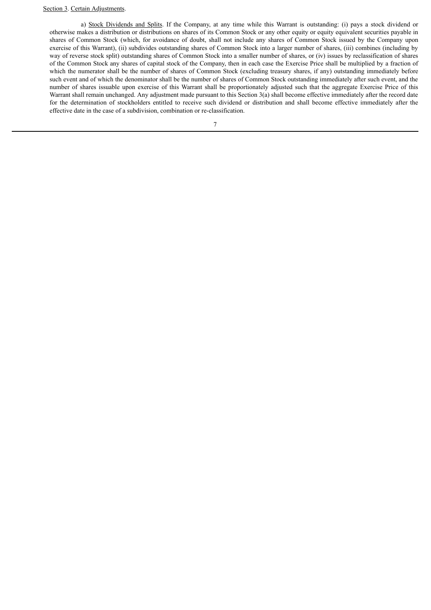#### Section 3. Certain Adjustments.

a) Stock Dividends and Splits. If the Company, at any time while this Warrant is outstanding: (i) pays a stock dividend or otherwise makes a distribution or distributions on shares of its Common Stock or any other equity or equity equivalent securities payable in shares of Common Stock (which, for avoidance of doubt, shall not include any shares of Common Stock issued by the Company upon exercise of this Warrant), (ii) subdivides outstanding shares of Common Stock into a larger number of shares, (iii) combines (including by way of reverse stock split) outstanding shares of Common Stock into a smaller number of shares, or (iv) issues by reclassification of shares of the Common Stock any shares of capital stock of the Company, then in each case the Exercise Price shall be multiplied by a fraction of which the numerator shall be the number of shares of Common Stock (excluding treasury shares, if any) outstanding immediately before such event and of which the denominator shall be the number of shares of Common Stock outstanding immediately after such event, and the number of shares issuable upon exercise of this Warrant shall be proportionately adjusted such that the aggregate Exercise Price of this Warrant shall remain unchanged. Any adjustment made pursuant to this Section 3(a) shall become effective immediately after the record date for the determination of stockholders entitled to receive such dividend or distribution and shall become effective immediately after the effective date in the case of a subdivision, combination or re-classification.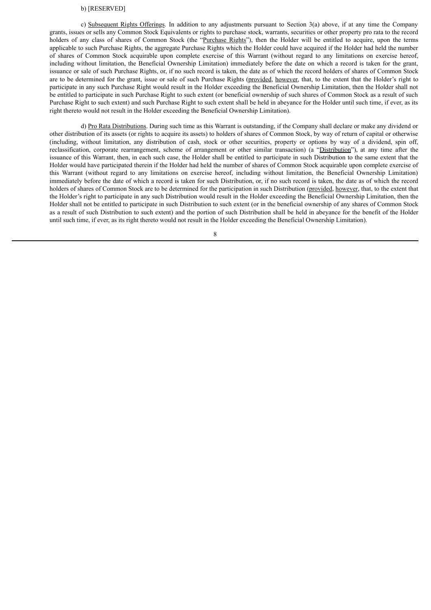#### b) [RESERVED]

c) Subsequent Rights Offerings. In addition to any adjustments pursuant to Section 3(a) above, if at any time the Company grants, issues or sells any Common Stock Equivalents or rights to purchase stock, warrants, securities or other property pro rata to the record holders of any class of shares of Common Stock (the "Purchase Rights"), then the Holder will be entitled to acquire, upon the terms applicable to such Purchase Rights, the aggregate Purchase Rights which the Holder could have acquired if the Holder had held the number of shares of Common Stock acquirable upon complete exercise of this Warrant (without regard to any limitations on exercise hereof, including without limitation, the Beneficial Ownership Limitation) immediately before the date on which a record is taken for the grant, issuance or sale of such Purchase Rights, or, if no such record is taken, the date as of which the record holders of shares of Common Stock are to be determined for the grant, issue or sale of such Purchase Rights (provided, however, that, to the extent that the Holder's right to participate in any such Purchase Right would result in the Holder exceeding the Beneficial Ownership Limitation, then the Holder shall not be entitled to participate in such Purchase Right to such extent (or beneficial ownership of such shares of Common Stock as a result of such Purchase Right to such extent) and such Purchase Right to such extent shall be held in abeyance for the Holder until such time, if ever, as its right thereto would not result in the Holder exceeding the Beneficial Ownership Limitation).

d) Pro Rata Distributions. During such time as this Warrant is outstanding, if the Company shall declare or make any dividend or other distribution of its assets (or rights to acquire its assets) to holders of shares of Common Stock, by way of return of capital or otherwise (including, without limitation, any distribution of cash, stock or other securities, property or options by way of a dividend, spin off, reclassification, corporate rearrangement, scheme of arrangement or other similar transaction) (a "Distribution"), at any time after the issuance of this Warrant, then, in each such case, the Holder shall be entitled to participate in such Distribution to the same extent that the Holder would have participated therein if the Holder had held the number of shares of Common Stock acquirable upon complete exercise of this Warrant (without regard to any limitations on exercise hereof, including without limitation, the Beneficial Ownership Limitation) immediately before the date of which a record is taken for such Distribution, or, if no such record is taken, the date as of which the record holders of shares of Common Stock are to be determined for the participation in such Distribution (provided, however, that, to the extent that the Holder's right to participate in any such Distribution would result in the Holder exceeding the Beneficial Ownership Limitation, then the Holder shall not be entitled to participate in such Distribution to such extent (or in the beneficial ownership of any shares of Common Stock as a result of such Distribution to such extent) and the portion of such Distribution shall be held in abeyance for the benefit of the Holder until such time, if ever, as its right thereto would not result in the Holder exceeding the Beneficial Ownership Limitation).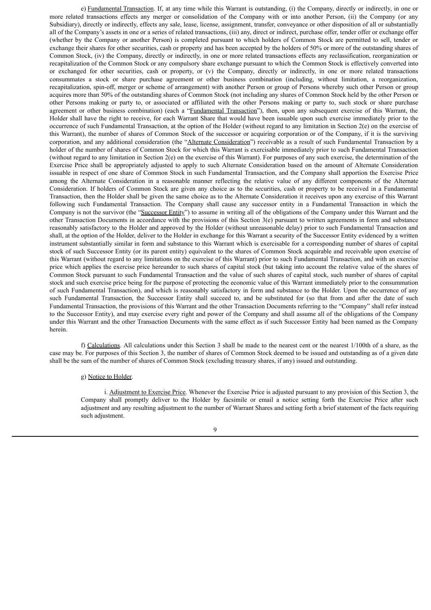e) Fundamental Transaction. If, at any time while this Warrant is outstanding, (i) the Company, directly or indirectly, in one or more related transactions effects any merger or consolidation of the Company with or into another Person, (ii) the Company (or any Subsidiary), directly or indirectly, effects any sale, lease, license, assignment, transfer, conveyance or other disposition of all or substantially all of the Company's assets in one or a series of related transactions, (iii) any, direct or indirect, purchase offer, tender offer or exchange offer (whether by the Company or another Person) is completed pursuant to which holders of Common Stock are permitted to sell, tender or exchange their shares for other securities, cash or property and has been accepted by the holders of 50% or more of the outstanding shares of Common Stock, (iv) the Company, directly or indirectly, in one or more related transactions effects any reclassification, reorganization or recapitalization of the Common Stock or any compulsory share exchange pursuant to which the Common Stock is effectively converted into or exchanged for other securities, cash or property, or (v) the Company, directly or indirectly, in one or more related transactions consummates a stock or share purchase agreement or other business combination (including, without limitation, a reorganization, recapitalization, spin-off, merger or scheme of arrangement) with another Person or group of Persons whereby such other Person or group acquires more than 50% of the outstanding shares of Common Stock (not including any shares of Common Stock held by the other Person or other Persons making or party to, or associated or affiliated with the other Persons making or party to, such stock or share purchase agreement or other business combination) (each a "Fundamental Transaction"), then, upon any subsequent exercise of this Warrant, the Holder shall have the right to receive, for each Warrant Share that would have been issuable upon such exercise immediately prior to the occurrence of such Fundamental Transaction, at the option of the Holder (without regard to any limitation in Section 2(e) on the exercise of this Warrant), the number of shares of Common Stock of the successor or acquiring corporation or of the Company, if it is the surviving corporation, and any additional consideration (the "Alternate Consideration") receivable as a result of such Fundamental Transaction by a holder of the number of shares of Common Stock for which this Warrant is exercisable immediately prior to such Fundamental Transaction (without regard to any limitation in Section 2(e) on the exercise of this Warrant). For purposes of any such exercise, the determination of the Exercise Price shall be appropriately adjusted to apply to such Alternate Consideration based on the amount of Alternate Consideration issuable in respect of one share of Common Stock in such Fundamental Transaction, and the Company shall apportion the Exercise Price among the Alternate Consideration in a reasonable manner reflecting the relative value of any different components of the Alternate Consideration. If holders of Common Stock are given any choice as to the securities, cash or property to be received in a Fundamental Transaction, then the Holder shall be given the same choice as to the Alternate Consideration it receives upon any exercise of this Warrant following such Fundamental Transaction. The Company shall cause any successor entity in a Fundamental Transaction in which the Company is not the survivor (the "Successor Entity") to assume in writing all of the obligations of the Company under this Warrant and the other Transaction Documents in accordance with the provisions of this Section 3(e) pursuant to written agreements in form and substance reasonably satisfactory to the Holder and approved by the Holder (without unreasonable delay) prior to such Fundamental Transaction and shall, at the option of the Holder, deliver to the Holder in exchange for this Warrant a security of the Successor Entity evidenced by a written instrument substantially similar in form and substance to this Warrant which is exercisable for a corresponding number of shares of capital stock of such Successor Entity (or its parent entity) equivalent to the shares of Common Stock acquirable and receivable upon exercise of this Warrant (without regard to any limitations on the exercise of this Warrant) prior to such Fundamental Transaction, and with an exercise price which applies the exercise price hereunder to such shares of capital stock (but taking into account the relative value of the shares of Common Stock pursuant to such Fundamental Transaction and the value of such shares of capital stock, such number of shares of capital stock and such exercise price being for the purpose of protecting the economic value of this Warrant immediately prior to the consummation of such Fundamental Transaction), and which is reasonably satisfactory in form and substance to the Holder. Upon the occurrence of any such Fundamental Transaction, the Successor Entity shall succeed to, and be substituted for (so that from and after the date of such Fundamental Transaction, the provisions of this Warrant and the other Transaction Documents referring to the "Company" shall refer instead to the Successor Entity), and may exercise every right and power of the Company and shall assume all of the obligations of the Company under this Warrant and the other Transaction Documents with the same effect as if such Successor Entity had been named as the Company herein.

f) Calculations. All calculations under this Section 3 shall be made to the nearest cent or the nearest 1/100th of a share, as the case may be. For purposes of this Section 3, the number of shares of Common Stock deemed to be issued and outstanding as of a given date shall be the sum of the number of shares of Common Stock (excluding treasury shares, if any) issued and outstanding.

### g) Notice to Holder.

i. Adjustment to Exercise Price. Whenever the Exercise Price is adjusted pursuant to any provision of this Section 3, the Company shall promptly deliver to the Holder by facsimile or email a notice setting forth the Exercise Price after such adjustment and any resulting adjustment to the number of Warrant Shares and setting forth a brief statement of the facts requiring such adjustment.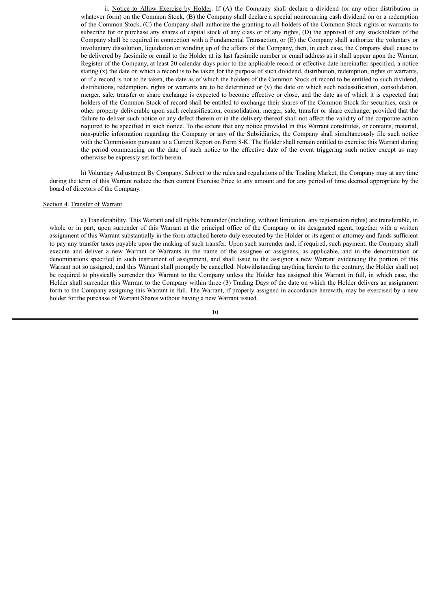ii. Notice to Allow Exercise by Holder. If (A) the Company shall declare a dividend (or any other distribution in whatever form) on the Common Stock, (B) the Company shall declare a special nonrecurring cash dividend on or a redemption of the Common Stock, (C) the Company shall authorize the granting to all holders of the Common Stock rights or warrants to subscribe for or purchase any shares of capital stock of any class or of any rights, (D) the approval of any stockholders of the Company shall be required in connection with a Fundamental Transaction, or (E) the Company shall authorize the voluntary or involuntary dissolution, liquidation or winding up of the affairs of the Company, then, in each case, the Company shall cause to be delivered by facsimile or email to the Holder at its last facsimile number or email address as it shall appear upon the Warrant Register of the Company, at least 20 calendar days prior to the applicable record or effective date hereinafter specified, a notice stating  $(x)$  the date on which a record is to be taken for the purpose of such dividend, distribution, redemption, rights or warrants, or if a record is not to be taken, the date as of which the holders of the Common Stock of record to be entitled to such dividend, distributions, redemption, rights or warrants are to be determined or (y) the date on which such reclassification, consolidation, merger, sale, transfer or share exchange is expected to become effective or close, and the date as of which it is expected that holders of the Common Stock of record shall be entitled to exchange their shares of the Common Stock for securities, cash or other property deliverable upon such reclassification, consolidation, merger, sale, transfer or share exchange; provided that the failure to deliver such notice or any defect therein or in the delivery thereof shall not affect the validity of the corporate action required to be specified in such notice. To the extent that any notice provided in this Warrant constitutes, or contains, material, non-public information regarding the Company or any of the Subsidiaries, the Company shall simultaneously file such notice with the Commission pursuant to a Current Report on Form 8-K. The Holder shall remain entitled to exercise this Warrant during the period commencing on the date of such notice to the effective date of the event triggering such notice except as may otherwise be expressly set forth herein.

h) Voluntary Adjustment By Company. Subject to the rules and regulations of the Trading Market, the Company may at any time during the term of this Warrant reduce the then current Exercise Price to any amount and for any period of time deemed appropriate by the board of directors of the Company.

#### Section 4. Transfer of Warrant.

a) Transferability. This Warrant and all rights hereunder (including, without limitation, any registration rights) are transferable, in whole or in part, upon surrender of this Warrant at the principal office of the Company or its designated agent, together with a written assignment of this Warrant substantially in the form attached hereto duly executed by the Holder or its agent or attorney and funds sufficient to pay any transfer taxes payable upon the making of such transfer. Upon such surrender and, if required, such payment, the Company shall execute and deliver a new Warrant or Warrants in the name of the assignee or assignees, as applicable, and in the denomination or denominations specified in such instrument of assignment, and shall issue to the assignor a new Warrant evidencing the portion of this Warrant not so assigned, and this Warrant shall promptly be cancelled. Notwithstanding anything herein to the contrary, the Holder shall not be required to physically surrender this Warrant to the Company unless the Holder has assigned this Warrant in full, in which case, the Holder shall surrender this Warrant to the Company within three (3) Trading Days of the date on which the Holder delivers an assignment form to the Company assigning this Warrant in full. The Warrant, if properly assigned in accordance herewith, may be exercised by a new holder for the purchase of Warrant Shares without having a new Warrant issued.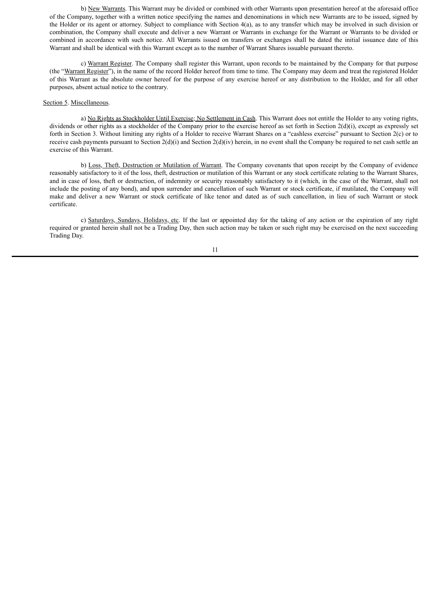b) New Warrants. This Warrant may be divided or combined with other Warrants upon presentation hereof at the aforesaid office of the Company, together with a written notice specifying the names and denominations in which new Warrants are to be issued, signed by the Holder or its agent or attorney. Subject to compliance with Section 4(a), as to any transfer which may be involved in such division or combination, the Company shall execute and deliver a new Warrant or Warrants in exchange for the Warrant or Warrants to be divided or combined in accordance with such notice. All Warrants issued on transfers or exchanges shall be dated the initial issuance date of this Warrant and shall be identical with this Warrant except as to the number of Warrant Shares issuable pursuant thereto.

c) Warrant Register. The Company shall register this Warrant, upon records to be maintained by the Company for that purpose (the "Warrant Register"), in the name of the record Holder hereof from time to time. The Company may deem and treat the registered Holder of this Warrant as the absolute owner hereof for the purpose of any exercise hereof or any distribution to the Holder, and for all other purposes, absent actual notice to the contrary.

#### Section 5. Miscellaneous.

a) No Rights as Stockholder Until Exercise; No Settlement in Cash. This Warrant does not entitle the Holder to any voting rights, dividends or other rights as a stockholder of the Company prior to the exercise hereof as set forth in Section  $2(d)(i)$ , except as expressly set forth in Section 3. Without limiting any rights of a Holder to receive Warrant Shares on a "cashless exercise" pursuant to Section 2(c) or to receive cash payments pursuant to Section  $2(d)(i)$  and Section  $2(d)(iv)$  herein, in no event shall the Company be required to net cash settle an exercise of this Warrant.

b) Loss, Theft, Destruction or Mutilation of Warrant. The Company covenants that upon receipt by the Company of evidence reasonably satisfactory to it of the loss, theft, destruction or mutilation of this Warrant or any stock certificate relating to the Warrant Shares, and in case of loss, theft or destruction, of indemnity or security reasonably satisfactory to it (which, in the case of the Warrant, shall not include the posting of any bond), and upon surrender and cancellation of such Warrant or stock certificate, if mutilated, the Company will make and deliver a new Warrant or stock certificate of like tenor and dated as of such cancellation, in lieu of such Warrant or stock certificate.

c) Saturdays, Sundays, Holidays, etc. If the last or appointed day for the taking of any action or the expiration of any right required or granted herein shall not be a Trading Day, then such action may be taken or such right may be exercised on the next succeeding Trading Day.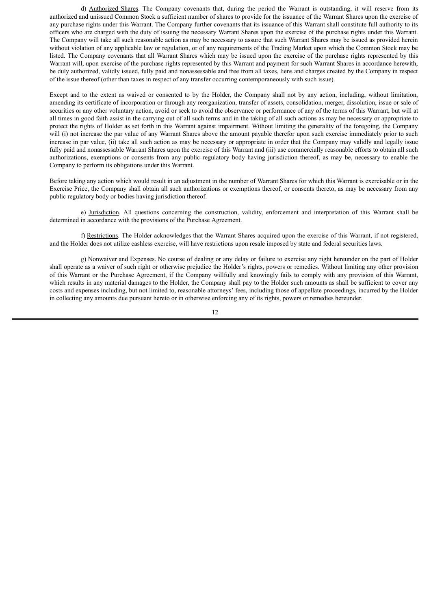d) Authorized Shares. The Company covenants that, during the period the Warrant is outstanding, it will reserve from its authorized and unissued Common Stock a sufficient number of shares to provide for the issuance of the Warrant Shares upon the exercise of any purchase rights under this Warrant. The Company further covenants that its issuance of this Warrant shall constitute full authority to its officers who are charged with the duty of issuing the necessary Warrant Shares upon the exercise of the purchase rights under this Warrant. The Company will take all such reasonable action as may be necessary to assure that such Warrant Shares may be issued as provided herein without violation of any applicable law or regulation, or of any requirements of the Trading Market upon which the Common Stock may be listed. The Company covenants that all Warrant Shares which may be issued upon the exercise of the purchase rights represented by this Warrant will, upon exercise of the purchase rights represented by this Warrant and payment for such Warrant Shares in accordance herewith, be duly authorized, validly issued, fully paid and nonassessable and free from all taxes, liens and charges created by the Company in respect of the issue thereof (other than taxes in respect of any transfer occurring contemporaneously with such issue).

Except and to the extent as waived or consented to by the Holder, the Company shall not by any action, including, without limitation, amending its certificate of incorporation or through any reorganization, transfer of assets, consolidation, merger, dissolution, issue or sale of securities or any other voluntary action, avoid or seek to avoid the observance or performance of any of the terms of this Warrant, but will at all times in good faith assist in the carrying out of all such terms and in the taking of all such actions as may be necessary or appropriate to protect the rights of Holder as set forth in this Warrant against impairment. Without limiting the generality of the foregoing, the Company will (i) not increase the par value of any Warrant Shares above the amount payable therefor upon such exercise immediately prior to such increase in par value, (ii) take all such action as may be necessary or appropriate in order that the Company may validly and legally issue fully paid and nonassessable Warrant Shares upon the exercise of this Warrant and (iii) use commercially reasonable efforts to obtain all such authorizations, exemptions or consents from any public regulatory body having jurisdiction thereof, as may be, necessary to enable the Company to perform its obligations under this Warrant.

Before taking any action which would result in an adjustment in the number of Warrant Shares for which this Warrant is exercisable or in the Exercise Price, the Company shall obtain all such authorizations or exemptions thereof, or consents thereto, as may be necessary from any public regulatory body or bodies having jurisdiction thereof.

e) Jurisdiction. All questions concerning the construction, validity, enforcement and interpretation of this Warrant shall be determined in accordance with the provisions of the Purchase Agreement.

f) Restrictions. The Holder acknowledges that the Warrant Shares acquired upon the exercise of this Warrant, if not registered, and the Holder does not utilize cashless exercise, will have restrictions upon resale imposed by state and federal securities laws.

g) Nonwaiver and Expenses. No course of dealing or any delay or failure to exercise any right hereunder on the part of Holder shall operate as a waiver of such right or otherwise prejudice the Holder's rights, powers or remedies. Without limiting any other provision of this Warrant or the Purchase Agreement, if the Company willfully and knowingly fails to comply with any provision of this Warrant, which results in any material damages to the Holder, the Company shall pay to the Holder such amounts as shall be sufficient to cover any costs and expenses including, but not limited to, reasonable attorneys' fees, including those of appellate proceedings, incurred by the Holder in collecting any amounts due pursuant hereto or in otherwise enforcing any of its rights, powers or remedies hereunder.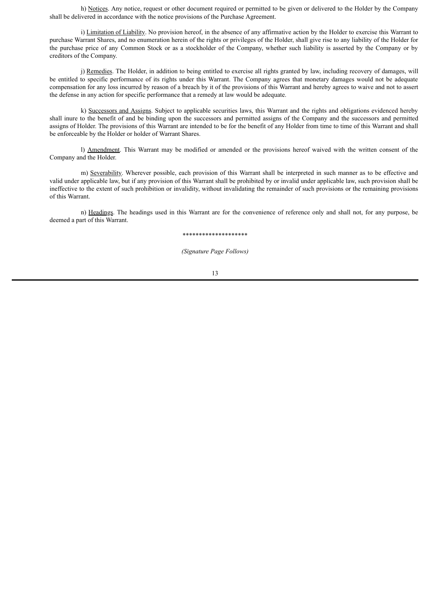h) Notices. Any notice, request or other document required or permitted to be given or delivered to the Holder by the Company shall be delivered in accordance with the notice provisions of the Purchase Agreement.

i) Limitation of Liability. No provision hereof, in the absence of any affirmative action by the Holder to exercise this Warrant to purchase Warrant Shares, and no enumeration herein of the rights or privileges of the Holder, shall give rise to any liability of the Holder for the purchase price of any Common Stock or as a stockholder of the Company, whether such liability is asserted by the Company or by creditors of the Company.

j) Remedies. The Holder, in addition to being entitled to exercise all rights granted by law, including recovery of damages, will be entitled to specific performance of its rights under this Warrant. The Company agrees that monetary damages would not be adequate compensation for any loss incurred by reason of a breach by it of the provisions of this Warrant and hereby agrees to waive and not to assert the defense in any action for specific performance that a remedy at law would be adequate.

k) Successors and Assigns. Subject to applicable securities laws, this Warrant and the rights and obligations evidenced hereby shall inure to the benefit of and be binding upon the successors and permitted assigns of the Company and the successors and permitted assigns of Holder. The provisions of this Warrant are intended to be for the benefit of any Holder from time to time of this Warrant and shall be enforceable by the Holder or holder of Warrant Shares.

l) Amendment. This Warrant may be modified or amended or the provisions hereof waived with the written consent of the Company and the Holder.

m) Severability. Wherever possible, each provision of this Warrant shall be interpreted in such manner as to be effective and valid under applicable law, but if any provision of this Warrant shall be prohibited by or invalid under applicable law, such provision shall be ineffective to the extent of such prohibition or invalidity, without invalidating the remainder of such provisions or the remaining provisions of this Warrant.

n) Headings. The headings used in this Warrant are for the convenience of reference only and shall not, for any purpose, be deemed a part of this Warrant.

#### \*\*\*\*\*\*\*\*\*\*\*\*\*\*\*\*\*\*\*\*

*(Signature Page Follows)*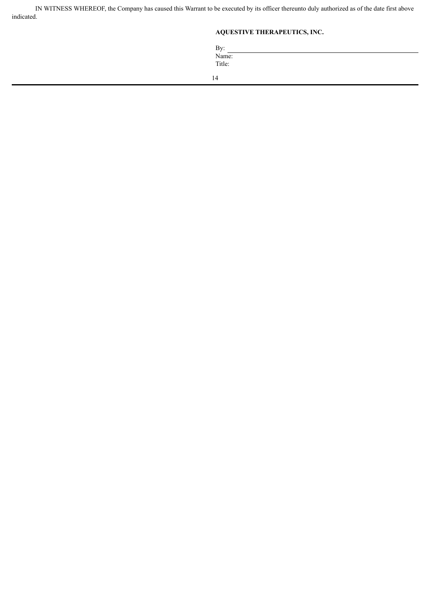IN WITNESS WHEREOF, the Company has caused this Warrant to be executed by its officer thereunto duly authorized as of the date first above indicated.

# **AQUESTIVE THERAPEUTICS, INC.**

| Name:  |  |  |  |
|--------|--|--|--|
| Title: |  |  |  |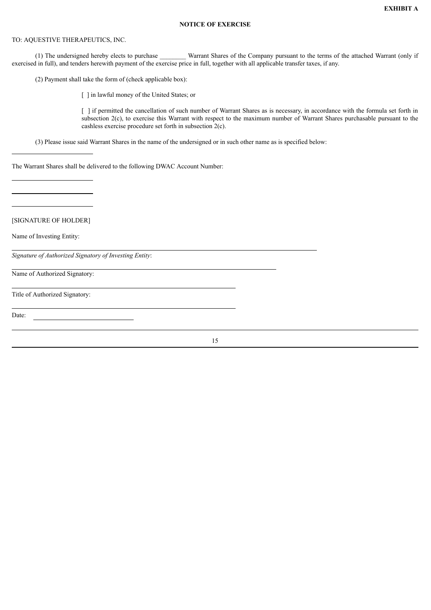#### **NOTICE OF EXERCISE**

#### TO: AQUESTIVE THERAPEUTICS, INC.

(1) The undersigned hereby elects to purchase \_\_\_\_\_\_\_\_ Warrant Shares of the Company pursuant to the terms of the attached Warrant (only if exercised in full), and tenders herewith payment of the exercise price in full, together with all applicable transfer taxes, if any.

(2) Payment shall take the form of (check applicable box):

[ ] in lawful money of the United States; or

[ ] if permitted the cancellation of such number of Warrant Shares as is necessary, in accordance with the formula set forth in subsection 2(c), to exercise this Warrant with respect to the maximum number of Warrant Shares purchasable pursuant to the cashless exercise procedure set forth in subsection 2(c).

(3) Please issue said Warrant Shares in the name of the undersigned or in such other name as is specified below:

The Warrant Shares shall be delivered to the following DWAC Account Number:

[SIGNATURE OF HOLDER]

Name of Investing Entity:

*Signature of Authorized Signatory of Investing Entity*:

Name of Authorized Signatory:

Title of Authorized Signatory:

Date: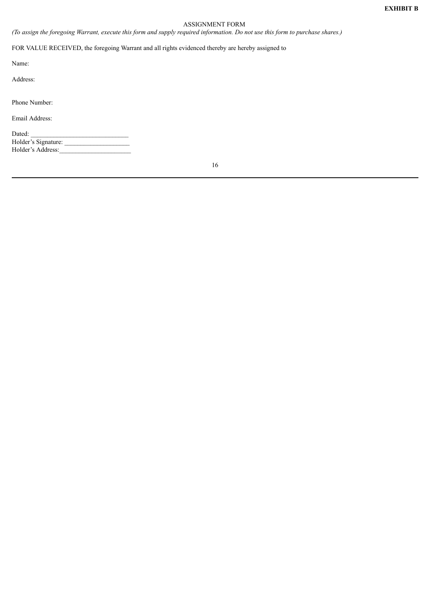# ASSIGNMENT FORM

(To assign the foregoing Warrant, execute this form and supply required information. Do not use this form to purchase shares.)

FOR VALUE RECEIVED, the foregoing Warrant and all rights evidenced thereby are hereby assigned to

Name:

Address:

Phone Number:

Email Address:

Dated: \_\_\_\_\_\_\_\_\_\_\_\_\_\_\_\_\_\_\_\_\_\_\_\_\_\_\_\_\_\_ Holder's Signature: Holder's Address: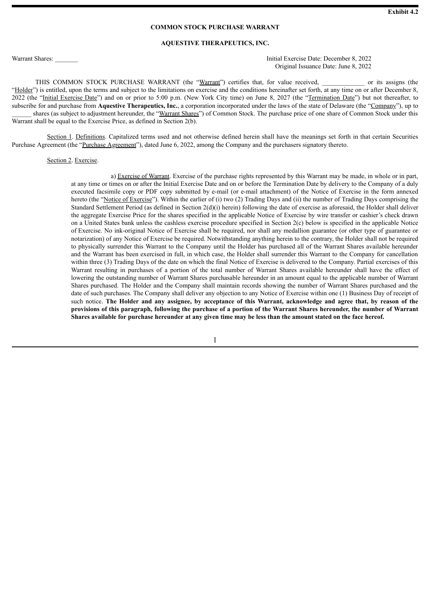#### **COMMON STOCK PURCHASE WARRANT**

#### **AQUESTIVE THERAPEUTICS, INC.**

<span id="page-29-0"></span>Warrant Shares: **Exercise Date: December 8, 2022** Initial Exercise Date: December 8, 2022 Original Issuance Date: June 8, 2022

THIS COMMON STOCK PURCHASE WARRANT (the "Warrant") certifies that, for value received, \_\_\_\_\_\_\_\_\_\_\_\_ or its assigns (the "Holder") is entitled, upon the terms and subject to the limitations on exercise and the conditions hereinafter set forth, at any time on or after December 8, 2022 (the "Initial Exercise Date") and on or prior to 5:00 p.m. (New York City time) on June 8, 2027 (the "Termination Date") but not thereafter, to subscribe for and purchase from **Aquestive Therapeutics, Inc.**, a corporation incorporated under the laws of the state of Delaware (the "Company"), up to shares (as subject to adjustment hereunder, the "Warrant Shares") of Common Stock. The purchase price of one share of Common Stock under this Warrant shall be equal to the Exercise Price, as defined in Section 2(b).

Section 1. Definitions. Capitalized terms used and not otherwise defined herein shall have the meanings set forth in that certain Securities Purchase Agreement (the "Purchase Agreement"), dated June 6, 2022, among the Company and the purchasers signatory thereto.

#### Section 2. Exercise.

a) Exercise of Warrant. Exercise of the purchase rights represented by this Warrant may be made, in whole or in part, at any time or times on or after the Initial Exercise Date and on or before the Termination Date by delivery to the Company of a duly executed facsimile copy or PDF copy submitted by e-mail (or e-mail attachment) of the Notice of Exercise in the form annexed hereto (the "Notice of Exercise"). Within the earlier of (i) two (2) Trading Days and (ii) the number of Trading Days comprising the Standard Settlement Period (as defined in Section 2(d)(i) herein) following the date of exercise as aforesaid, the Holder shall deliver the aggregate Exercise Price for the shares specified in the applicable Notice of Exercise by wire transfer or cashier's check drawn on a United States bank unless the cashless exercise procedure specified in Section 2(c) below is specified in the applicable Notice of Exercise. No ink-original Notice of Exercise shall be required, nor shall any medallion guarantee (or other type of guarantee or notarization) of any Notice of Exercise be required. Notwithstanding anything herein to the contrary, the Holder shall not be required to physically surrender this Warrant to the Company until the Holder has purchased all of the Warrant Shares available hereunder and the Warrant has been exercised in full, in which case, the Holder shall surrender this Warrant to the Company for cancellation within three (3) Trading Days of the date on which the final Notice of Exercise is delivered to the Company. Partial exercises of this Warrant resulting in purchases of a portion of the total number of Warrant Shares available hereunder shall have the effect of lowering the outstanding number of Warrant Shares purchasable hereunder in an amount equal to the applicable number of Warrant Shares purchased. The Holder and the Company shall maintain records showing the number of Warrant Shares purchased and the date of such purchases. The Company shall deliver any objection to any Notice of Exercise within one (1) Business Day of receipt of such notice. The Holder and any assignee, by acceptance of this Warrant, acknowledge and agree that, by reason of the provisions of this paragraph, following the purchase of a portion of the Warrant Shares hereunder, the number of Warrant Shares available for purchase hereunder at any given time may be less than the amount stated on the face hereof.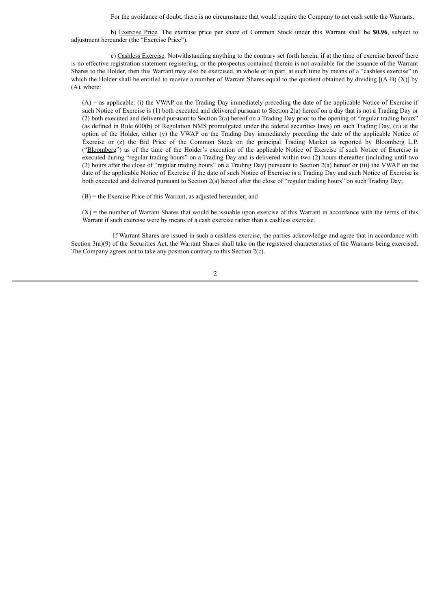For the avoidance of doubt, there is no circumstance that would require the Company to net cash settle the Warrants.

b) Exercise Price. The exercise price per share of Common Stock under this Warrant shall be **\$0.96**, subject to adjustment hereunder (the "Exercise Price").

c) Cashless Exercise. Notwithstanding anything to the contrary set forth herein, if at the time of exercise hereof there is no effective registration statement registering, or the prospectus contained therein is not available for the issuance of the Warrant Shares to the Holder, then this Warrant may also be exercised, in whole or in part, at such time by means of a "cashless exercise" in which the Holder shall be entitled to receive a number of Warrant Shares equal to the quotient obtained by dividing [(A-B) (X)] by (A), where:

(A) = as applicable: (i) the VWAP on the Trading Day immediately preceding the date of the applicable Notice of Exercise if such Notice of Exercise is (1) both executed and delivered pursuant to Section 2(a) hereof on a day that is not a Trading Day or (2) both executed and delivered pursuant to Section 2(a) hereof on a Trading Day prior to the opening of "regular trading hours" (as defined in Rule 600(b) of Regulation NMS promulgated under the federal securities laws) on such Trading Day, (ii) at the option of the Holder, either (y) the VWAP on the Trading Day immediately preceding the date of the applicable Notice of Exercise or (z) the Bid Price of the Common Stock on the principal Trading Market as reported by Bloomberg L.P. ("Bloomberg") as of the time of the Holder's execution of the applicable Notice of Exercise if such Notice of Exercise is executed during "regular trading hours" on a Trading Day and is delivered within two (2) hours thereafter (including until two (2) hours after the close of "regular trading hours" on a Trading Day) pursuant to Section 2(a) hereof or (iii) the VWAP on the date of the applicable Notice of Exercise if the date of such Notice of Exercise is a Trading Day and such Notice of Exercise is both executed and delivered pursuant to Section 2(a) hereof after the close of "regular trading hours" on such Trading Day;

(B) = the Exercise Price of this Warrant, as adjusted hereunder; and

 $(X)$  = the number of Warrant Shares that would be issuable upon exercise of this Warrant in accordance with the terms of this Warrant if such exercise were by means of a cash exercise rather than a cashless exercise.

If Warrant Shares are issued in such a cashless exercise, the parties acknowledge and agree that in accordance with Section  $3(a)(9)$  of the Securities Act, the Warrant Shares shall take on the registered characteristics of the Warrants being exercised. The Company agrees not to take any position contrary to this Section 2(c).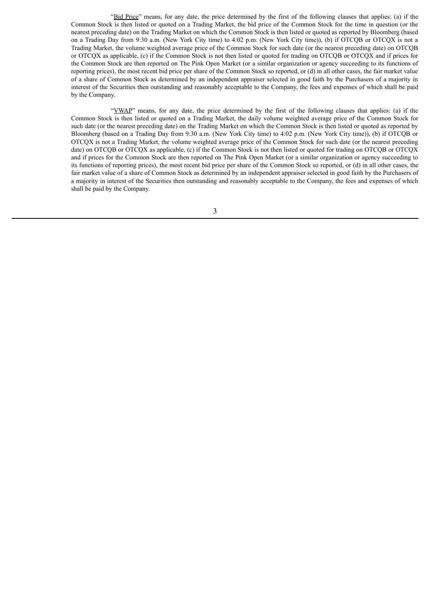"Bid Price" means, for any date, the price determined by the first of the following clauses that applies: (a) if the Common Stock is then listed or quoted on a Trading Market, the bid price of the Common Stock for the time in question (or the nearest preceding date) on the Trading Market on which the Common Stock is then listed or quoted as reported by Bloomberg (based on a Trading Day from 9:30 a.m. (New York City time) to 4:02 p.m. (New York City time)), (b) if OTCQB or OTCQX is not a Trading Market, the volume weighted average price of the Common Stock for such date (or the nearest preceding date) on OTCQB or OTCQX as applicable, (c) if the Common Stock is not then listed or quoted for trading on OTCQB or OTCQX and if prices for the Common Stock are then reported on The Pink Open Market (or a similar organization or agency succeeding to its functions of reporting prices), the most recent bid price per share of the Common Stock so reported, or (d) in all other cases, the fair market value of a share of Common Stock as determined by an independent appraiser selected in good faith by the Purchasers of a majority in interest of the Securities then outstanding and reasonably acceptable to the Company, the fees and expenses of which shall be paid by the Company.

"VWAP" means, for any date, the price determined by the first of the following clauses that applies: (a) if the Common Stock is then listed or quoted on a Trading Market, the daily volume weighted average price of the Common Stock for such date (or the nearest preceding date) on the Trading Market on which the Common Stock is then listed or quoted as reported by Bloomberg (based on a Trading Day from 9:30 a.m. (New York City time) to 4:02 p.m. (New York City time)), (b) if OTCQB or OTCQX is not a Trading Market, the volume weighted average price of the Common Stock for such date (or the nearest preceding date) on OTCQB or OTCQX as applicable, (c) if the Common Stock is not then listed or quoted for trading on OTCQB or OTCQX and if prices for the Common Stock are then reported on The Pink Open Market (or a similar organization or agency succeeding to its functions of reporting prices), the most recent bid price per share of the Common Stock so reported, or (d) in all other cases, the fair market value of a share of Common Stock as determined by an independent appraiser selected in good faith by the Purchasers of a majority in interest of the Securities then outstanding and reasonably acceptable to the Company, the fees and expenses of which shall be paid by the Company.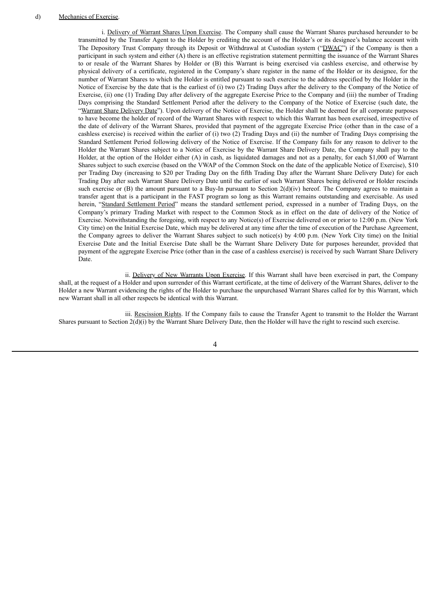#### d) Mechanics of Exercise.

i. Delivery of Warrant Shares Upon Exercise. The Company shall cause the Warrant Shares purchased hereunder to be transmitted by the Transfer Agent to the Holder by crediting the account of the Holder's or its designee's balance account with The Depository Trust Company through its Deposit or Withdrawal at Custodian system ("DWAC") if the Company is then a participant in such system and either (A) there is an effective registration statement permitting the issuance of the Warrant Shares to or resale of the Warrant Shares by Holder or (B) this Warrant is being exercised via cashless exercise, and otherwise by physical delivery of a certificate, registered in the Company's share register in the name of the Holder or its designee, for the number of Warrant Shares to which the Holder is entitled pursuant to such exercise to the address specified by the Holder in the Notice of Exercise by the date that is the earliest of (i) two (2) Trading Days after the delivery to the Company of the Notice of Exercise, (ii) one (1) Trading Day after delivery of the aggregate Exercise Price to the Company and (iii) the number of Trading Days comprising the Standard Settlement Period after the delivery to the Company of the Notice of Exercise (such date, the "Warrant Share Delivery Date"). Upon delivery of the Notice of Exercise, the Holder shall be deemed for all corporate purposes to have become the holder of record of the Warrant Shares with respect to which this Warrant has been exercised, irrespective of the date of delivery of the Warrant Shares, provided that payment of the aggregate Exercise Price (other than in the case of a cashless exercise) is received within the earlier of (i) two (2) Trading Days and (ii) the number of Trading Days comprising the Standard Settlement Period following delivery of the Notice of Exercise. If the Company fails for any reason to deliver to the Holder the Warrant Shares subject to a Notice of Exercise by the Warrant Share Delivery Date, the Company shall pay to the Holder, at the option of the Holder either (A) in cash, as liquidated damages and not as a penalty, for each \$1,000 of Warrant Shares subject to such exercise (based on the VWAP of the Common Stock on the date of the applicable Notice of Exercise), \$10 per Trading Day (increasing to \$20 per Trading Day on the fifth Trading Day after the Warrant Share Delivery Date) for each Trading Day after such Warrant Share Delivery Date until the earlier of such Warrant Shares being delivered or Holder rescinds such exercise or (B) the amount pursuant to a Buy-In pursuant to Section  $2(d)(iv)$  hereof. The Company agrees to maintain a transfer agent that is a participant in the FAST program so long as this Warrant remains outstanding and exercisable. As used herein, "Standard Settlement Period" means the standard settlement period, expressed in a number of Trading Days, on the Company's primary Trading Market with respect to the Common Stock as in effect on the date of delivery of the Notice of Exercise. Notwithstanding the foregoing, with respect to any Notice(s) of Exercise delivered on or prior to 12:00 p.m. (New York City time) on the Initial Exercise Date, which may be delivered at any time after the time of execution of the Purchase Agreement, the Company agrees to deliver the Warrant Shares subject to such notice(s) by 4:00 p.m. (New York City time) on the Initial Exercise Date and the Initial Exercise Date shall be the Warrant Share Delivery Date for purposes hereunder, provided that payment of the aggregate Exercise Price (other than in the case of a cashless exercise) is received by such Warrant Share Delivery Date.

ii. Delivery of New Warrants Upon Exercise. If this Warrant shall have been exercised in part, the Company shall, at the request of a Holder and upon surrender of this Warrant certificate, at the time of delivery of the Warrant Shares, deliver to the Holder a new Warrant evidencing the rights of the Holder to purchase the unpurchased Warrant Shares called for by this Warrant, which new Warrant shall in all other respects be identical with this Warrant.

iii. Rescission Rights. If the Company fails to cause the Transfer Agent to transmit to the Holder the Warrant Shares pursuant to Section  $2(d)(i)$  by the Warrant Share Delivery Date, then the Holder will have the right to rescind such exercise.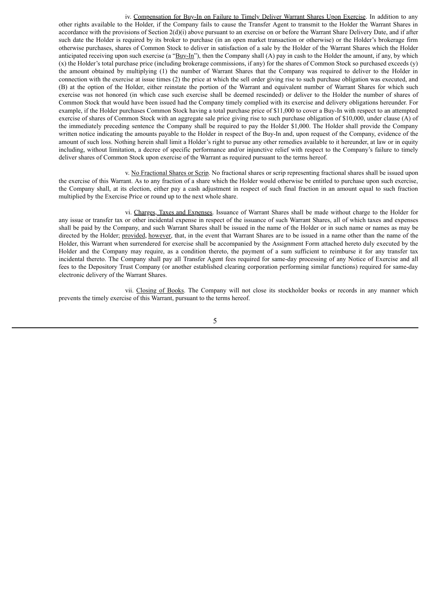iv. Compensation for Buy-In on Failure to Timely Deliver Warrant Shares Upon Exercise. In addition to any other rights available to the Holder, if the Company fails to cause the Transfer Agent to transmit to the Holder the Warrant Shares in accordance with the provisions of Section 2(d)(i) above pursuant to an exercise on or before the Warrant Share Delivery Date, and if after such date the Holder is required by its broker to purchase (in an open market transaction or otherwise) or the Holder's brokerage firm otherwise purchases, shares of Common Stock to deliver in satisfaction of a sale by the Holder of the Warrant Shares which the Holder anticipated receiving upon such exercise (a " $\frac{Byy-In}{y}$ "), then the Company shall (A) pay in cash to the Holder the amount, if any, by which (x) the Holder's total purchase price (including brokerage commissions, if any) for the shares of Common Stock so purchased exceeds (y) the amount obtained by multiplying (1) the number of Warrant Shares that the Company was required to deliver to the Holder in connection with the exercise at issue times (2) the price at which the sell order giving rise to such purchase obligation was executed, and (B) at the option of the Holder, either reinstate the portion of the Warrant and equivalent number of Warrant Shares for which such exercise was not honored (in which case such exercise shall be deemed rescinded) or deliver to the Holder the number of shares of Common Stock that would have been issued had the Company timely complied with its exercise and delivery obligations hereunder. For example, if the Holder purchases Common Stock having a total purchase price of \$11,000 to cover a Buy-In with respect to an attempted exercise of shares of Common Stock with an aggregate sale price giving rise to such purchase obligation of \$10,000, under clause (A) of the immediately preceding sentence the Company shall be required to pay the Holder \$1,000. The Holder shall provide the Company written notice indicating the amounts payable to the Holder in respect of the Buy-In and, upon request of the Company, evidence of the amount of such loss. Nothing herein shall limit a Holder's right to pursue any other remedies available to it hereunder, at law or in equity including, without limitation, a decree of specific performance and/or injunctive relief with respect to the Company's failure to timely deliver shares of Common Stock upon exercise of the Warrant as required pursuant to the terms hereof.

v. No Fractional Shares or Scrip. No fractional shares or scrip representing fractional shares shall be issued upon the exercise of this Warrant. As to any fraction of a share which the Holder would otherwise be entitled to purchase upon such exercise, the Company shall, at its election, either pay a cash adjustment in respect of such final fraction in an amount equal to such fraction multiplied by the Exercise Price or round up to the next whole share.

vi. Charges, Taxes and Expenses. Issuance of Warrant Shares shall be made without charge to the Holder for any issue or transfer tax or other incidental expense in respect of the issuance of such Warrant Shares, all of which taxes and expenses shall be paid by the Company, and such Warrant Shares shall be issued in the name of the Holder or in such name or names as may be directed by the Holder; provided, however, that, in the event that Warrant Shares are to be issued in a name other than the name of the Holder, this Warrant when surrendered for exercise shall be accompanied by the Assignment Form attached hereto duly executed by the Holder and the Company may require, as a condition thereto, the payment of a sum sufficient to reimburse it for any transfer tax incidental thereto. The Company shall pay all Transfer Agent fees required for same-day processing of any Notice of Exercise and all fees to the Depository Trust Company (or another established clearing corporation performing similar functions) required for same-day electronic delivery of the Warrant Shares.

vii. Closing of Books. The Company will not close its stockholder books or records in any manner which prevents the timely exercise of this Warrant, pursuant to the terms hereof.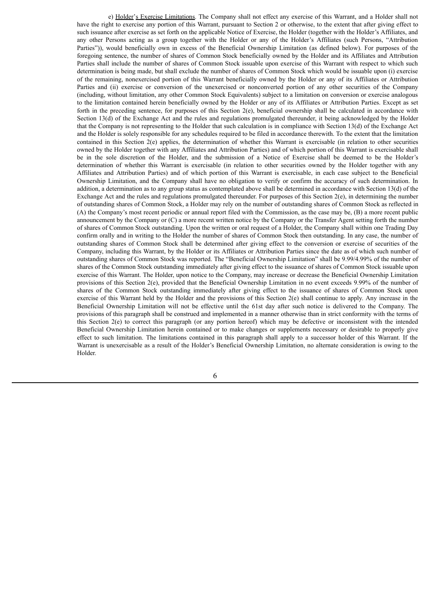e) Holder's Exercise Limitations. The Company shall not effect any exercise of this Warrant, and a Holder shall not have the right to exercise any portion of this Warrant, pursuant to Section 2 or otherwise, to the extent that after giving effect to such issuance after exercise as set forth on the applicable Notice of Exercise, the Holder (together with the Holder's Affiliates, and any other Persons acting as a group together with the Holder or any of the Holder's Affiliates (such Persons, "Attribution Parties")), would beneficially own in excess of the Beneficial Ownership Limitation (as defined below). For purposes of the foregoing sentence, the number of shares of Common Stock beneficially owned by the Holder and its Affiliates and Attribution Parties shall include the number of shares of Common Stock issuable upon exercise of this Warrant with respect to which such determination is being made, but shall exclude the number of shares of Common Stock which would be issuable upon (i) exercise of the remaining, nonexercised portion of this Warrant beneficially owned by the Holder or any of its Affiliates or Attribution Parties and (ii) exercise or conversion of the unexercised or nonconverted portion of any other securities of the Company (including, without limitation, any other Common Stock Equivalents) subject to a limitation on conversion or exercise analogous to the limitation contained herein beneficially owned by the Holder or any of its Affiliates or Attribution Parties. Except as set forth in the preceding sentence, for purposes of this Section 2(e), beneficial ownership shall be calculated in accordance with Section 13(d) of the Exchange Act and the rules and regulations promulgated thereunder, it being acknowledged by the Holder that the Company is not representing to the Holder that such calculation is in compliance with Section 13(d) of the Exchange Act and the Holder is solely responsible for any schedules required to be filed in accordance therewith. To the extent that the limitation contained in this Section 2(e) applies, the determination of whether this Warrant is exercisable (in relation to other securities owned by the Holder together with any Affiliates and Attribution Parties) and of which portion of this Warrant is exercisable shall be in the sole discretion of the Holder, and the submission of a Notice of Exercise shall be deemed to be the Holder's determination of whether this Warrant is exercisable (in relation to other securities owned by the Holder together with any Affiliates and Attribution Parties) and of which portion of this Warrant is exercisable, in each case subject to the Beneficial Ownership Limitation, and the Company shall have no obligation to verify or confirm the accuracy of such determination. In addition, a determination as to any group status as contemplated above shall be determined in accordance with Section 13(d) of the Exchange Act and the rules and regulations promulgated thereunder. For purposes of this Section 2(e), in determining the number of outstanding shares of Common Stock, a Holder may rely on the number of outstanding shares of Common Stock as reflected in (A) the Company's most recent periodic or annual report filed with the Commission, as the case may be, (B) a more recent public announcement by the Company or (C) a more recent written notice by the Company or the Transfer Agent setting forth the number of shares of Common Stock outstanding. Upon the written or oral request of a Holder, the Company shall within one Trading Day confirm orally and in writing to the Holder the number of shares of Common Stock then outstanding. In any case, the number of outstanding shares of Common Stock shall be determined after giving effect to the conversion or exercise of securities of the Company, including this Warrant, by the Holder or its Affiliates or Attribution Parties since the date as of which such number of outstanding shares of Common Stock was reported. The "Beneficial Ownership Limitation" shall be 9.99/4.99% of the number of shares of the Common Stock outstanding immediately after giving effect to the issuance of shares of Common Stock issuable upon exercise of this Warrant. The Holder, upon notice to the Company, may increase or decrease the Beneficial Ownership Limitation provisions of this Section 2(e), provided that the Beneficial Ownership Limitation in no event exceeds 9.99% of the number of shares of the Common Stock outstanding immediately after giving effect to the issuance of shares of Common Stock upon exercise of this Warrant held by the Holder and the provisions of this Section 2(e) shall continue to apply. Any increase in the Beneficial Ownership Limitation will not be effective until the 61st day after such notice is delivered to the Company. The provisions of this paragraph shall be construed and implemented in a manner otherwise than in strict conformity with the terms of this Section 2(e) to correct this paragraph (or any portion hereof) which may be defective or inconsistent with the intended Beneficial Ownership Limitation herein contained or to make changes or supplements necessary or desirable to properly give effect to such limitation. The limitations contained in this paragraph shall apply to a successor holder of this Warrant. If the Warrant is unexercisable as a result of the Holder's Beneficial Ownership Limitation, no alternate consideration is owing to the Holder.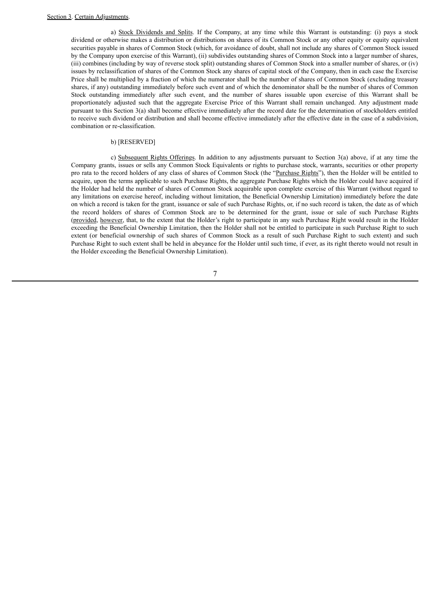a) Stock Dividends and Splits. If the Company, at any time while this Warrant is outstanding: (i) pays a stock dividend or otherwise makes a distribution or distributions on shares of its Common Stock or any other equity or equity equivalent securities payable in shares of Common Stock (which, for avoidance of doubt, shall not include any shares of Common Stock issued by the Company upon exercise of this Warrant), (ii) subdivides outstanding shares of Common Stock into a larger number of shares, (iii) combines (including by way of reverse stock split) outstanding shares of Common Stock into a smaller number of shares, or (iv) issues by reclassification of shares of the Common Stock any shares of capital stock of the Company, then in each case the Exercise Price shall be multiplied by a fraction of which the numerator shall be the number of shares of Common Stock (excluding treasury shares, if any) outstanding immediately before such event and of which the denominator shall be the number of shares of Common Stock outstanding immediately after such event, and the number of shares issuable upon exercise of this Warrant shall be proportionately adjusted such that the aggregate Exercise Price of this Warrant shall remain unchanged. Any adjustment made pursuant to this Section 3(a) shall become effective immediately after the record date for the determination of stockholders entitled to receive such dividend or distribution and shall become effective immediately after the effective date in the case of a subdivision, combination or re-classification.

#### b) [RESERVED]

c) Subsequent Rights Offerings. In addition to any adjustments pursuant to Section 3(a) above, if at any time the Company grants, issues or sells any Common Stock Equivalents or rights to purchase stock, warrants, securities or other property pro rata to the record holders of any class of shares of Common Stock (the "Purchase Rights"), then the Holder will be entitled to acquire, upon the terms applicable to such Purchase Rights, the aggregate Purchase Rights which the Holder could have acquired if the Holder had held the number of shares of Common Stock acquirable upon complete exercise of this Warrant (without regard to any limitations on exercise hereof, including without limitation, the Beneficial Ownership Limitation) immediately before the date on which a record is taken for the grant, issuance or sale of such Purchase Rights, or, if no such record is taken, the date as of which the record holders of shares of Common Stock are to be determined for the grant, issue or sale of such Purchase Rights (provided, however, that, to the extent that the Holder's right to participate in any such Purchase Right would result in the Holder exceeding the Beneficial Ownership Limitation, then the Holder shall not be entitled to participate in such Purchase Right to such extent (or beneficial ownership of such shares of Common Stock as a result of such Purchase Right to such extent) and such Purchase Right to such extent shall be held in abeyance for the Holder until such time, if ever, as its right thereto would not result in the Holder exceeding the Beneficial Ownership Limitation).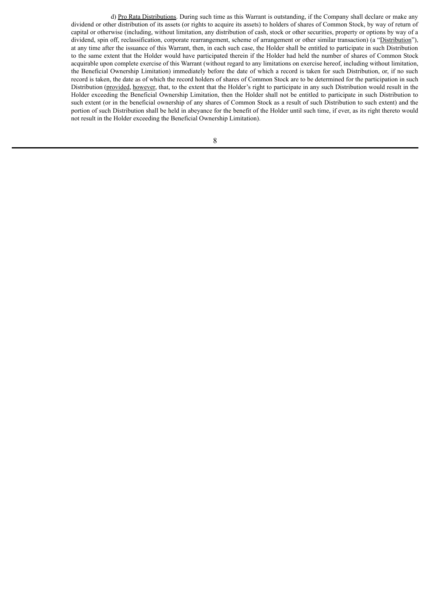d) Pro Rata Distributions. During such time as this Warrant is outstanding, if the Company shall declare or make any dividend or other distribution of its assets (or rights to acquire its assets) to holders of shares of Common Stock, by way of return of capital or otherwise (including, without limitation, any distribution of cash, stock or other securities, property or options by way of a dividend, spin off, reclassification, corporate rearrangement, scheme of arrangement or other similar transaction) (a "Distribution"), at any time after the issuance of this Warrant, then, in each such case, the Holder shall be entitled to participate in such Distribution to the same extent that the Holder would have participated therein if the Holder had held the number of shares of Common Stock acquirable upon complete exercise of this Warrant (without regard to any limitations on exercise hereof, including without limitation, the Beneficial Ownership Limitation) immediately before the date of which a record is taken for such Distribution, or, if no such record is taken, the date as of which the record holders of shares of Common Stock are to be determined for the participation in such Distribution (provided, however, that, to the extent that the Holder's right to participate in any such Distribution would result in the Holder exceeding the Beneficial Ownership Limitation, then the Holder shall not be entitled to participate in such Distribution to such extent (or in the beneficial ownership of any shares of Common Stock as a result of such Distribution to such extent) and the portion of such Distribution shall be held in abeyance for the benefit of the Holder until such time, if ever, as its right thereto would not result in the Holder exceeding the Beneficial Ownership Limitation).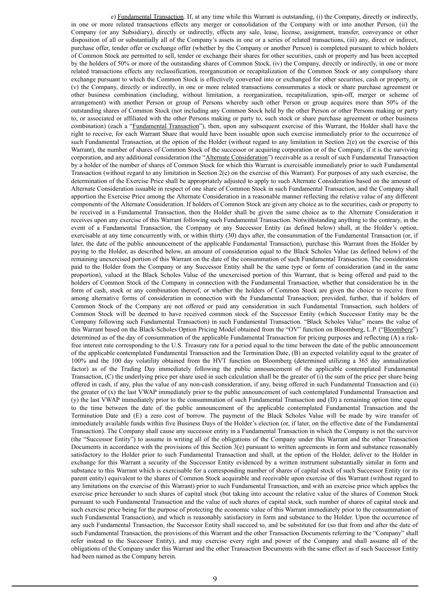e) Fundamental Transaction. If, at any time while this Warrant is outstanding, (i) the Company, directly or indirectly, in one or more related transactions effects any merger or consolidation of the Company with or into another Person, (ii) the Company (or any Subsidiary), directly or indirectly, effects any sale, lease, license, assignment, transfer, conveyance or other disposition of all or substantially all of the Company's assets in one or a series of related transactions, (iii) any, direct or indirect, purchase offer, tender offer or exchange offer (whether by the Company or another Person) is completed pursuant to which holders of Common Stock are permitted to sell, tender or exchange their shares for other securities, cash or property and has been accepted by the holders of 50% or more of the outstanding shares of Common Stock, (iv) the Company, directly or indirectly, in one or more related transactions effects any reclassification, reorganization or recapitalization of the Common Stock or any compulsory share exchange pursuant to which the Common Stock is effectively converted into or exchanged for other securities, cash or property, or (v) the Company, directly or indirectly, in one or more related transactions consummates a stock or share purchase agreement or other business combination (including, without limitation, a reorganization, recapitalization, spin-off, merger or scheme of arrangement) with another Person or group of Persons whereby such other Person or group acquires more than 50% of the outstanding shares of Common Stock (not including any Common Stock held by the other Person or other Persons making or party to, or associated or affiliated with the other Persons making or party to, such stock or share purchase agreement or other business combination) (each a "Fundamental Transaction"), then, upon any subsequent exercise of this Warrant, the Holder shall have the right to receive, for each Warrant Share that would have been issuable upon such exercise immediately prior to the occurrence of such Fundamental Transaction, at the option of the Holder (without regard to any limitation in Section 2(e) on the exercise of this Warrant), the number of shares of Common Stock of the successor or acquiring corporation or of the Company, if it is the surviving corporation, and any additional consideration (the "Alternate Consideration") receivable as a result of such Fundamental Transaction by a holder of the number of shares of Common Stock for which this Warrant is exercisable immediately prior to such Fundamental Transaction (without regard to any limitation in Section 2(e) on the exercise of this Warrant). For purposes of any such exercise, the determination of the Exercise Price shall be appropriately adjusted to apply to such Alternate Consideration based on the amount of Alternate Consideration issuable in respect of one share of Common Stock in such Fundamental Transaction, and the Company shall apportion the Exercise Price among the Alternate Consideration in a reasonable manner reflecting the relative value of any different components of the Alternate Consideration. If holders of Common Stock are given any choice as to the securities, cash or property to be received in a Fundamental Transaction, then the Holder shall be given the same choice as to the Alternate Consideration it receives upon any exercise of this Warrant following such Fundamental Transaction. Notwithstanding anything to the contrary, in the event of a Fundamental Transaction, the Company or any Successor Entity (as defined below) shall, at the Holder's option, exercisable at any time concurrently with, or within thirty (30) days after, the consummation of the Fundamental Transaction (or, if later, the date of the public announcement of the applicable Fundamental Transaction), purchase this Warrant from the Holder by paying to the Holder, as described below, an amount of consideration equal to the Black Scholes Value (as defined below) of the remaining unexercised portion of this Warrant on the date of the consummation of such Fundamental Transaction. The consideration paid to the Holder from the Company or any Successor Entity shall be the same type or form of consideration (and in the same proportion), valued at the Black Scholes Value of the unexercised portion of this Warrant, that is being offered and paid to the holders of Common Stock of the Company in connection with the Fundamental Transaction, whether that consideration be in the form of cash, stock or any combination thereof, or whether the holders of Common Stock are given the choice to receive from among alternative forms of consideration in connection with the Fundamental Transaction; provided, further, that if holders of Common Stock of the Company are not offered or paid any consideration in such Fundamental Transaction, such holders of Common Stock will be deemed to have received common stock of the Successor Entity (which Successor Entity may be the Company following such Fundamental Transaction) in such Fundamental Transaction. "Black Scholes Value" means the value of this Warrant based on the Black-Scholes Option Pricing Model obtained from the "OV" function on Bloomberg, L.P. ("Bloomberg") determined as of the day of consummation of the applicable Fundamental Transaction for pricing purposes and reflecting (A) a riskfree interest rate corresponding to the U.S. Treasury rate for a period equal to the time between the date of the public announcement of the applicable contemplated Fundamental Transaction and the Termination Date, (B) an expected volatility equal to the greater of 100% and the 100 day volatility obtained from the HVT function on Bloomberg (determined utilizing a 365 day annualization factor) as of the Trading Day immediately following the public announcement of the applicable contemplated Fundamental Transaction, (C) the underlying price per share used in such calculation shall be the greater of (i) the sum of the price per share being offered in cash, if any, plus the value of any non-cash consideration, if any, being offered in such Fundamental Transaction and (ii) the greater of (x) the last VWAP immediately prior to the public announcement of such contemplated Fundamental Transaction and (y) the last VWAP immediately prior to the consummation of such Fundamental Transaction and (D) a remaining option time equal to the time between the date of the public announcement of the applicable contemplated Fundamental Transaction and the Termination Date and (E) a zero cost of borrow. The payment of the Black Scholes Value will be made by wire transfer of immediately available funds within five Business Days of the Holder's election (or, if later, on the effective date of the Fundamental Transaction). The Company shall cause any successor entity in a Fundamental Transaction in which the Company is not the survivor (the "Successor Entity") to assume in writing all of the obligations of the Company under this Warrant and the other Transaction Documents in accordance with the provisions of this Section 3(e) pursuant to written agreements in form and substance reasonably satisfactory to the Holder prior to such Fundamental Transaction and shall, at the option of the Holder, deliver to the Holder in exchange for this Warrant a security of the Successor Entity evidenced by a written instrument substantially similar in form and substance to this Warrant which is exercisable for a corresponding number of shares of capital stock of such Successor Entity (or its parent entity) equivalent to the shares of Common Stock acquirable and receivable upon exercise of this Warrant (without regard to any limitations on the exercise of this Warrant) prior to such Fundamental Transaction, and with an exercise price which applies the exercise price hereunder to such shares of capital stock (but taking into account the relative value of the shares of Common Stock pursuant to such Fundamental Transaction and the value of such shares of capital stock, such number of shares of capital stock and such exercise price being for the purpose of protecting the economic value of this Warrant immediately prior to the consummation of such Fundamental Transaction), and which is reasonably satisfactory in form and substance to the Holder. Upon the occurrence of any such Fundamental Transaction, the Successor Entity shall succeed to, and be substituted for (so that from and after the date of such Fundamental Transaction, the provisions of this Warrant and the other Transaction Documents referring to the "Company" shall refer instead to the Successor Entity), and may exercise every right and power of the Company and shall assume all of the obligations of the Company under this Warrant and the other Transaction Documents with the same effect as if such Successor Entity had been named as the Company herein.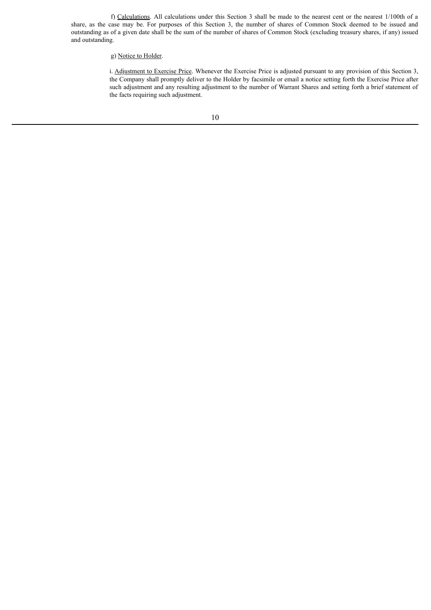f) Calculations. All calculations under this Section 3 shall be made to the nearest cent or the nearest 1/100th of a share, as the case may be. For purposes of this Section 3, the number of shares of Common Stock deemed to be issued and outstanding as of a given date shall be the sum of the number of shares of Common Stock (excluding treasury shares, if any) issued and outstanding.

### g) Notice to Holder.

i. Adjustment to Exercise Price. Whenever the Exercise Price is adjusted pursuant to any provision of this Section 3, the Company shall promptly deliver to the Holder by facsimile or email a notice setting forth the Exercise Price after such adjustment and any resulting adjustment to the number of Warrant Shares and setting forth a brief statement of the facts requiring such adjustment.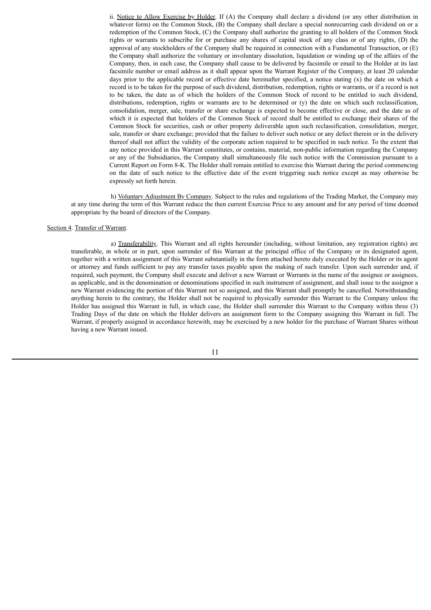ii. Notice to Allow Exercise by Holder. If (A) the Company shall declare a dividend (or any other distribution in whatever form) on the Common Stock, (B) the Company shall declare a special nonrecurring cash dividend on or a redemption of the Common Stock, (C) the Company shall authorize the granting to all holders of the Common Stock rights or warrants to subscribe for or purchase any shares of capital stock of any class or of any rights, (D) the approval of any stockholders of the Company shall be required in connection with a Fundamental Transaction, or (E) the Company shall authorize the voluntary or involuntary dissolution, liquidation or winding up of the affairs of the Company, then, in each case, the Company shall cause to be delivered by facsimile or email to the Holder at its last facsimile number or email address as it shall appear upon the Warrant Register of the Company, at least 20 calendar days prior to the applicable record or effective date hereinafter specified, a notice stating (x) the date on which a record is to be taken for the purpose of such dividend, distribution, redemption, rights or warrants, or if a record is not to be taken, the date as of which the holders of the Common Stock of record to be entitled to such dividend, distributions, redemption, rights or warrants are to be determined or (y) the date on which such reclassification, consolidation, merger, sale, transfer or share exchange is expected to become effective or close, and the date as of which it is expected that holders of the Common Stock of record shall be entitled to exchange their shares of the Common Stock for securities, cash or other property deliverable upon such reclassification, consolidation, merger, sale, transfer or share exchange; provided that the failure to deliver such notice or any defect therein or in the delivery thereof shall not affect the validity of the corporate action required to be specified in such notice. To the extent that any notice provided in this Warrant constitutes, or contains, material, non-public information regarding the Company or any of the Subsidiaries, the Company shall simultaneously file such notice with the Commission pursuant to a Current Report on Form 8-K. The Holder shall remain entitled to exercise this Warrant during the period commencing on the date of such notice to the effective date of the event triggering such notice except as may otherwise be expressly set forth herein.

h) Voluntary Adjustment By Company. Subject to the rules and regulations of the Trading Market, the Company may at any time during the term of this Warrant reduce the then current Exercise Price to any amount and for any period of time deemed appropriate by the board of directors of the Company.

## Section 4. Transfer of Warrant.

a) Transferability. This Warrant and all rights hereunder (including, without limitation, any registration rights) are transferable, in whole or in part, upon surrender of this Warrant at the principal office of the Company or its designated agent, together with a written assignment of this Warrant substantially in the form attached hereto duly executed by the Holder or its agent or attorney and funds sufficient to pay any transfer taxes payable upon the making of such transfer. Upon such surrender and, if required, such payment, the Company shall execute and deliver a new Warrant or Warrants in the name of the assignee or assignees, as applicable, and in the denomination or denominations specified in such instrument of assignment, and shall issue to the assignor a new Warrant evidencing the portion of this Warrant not so assigned, and this Warrant shall promptly be cancelled. Notwithstanding anything herein to the contrary, the Holder shall not be required to physically surrender this Warrant to the Company unless the Holder has assigned this Warrant in full, in which case, the Holder shall surrender this Warrant to the Company within three (3) Trading Days of the date on which the Holder delivers an assignment form to the Company assigning this Warrant in full. The Warrant, if properly assigned in accordance herewith, may be exercised by a new holder for the purchase of Warrant Shares without having a new Warrant issued.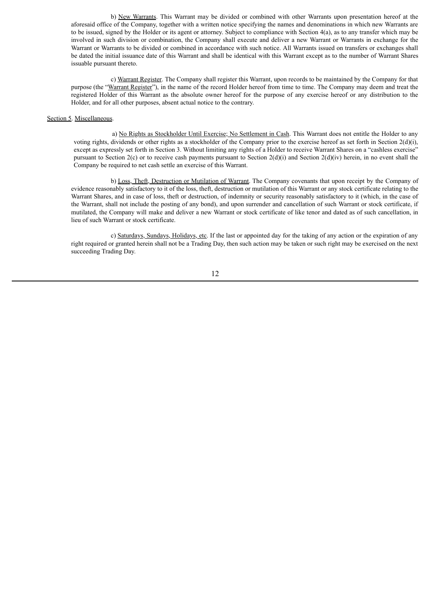b) New Warrants. This Warrant may be divided or combined with other Warrants upon presentation hereof at the aforesaid office of the Company, together with a written notice specifying the names and denominations in which new Warrants are to be issued, signed by the Holder or its agent or attorney. Subject to compliance with Section 4(a), as to any transfer which may be involved in such division or combination, the Company shall execute and deliver a new Warrant or Warrants in exchange for the Warrant or Warrants to be divided or combined in accordance with such notice. All Warrants issued on transfers or exchanges shall be dated the initial issuance date of this Warrant and shall be identical with this Warrant except as to the number of Warrant Shares issuable pursuant thereto.

c) Warrant Register. The Company shall register this Warrant, upon records to be maintained by the Company for that purpose (the "Warrant Register"), in the name of the record Holder hereof from time to time. The Company may deem and treat the registered Holder of this Warrant as the absolute owner hereof for the purpose of any exercise hereof or any distribution to the Holder, and for all other purposes, absent actual notice to the contrary.

### Section 5. Miscellaneous.

a) No Rights as Stockholder Until Exercise; No Settlement in Cash. This Warrant does not entitle the Holder to any voting rights, dividends or other rights as a stockholder of the Company prior to the exercise hereof as set forth in Section 2(d)(i), except as expressly set forth in Section 3. Without limiting any rights of a Holder to receive Warrant Shares on a "cashless exercise" pursuant to Section 2(c) or to receive cash payments pursuant to Section  $2(d)(i)$  and Section  $2(d)(iv)$  herein, in no event shall the Company be required to net cash settle an exercise of this Warrant.

b) Loss, Theft, Destruction or Mutilation of Warrant. The Company covenants that upon receipt by the Company of evidence reasonably satisfactory to it of the loss, theft, destruction or mutilation of this Warrant or any stock certificate relating to the Warrant Shares, and in case of loss, theft or destruction, of indemnity or security reasonably satisfactory to it (which, in the case of the Warrant, shall not include the posting of any bond), and upon surrender and cancellation of such Warrant or stock certificate, if mutilated, the Company will make and deliver a new Warrant or stock certificate of like tenor and dated as of such cancellation, in lieu of such Warrant or stock certificate.

c) Saturdays, Sundays, Holidays, etc. If the last or appointed day for the taking of any action or the expiration of any right required or granted herein shall not be a Trading Day, then such action may be taken or such right may be exercised on the next succeeding Trading Day.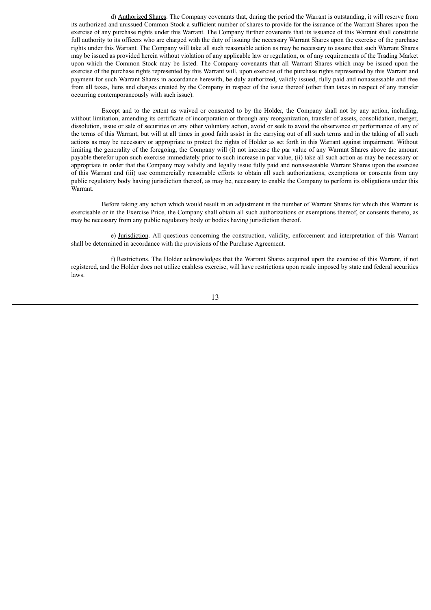d) Authorized Shares. The Company covenants that, during the period the Warrant is outstanding, it will reserve from its authorized and unissued Common Stock a sufficient number of shares to provide for the issuance of the Warrant Shares upon the exercise of any purchase rights under this Warrant. The Company further covenants that its issuance of this Warrant shall constitute full authority to its officers who are charged with the duty of issuing the necessary Warrant Shares upon the exercise of the purchase rights under this Warrant. The Company will take all such reasonable action as may be necessary to assure that such Warrant Shares may be issued as provided herein without violation of any applicable law or regulation, or of any requirements of the Trading Market upon which the Common Stock may be listed. The Company covenants that all Warrant Shares which may be issued upon the exercise of the purchase rights represented by this Warrant will, upon exercise of the purchase rights represented by this Warrant and payment for such Warrant Shares in accordance herewith, be duly authorized, validly issued, fully paid and nonassessable and free from all taxes, liens and charges created by the Company in respect of the issue thereof (other than taxes in respect of any transfer occurring contemporaneously with such issue).

Except and to the extent as waived or consented to by the Holder, the Company shall not by any action, including, without limitation, amending its certificate of incorporation or through any reorganization, transfer of assets, consolidation, merger, dissolution, issue or sale of securities or any other voluntary action, avoid or seek to avoid the observance or performance of any of the terms of this Warrant, but will at all times in good faith assist in the carrying out of all such terms and in the taking of all such actions as may be necessary or appropriate to protect the rights of Holder as set forth in this Warrant against impairment. Without limiting the generality of the foregoing, the Company will (i) not increase the par value of any Warrant Shares above the amount payable therefor upon such exercise immediately prior to such increase in par value, (ii) take all such action as may be necessary or appropriate in order that the Company may validly and legally issue fully paid and nonassessable Warrant Shares upon the exercise of this Warrant and (iii) use commercially reasonable efforts to obtain all such authorizations, exemptions or consents from any public regulatory body having jurisdiction thereof, as may be, necessary to enable the Company to perform its obligations under this Warrant.

Before taking any action which would result in an adjustment in the number of Warrant Shares for which this Warrant is exercisable or in the Exercise Price, the Company shall obtain all such authorizations or exemptions thereof, or consents thereto, as may be necessary from any public regulatory body or bodies having jurisdiction thereof.

e) Jurisdiction. All questions concerning the construction, validity, enforcement and interpretation of this Warrant shall be determined in accordance with the provisions of the Purchase Agreement.

f) Restrictions. The Holder acknowledges that the Warrant Shares acquired upon the exercise of this Warrant, if not registered, and the Holder does not utilize cashless exercise, will have restrictions upon resale imposed by state and federal securities laws.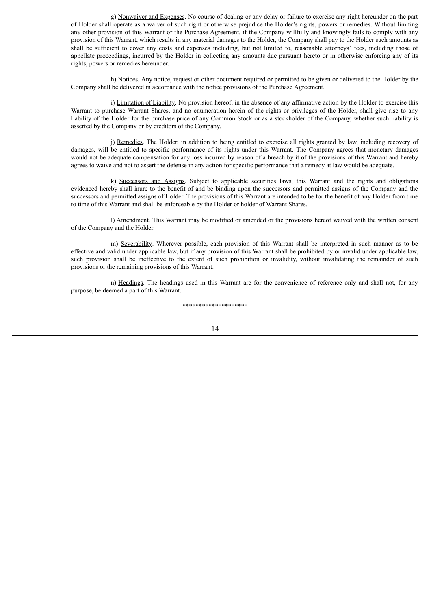g) Nonwaiver and Expenses. No course of dealing or any delay or failure to exercise any right hereunder on the part of Holder shall operate as a waiver of such right or otherwise prejudice the Holder's rights, powers or remedies. Without limiting any other provision of this Warrant or the Purchase Agreement, if the Company willfully and knowingly fails to comply with any provision of this Warrant, which results in any material damages to the Holder, the Company shall pay to the Holder such amounts as shall be sufficient to cover any costs and expenses including, but not limited to, reasonable attorneys' fees, including those of appellate proceedings, incurred by the Holder in collecting any amounts due pursuant hereto or in otherwise enforcing any of its rights, powers or remedies hereunder.

h) Notices. Any notice, request or other document required or permitted to be given or delivered to the Holder by the Company shall be delivered in accordance with the notice provisions of the Purchase Agreement.

i) Limitation of Liability. No provision hereof, in the absence of any affirmative action by the Holder to exercise this Warrant to purchase Warrant Shares, and no enumeration herein of the rights or privileges of the Holder, shall give rise to any liability of the Holder for the purchase price of any Common Stock or as a stockholder of the Company, whether such liability is asserted by the Company or by creditors of the Company.

j) Remedies. The Holder, in addition to being entitled to exercise all rights granted by law, including recovery of damages, will be entitled to specific performance of its rights under this Warrant. The Company agrees that monetary damages would not be adequate compensation for any loss incurred by reason of a breach by it of the provisions of this Warrant and hereby agrees to waive and not to assert the defense in any action for specific performance that a remedy at law would be adequate.

k) Successors and Assigns. Subject to applicable securities laws, this Warrant and the rights and obligations evidenced hereby shall inure to the benefit of and be binding upon the successors and permitted assigns of the Company and the successors and permitted assigns of Holder. The provisions of this Warrant are intended to be for the benefit of any Holder from time to time of this Warrant and shall be enforceable by the Holder or holder of Warrant Shares.

l) Amendment. This Warrant may be modified or amended or the provisions hereof waived with the written consent of the Company and the Holder.

m) Severability. Wherever possible, each provision of this Warrant shall be interpreted in such manner as to be effective and valid under applicable law, but if any provision of this Warrant shall be prohibited by or invalid under applicable law, such provision shall be ineffective to the extent of such prohibition or invalidity, without invalidating the remainder of such provisions or the remaining provisions of this Warrant.

n) Headings. The headings used in this Warrant are for the convenience of reference only and shall not, for any purpose, be deemed a part of this Warrant.

#### \*\*\*\*\*\*\*\*\*\*\*\*\*\*\*\*\*\*\*\*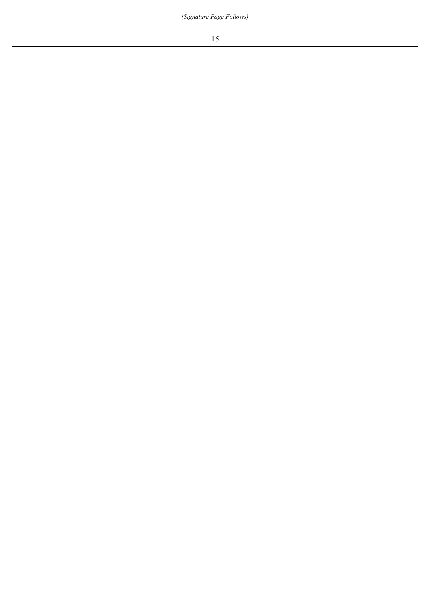*(Signature Page Follows)*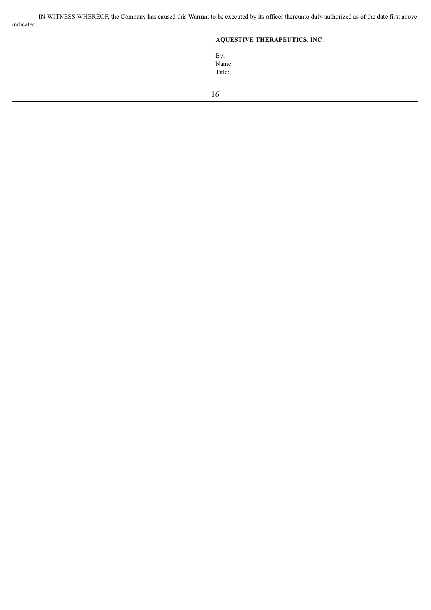IN WITNESS WHEREOF, the Company has caused this Warrant to be executed by its officer thereunto duly authorized as of the date first above indicated.

# **AQUESTIVE THERAPEUTICS, INC.**

| By:    |  |  |
|--------|--|--|
| Name:  |  |  |
| Title: |  |  |
|        |  |  |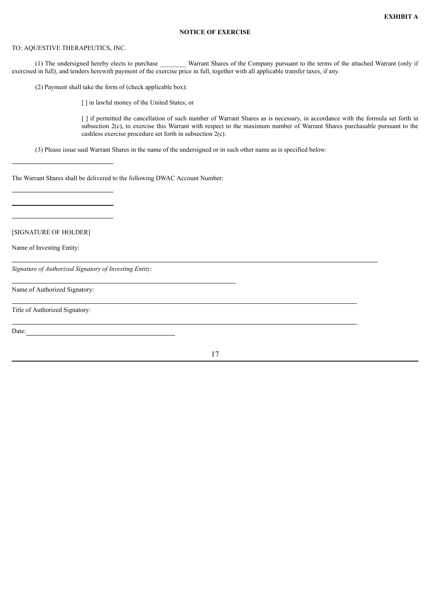#### **NOTICE OF EXERCISE**

# TO: AQUESTIVE THERAPEUTICS, INC.

(1) The undersigned hereby elects to purchase \_\_\_\_\_\_\_\_ Warrant Shares of the Company pursuant to the terms of the attached Warrant (only if exercised in full), and tenders herewith payment of the exercise price in full, together with all applicable transfer taxes, if any.

(2) Payment shall take the form of (check applicable box):

[] in lawful money of the United States; or

[ ] if permitted the cancellation of such number of Warrant Shares as is necessary, in accordance with the formula set forth in subsection 2(c), to exercise this Warrant with respect to the maximum number of Warrant Shares purchasable pursuant to the cashless exercise procedure set forth in subsection 2(c).

(3) Please issue said Warrant Shares in the name of the undersigned or in such other name as is specified below:

The Warrant Shares shall be delivered to the following DWAC Account Number:

[SIGNATURE OF HOLDER]

Name of Investing Entity:

*Signature of Authorized Signatory of Investing Entity*:

Name of Authorized Signatory:

Title of Authorized Signatory:

Date: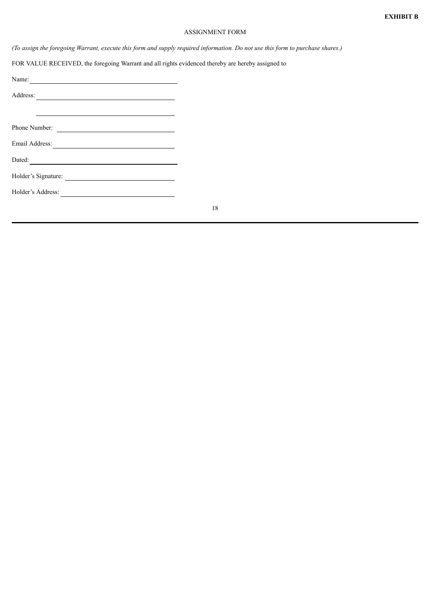# ASSIGNMENT FORM

(To assign the foregoing Warrant, execute this form and supply required information. Do not use this form to purchase shares.)

FOR VALUE RECEIVED, the foregoing Warrant and all rights evidenced thereby are hereby assigned to

| Name:                                                                                                                                                                                                                                                       |
|-------------------------------------------------------------------------------------------------------------------------------------------------------------------------------------------------------------------------------------------------------------|
| Address:<br>the control of the control of the control of the control of the control of the control of                                                                                                                                                       |
|                                                                                                                                                                                                                                                             |
| Phone Number:<br><u> 1989 - Andrea Station Barbara (h. 1989)</u>                                                                                                                                                                                            |
| Email Address:                                                                                                                                                                                                                                              |
| Dated:                                                                                                                                                                                                                                                      |
| Holder's Signature:<br><u> 1989 - Jan Stern Stern Stern Stern Stern Stern Stern Stern Stern Stern Stern Stern Stern Stern Stern Stern Stern Stern Stern Stern Stern Stern Stern Stern Stern Stern Stern Stern Stern Stern Stern Stern Stern Stern Stern</u> |
| Holder's Address:                                                                                                                                                                                                                                           |
|                                                                                                                                                                                                                                                             |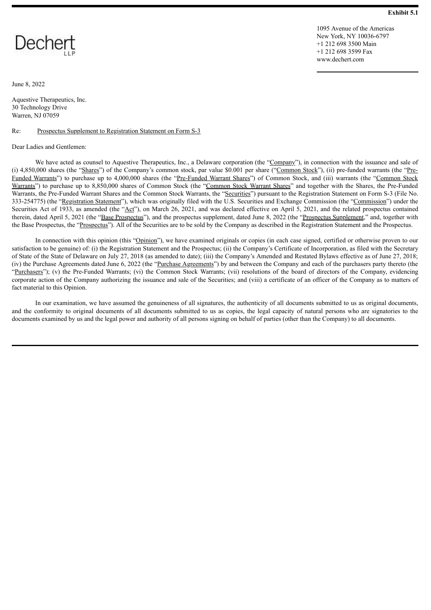1095 Avenue of the Americas New York, NY 10036-6797 +1 212 698 3500 Main +1 212 698 3599 Fax www.dechert.com



June 8, 2022

Aquestive Therapeutics, Inc. 30 Technology Drive Warren, NJ 07059

# Re: Prospectus Supplement to Registration Statement on Form S-3

Dear Ladies and Gentlemen:

We have acted as counsel to Aquestive Therapeutics, Inc., a Delaware corporation (the "Company"), in connection with the issuance and sale of (i) 4,850,000 shares (the "Shares") of the Company's common stock, par value \$0.001 per share ("Common Stock"), (ii) pre-funded warrants (the "Pre-Funded Warrants") to purchase up to 4,000,000 shares (the "Pre-Funded Warrant Shares") of Common Stock, and (iii) warrants (the "Common Stock Warrants") to purchase up to 8,850,000 shares of Common Stock (the "Common Stock Warrant Shares" and together with the Shares, the Pre-Funded Warrants, the Pre-Funded Warrant Shares and the Common Stock Warrants, the "Securities") pursuant to the Registration Statement on Form S-3 (File No. 333-254775) (the "Registration Statement"), which was originally filed with the U.S. Securities and Exchange Commission (the "Commission") under the Securities Act of 1933, as amended (the "Act"), on March 26, 2021, and was declared effective on April 5, 2021, and the related prospectus contained therein, dated April 5, 2021 (the "Base Prospectus"), and the prospectus supplement, dated June 8, 2022 (the "Prospectus Supplement," and, together with the Base Prospectus, the "Prospectus"). All of the Securities are to be sold by the Company as described in the Registration Statement and the Prospectus.

In connection with this opinion (this "Opinion"), we have examined originals or copies (in each case signed, certified or otherwise proven to our satisfaction to be genuine) of: (i) the Registration Statement and the Prospectus; (ii) the Company's Certificate of Incorporation, as filed with the Secretary of State of the State of Delaware on July 27, 2018 (as amended to date); (iii) the Company's Amended and Restated Bylaws effective as of June 27, 2018; (iv) the Purchase Agreements dated June 6, 2022 (the "Purchase Agreements") by and between the Company and each of the purchasers party thereto (the "Purchasers"); (v) the Pre-Funded Warrants; (vi) the Common Stock Warrants; (vii) resolutions of the board of directors of the Company, evidencing corporate action of the Company authorizing the issuance and sale of the Securities; and (viii) a certificate of an officer of the Company as to matters of fact material to this Opinion.

In our examination, we have assumed the genuineness of all signatures, the authenticity of all documents submitted to us as original documents, and the conformity to original documents of all documents submitted to us as copies, the legal capacity of natural persons who are signatories to the documents examined by us and the legal power and authority of all persons signing on behalf of parties (other than the Company) to all documents.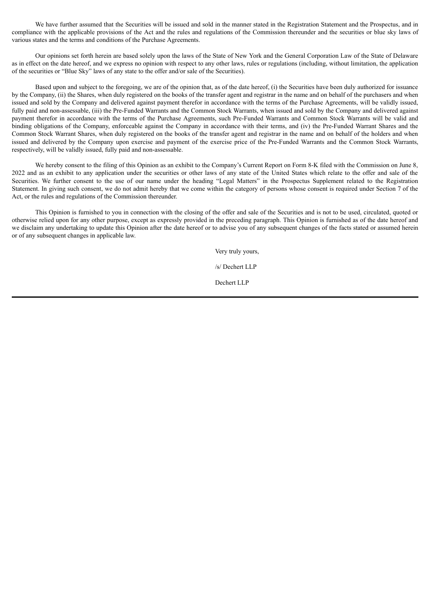We have further assumed that the Securities will be issued and sold in the manner stated in the Registration Statement and the Prospectus, and in compliance with the applicable provisions of the Act and the rules and regulations of the Commission thereunder and the securities or blue sky laws of various states and the terms and conditions of the Purchase Agreements.

Our opinions set forth herein are based solely upon the laws of the State of New York and the General Corporation Law of the State of Delaware as in effect on the date hereof, and we express no opinion with respect to any other laws, rules or regulations (including, without limitation, the application of the securities or "Blue Sky" laws of any state to the offer and/or sale of the Securities).

Based upon and subject to the foregoing, we are of the opinion that, as of the date hereof, (i) the Securities have been duly authorized for issuance by the Company, (ii) the Shares, when duly registered on the books of the transfer agent and registrar in the name and on behalf of the purchasers and when issued and sold by the Company and delivered against payment therefor in accordance with the terms of the Purchase Agreements, will be validly issued, fully paid and non-assessable, (iii) the Pre-Funded Warrants and the Common Stock Warrants, when issued and sold by the Company and delivered against payment therefor in accordance with the terms of the Purchase Agreements, such Pre-Funded Warrants and Common Stock Warrants will be valid and binding obligations of the Company, enforceable against the Company in accordance with their terms, and (iv) the Pre-Funded Warrant Shares and the Common Stock Warrant Shares, when duly registered on the books of the transfer agent and registrar in the name and on behalf of the holders and when issued and delivered by the Company upon exercise and payment of the exercise price of the Pre-Funded Warrants and the Common Stock Warrants, respectively, will be validly issued, fully paid and non-assessable.

We hereby consent to the filing of this Opinion as an exhibit to the Company's Current Report on Form 8-K filed with the Commission on June 8, 2022 and as an exhibit to any application under the securities or other laws of any state of the United States which relate to the offer and sale of the Securities. We further consent to the use of our name under the heading "Legal Matters" in the Prospectus Supplement related to the Registration Statement. In giving such consent, we do not admit hereby that we come within the category of persons whose consent is required under Section 7 of the Act, or the rules and regulations of the Commission thereunder.

This Opinion is furnished to you in connection with the closing of the offer and sale of the Securities and is not to be used, circulated, quoted or otherwise relied upon for any other purpose, except as expressly provided in the preceding paragraph. This Opinion is furnished as of the date hereof and we disclaim any undertaking to update this Opinion after the date hereof or to advise you of any subsequent changes of the facts stated or assumed herein or of any subsequent changes in applicable law.

> Very truly yours, /s/ Dechert LLP

Dechert LLP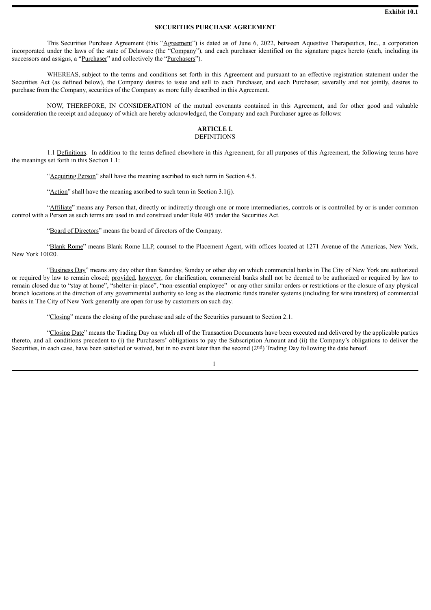# **SECURITIES PURCHASE AGREEMENT**

This Securities Purchase Agreement (this "Agreement") is dated as of June 6, 2022, between Aquestive Therapeutics, Inc., a corporation incorporated under the laws of the state of Delaware (the "Company"), and each purchaser identified on the signature pages hereto (each, including its successors and assigns, a "Purchaser" and collectively the "Purchasers").

WHEREAS, subject to the terms and conditions set forth in this Agreement and pursuant to an effective registration statement under the Securities Act (as defined below), the Company desires to issue and sell to each Purchaser, and each Purchaser, severally and not jointly, desires to purchase from the Company, securities of the Company as more fully described in this Agreement.

NOW, THEREFORE, IN CONSIDERATION of the mutual covenants contained in this Agreement, and for other good and valuable consideration the receipt and adequacy of which are hereby acknowledged, the Company and each Purchaser agree as follows:

#### **ARTICLE I. DEFINITIONS**

1.1 Definitions. In addition to the terms defined elsewhere in this Agreement, for all purposes of this Agreement, the following terms have the meanings set forth in this Section 1.1:

"Acquiring Person" shall have the meaning ascribed to such term in Section 4.5.

"Action" shall have the meaning ascribed to such term in Section 3.1(j).

"Affiliate" means any Person that, directly or indirectly through one or more intermediaries, controls or is controlled by or is under common control with a Person as such terms are used in and construed under Rule 405 under the Securities Act.

"Board of Directors" means the board of directors of the Company.

"Blank Rome" means Blank Rome LLP, counsel to the Placement Agent, with offices located at 1271 Avenue of the Americas, New York, New York 10020.

"Business Day" means any day other than Saturday, Sunday or other day on which commercial banks in The City of New York are authorized or required by law to remain closed; provided, however, for clarification, commercial banks shall not be deemed to be authorized or required by law to remain closed due to "stay at home", "shelter-in-place", "non-essential employee" or any other similar orders or restrictions or the closure of any physical branch locations at the direction of any governmental authority so long as the electronic funds transfer systems (including for wire transfers) of commercial banks in The City of New York generally are open for use by customers on such day.

"Closing" means the closing of the purchase and sale of the Securities pursuant to Section 2.1.

"Closing Date" means the Trading Day on which all of the Transaction Documents have been executed and delivered by the applicable parties thereto, and all conditions precedent to (i) the Purchasers' obligations to pay the Subscription Amount and (ii) the Company's obligations to deliver the Securities, in each case, have been satisfied or waived, but in no event later than the second (2nd) Trading Day following the date hereof.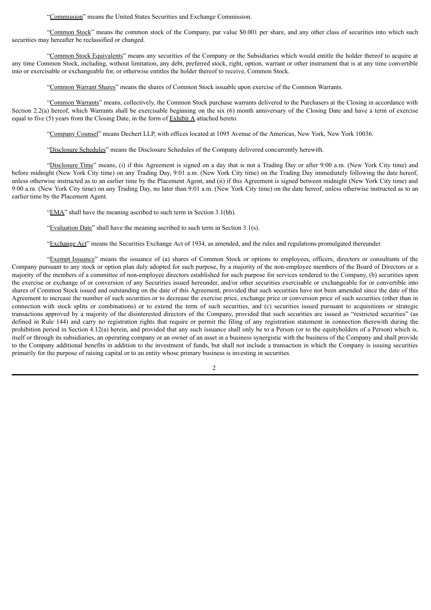"Commission" means the United States Securities and Exchange Commission.

"Common Stock" means the common stock of the Company, par value \$0.001 per share, and any other class of securities into which such securities may hereafter be reclassified or changed.

"Common Stock Equivalents" means any securities of the Company or the Subsidiaries which would entitle the holder thereof to acquire at any time Common Stock, including, without limitation, any debt, preferred stock, right, option, warrant or other instrument that is at any time convertible into or exercisable or exchangeable for, or otherwise entitles the holder thereof to receive, Common Stock.

"Common Warrant Shares" means the shares of Common Stock issuable upon exercise of the Common Warrants.

"Common Warrants" means, collectively, the Common Stock purchase warrants delivered to the Purchasers at the Closing in accordance with Section 2.2(a) hereof, which Warrants shall be exercisable beginning on the six (6) month anniversary of the Closing Date and have a term of exercise equal to five (5) years from the Closing Date, in the form of Exhibit A attached hereto.

"Company Counsel" means Dechert LLP, with offices located at 1095 Avenue of the Americas, New York, New York 10036.

"Disclosure Schedules" means the Disclosure Schedules of the Company delivered concurrently herewith.

"Disclosure Time" means, (i) if this Agreement is signed on a day that is not a Trading Day or after 9:00 a.m. (New York City time) and before midnight (New York City time) on any Trading Day, 9:01 a.m. (New York City time) on the Trading Day immediately following the date hereof, unless otherwise instructed as to an earlier time by the Placement Agent, and (ii) if this Agreement is signed between midnight (New York City time) and 9:00 a.m. (New York City time) on any Trading Day, no later than 9:01 a.m. (New York City time) on the date hereof, unless otherwise instructed as to an earlier time by the Placement Agent.

"EMA" shall have the meaning ascribed to such term in Section 3.1(hh).

"Evaluation Date" shall have the meaning ascribed to such term in Section 3.1(s).

"Exchange Act" means the Securities Exchange Act of 1934, as amended, and the rules and regulations promulgated thereunder.

"Exempt Issuance" means the issuance of (a) shares of Common Stock or options to employees, officers, directors or consultants of the Company pursuant to any stock or option plan duly adopted for such purpose, by a majority of the non-employee members of the Board of Directors or a majority of the members of a committee of non-employee directors established for such purpose for services rendered to the Company, (b) securities upon the exercise or exchange of or conversion of any Securities issued hereunder, and/or other securities exercisable or exchangeable for or convertible into shares of Common Stock issued and outstanding on the date of this Agreement, provided that such securities have not been amended since the date of this Agreement to increase the number of such securities or to decrease the exercise price, exchange price or conversion price of such securities (other than in connection with stock splits or combinations) or to extend the term of such securities, and (c) securities issued pursuant to acquisitions or strategic transactions approved by a majority of the disinterested directors of the Company, provided that such securities are issued as "restricted securities" (as defined in Rule 144) and carry no registration rights that require or permit the filing of any registration statement in connection therewith during the prohibition period in Section 4.12(a) herein, and provided that any such issuance shall only be to a Person (or to the equityholders of a Person) which is, itself or through its subsidiaries, an operating company or an owner of an asset in a business synergistic with the business of the Company and shall provide to the Company additional benefits in addition to the investment of funds, but shall not include a transaction in which the Company is issuing securities primarily for the purpose of raising capital or to an entity whose primary business is investing in securities.

 $\overline{2}$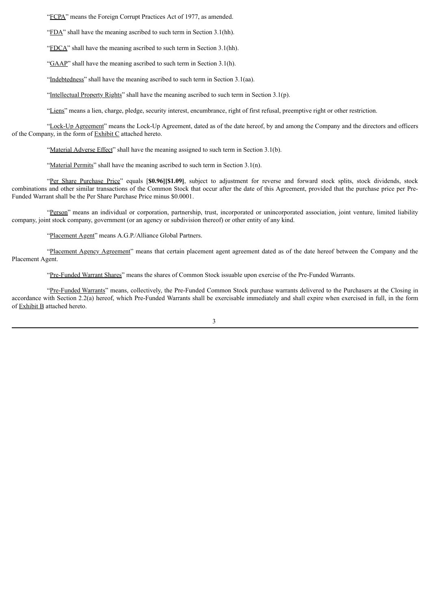"FCPA" means the Foreign Corrupt Practices Act of 1977, as amended.

"FDA" shall have the meaning ascribed to such term in Section 3.1(hh).

"FDCA" shall have the meaning ascribed to such term in Section 3.1(hh).

"GAAP" shall have the meaning ascribed to such term in Section 3.1(h).

"Indebtedness" shall have the meaning ascribed to such term in Section 3.1(aa).

"Intellectual Property Rights" shall have the meaning ascribed to such term in Section 3.1(p).

"Liens" means a lien, charge, pledge, security interest, encumbrance, right of first refusal, preemptive right or other restriction.

"Lock-Up Agreement" means the Lock-Up Agreement, dated as of the date hereof, by and among the Company and the directors and officers of the Company, in the form of Exhibit C attached hereto.

"Material Adverse Effect" shall have the meaning assigned to such term in Section 3.1(b).

"Material Permits" shall have the meaning ascribed to such term in Section 3.1(n).

"Per Share Purchase Price" equals [**\$0.96][\$1.09]**, subject to adjustment for reverse and forward stock splits, stock dividends, stock combinations and other similar transactions of the Common Stock that occur after the date of this Agreement, provided that the purchase price per Pre-Funded Warrant shall be the Per Share Purchase Price minus \$0.0001.

"Person" means an individual or corporation, partnership, trust, incorporated or unincorporated association, joint venture, limited liability company, joint stock company, government (or an agency or subdivision thereof) or other entity of any kind.

"Placement Agent" means A.G.P./Alliance Global Partners.

"Placement Agency Agreement" means that certain placement agent agreement dated as of the date hereof between the Company and the Placement Agent.

"Pre-Funded Warrant Shares" means the shares of Common Stock issuable upon exercise of the Pre-Funded Warrants.

"Pre-Funded Warrants" means, collectively, the Pre-Funded Common Stock purchase warrants delivered to the Purchasers at the Closing in accordance with Section 2.2(a) hereof, which Pre-Funded Warrants shall be exercisable immediately and shall expire when exercised in full, in the form of Exhibit B attached hereto.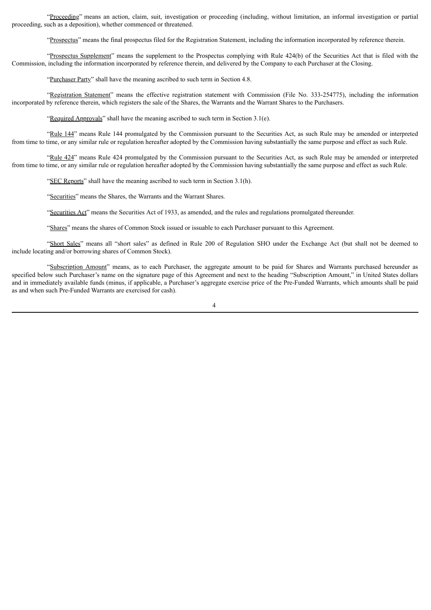"Proceeding" means an action, claim, suit, investigation or proceeding (including, without limitation, an informal investigation or partial proceeding, such as a deposition), whether commenced or threatened.

"Prospectus" means the final prospectus filed for the Registration Statement, including the information incorporated by reference therein.

"Prospectus Supplement" means the supplement to the Prospectus complying with Rule 424(b) of the Securities Act that is filed with the Commission, including the information incorporated by reference therein, and delivered by the Company to each Purchaser at the Closing.

"Purchaser Party" shall have the meaning ascribed to such term in Section 4.8.

"Registration Statement" means the effective registration statement with Commission (File No. 333-254775), including the information incorporated by reference therein, which registers the sale of the Shares, the Warrants and the Warrant Shares to the Purchasers.

"Required Approvals" shall have the meaning ascribed to such term in Section 3.1(e).

"Rule 144" means Rule 144 promulgated by the Commission pursuant to the Securities Act, as such Rule may be amended or interpreted from time to time, or any similar rule or regulation hereafter adopted by the Commission having substantially the same purpose and effect as such Rule.

"Rule 424" means Rule 424 promulgated by the Commission pursuant to the Securities Act, as such Rule may be amended or interpreted from time to time, or any similar rule or regulation hereafter adopted by the Commission having substantially the same purpose and effect as such Rule.

"SEC Reports" shall have the meaning ascribed to such term in Section 3.1(h).

"Securities" means the Shares, the Warrants and the Warrant Shares.

"Securities Act" means the Securities Act of 1933, as amended, and the rules and regulations promulgated thereunder.

"Shares" means the shares of Common Stock issued or issuable to each Purchaser pursuant to this Agreement.

"Short Sales" means all "short sales" as defined in Rule 200 of Regulation SHO under the Exchange Act (but shall not be deemed to include locating and/or borrowing shares of Common Stock).

"Subscription Amount" means, as to each Purchaser, the aggregate amount to be paid for Shares and Warrants purchased hereunder as specified below such Purchaser's name on the signature page of this Agreement and next to the heading "Subscription Amount," in United States dollars and in immediately available funds (minus, if applicable, a Purchaser's aggregate exercise price of the Pre-Funded Warrants, which amounts shall be paid as and when such Pre-Funded Warrants are exercised for cash).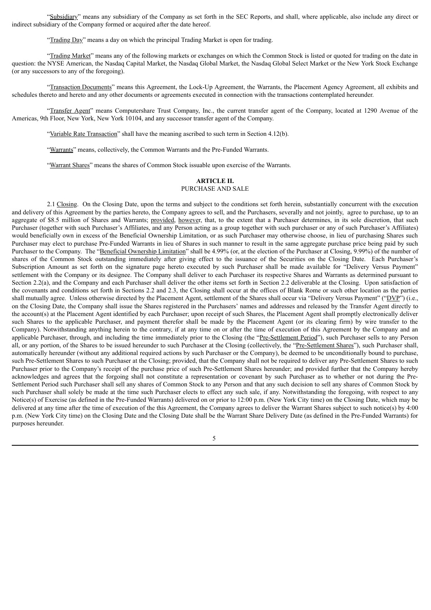"Subsidiary" means any subsidiary of the Company as set forth in the SEC Reports, and shall, where applicable, also include any direct or indirect subsidiary of the Company formed or acquired after the date hereof.

"Trading Day" means a day on which the principal Trading Market is open for trading.

"Trading Market" means any of the following markets or exchanges on which the Common Stock is listed or quoted for trading on the date in question: the NYSE American, the Nasdaq Capital Market, the Nasdaq Global Market, the Nasdaq Global Select Market or the New York Stock Exchange (or any successors to any of the foregoing).

"Transaction Documents" means this Agreement, the Lock-Up Agreement, the Warrants, the Placement Agency Agreement, all exhibits and schedules thereto and hereto and any other documents or agreements executed in connection with the transactions contemplated hereunder.

"Transfer Agent" means Computershare Trust Company, Inc., the current transfer agent of the Company, located at 1290 Avenue of the Americas, 9th Floor, New York, New York 10104, and any successor transfer agent of the Company.

"Variable Rate Transaction" shall have the meaning ascribed to such term in Section 4.12(b).

"Warrants" means, collectively, the Common Warrants and the Pre-Funded Warrants.

"Warrant Shares" means the shares of Common Stock issuable upon exercise of the Warrants.

# **ARTICLE II.**

# PURCHASE AND SALE

2.1 Closing. On the Closing Date, upon the terms and subject to the conditions set forth herein, substantially concurrent with the execution and delivery of this Agreement by the parties hereto, the Company agrees to sell, and the Purchasers, severally and not jointly, agree to purchase, up to an aggregate of \$8.5 million of Shares and Warrants; provided, however, that, to the extent that a Purchaser determines, in its sole discretion, that such Purchaser (together with such Purchaser's Affiliates, and any Person acting as a group together with such purchaser or any of such Purchaser's Affiliates) would beneficially own in excess of the Beneficial Ownership Limitation, or as such Purchaser may otherwise choose, in lieu of purchasing Shares such Purchaser may elect to purchase Pre-Funded Warrants in lieu of Shares in such manner to result in the same aggregate purchase price being paid by such Purchaser to the Company. The "Beneficial Ownership Limitation" shall be 4.99% (or, at the election of the Purchaser at Closing, 9.99%) of the number of shares of the Common Stock outstanding immediately after giving effect to the issuance of the Securities on the Closing Date. Each Purchaser's Subscription Amount as set forth on the signature page hereto executed by such Purchaser shall be made available for "Delivery Versus Payment" settlement with the Company or its designee. The Company shall deliver to each Purchaser its respective Shares and Warrants as determined pursuant to Section 2.2(a), and the Company and each Purchaser shall deliver the other items set forth in Section 2.2 deliverable at the Closing. Upon satisfaction of the covenants and conditions set forth in Sections 2.2 and 2.3, the Closing shall occur at the offices of Blank Rome or such other location as the parties shall mutually agree. Unless otherwise directed by the Placement Agent, settlement of the Shares shall occur via "Delivery Versus Payment" ("DVP") (i.e., on the Closing Date, the Company shall issue the Shares registered in the Purchasers' names and addresses and released by the Transfer Agent directly to the account(s) at the Placement Agent identified by each Purchaser; upon receipt of such Shares, the Placement Agent shall promptly electronically deliver such Shares to the applicable Purchaser, and payment therefor shall be made by the Placement Agent (or its clearing firm) by wire transfer to the Company). Notwithstanding anything herein to the contrary, if at any time on or after the time of execution of this Agreement by the Company and an applicable Purchaser, through, and including the time immediately prior to the Closing (the "Pre-Settlement Period"), such Purchaser sells to any Person all, or any portion, of the Shares to be issued hereunder to such Purchaser at the Closing (collectively, the "Pre-Settlement Shares"), such Purchaser shall, automatically hereunder (without any additional required actions by such Purchaser or the Company), be deemed to be unconditionally bound to purchase, such Pre-Settlement Shares to such Purchaser at the Closing; provided, that the Company shall not be required to deliver any Pre-Settlement Shares to such Purchaser prior to the Company's receipt of the purchase price of such Pre-Settlement Shares hereunder; and provided further that the Company hereby acknowledges and agrees that the forgoing shall not constitute a representation or covenant by such Purchaser as to whether or not during the Pre-Settlement Period such Purchaser shall sell any shares of Common Stock to any Person and that any such decision to sell any shares of Common Stock by such Purchaser shall solely be made at the time such Purchaser elects to effect any such sale, if any. Notwithstanding the foregoing, with respect to any Notice(s) of Exercise (as defined in the Pre-Funded Warrants) delivered on or prior to 12:00 p.m. (New York City time) on the Closing Date, which may be delivered at any time after the time of execution of the this Agreement, the Company agrees to deliver the Warrant Shares subject to such notice(s) by 4:00 p.m. (New York City time) on the Closing Date and the Closing Date shall be the Warrant Share Delivery Date (as defined in the Pre-Funded Warrants) for purposes hereunder.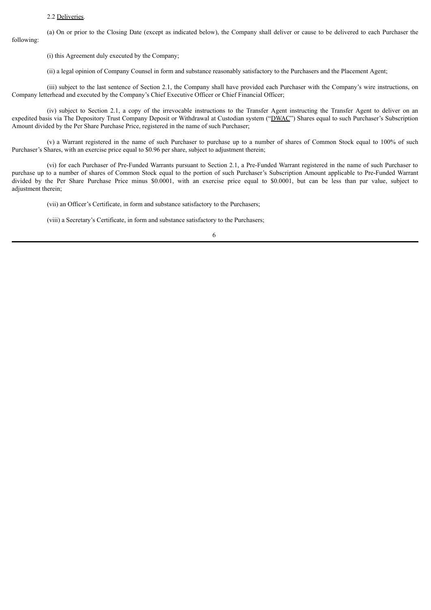#### 2.2 Deliveries.

(a) On or prior to the Closing Date (except as indicated below), the Company shall deliver or cause to be delivered to each Purchaser the following:

(i) this Agreement duly executed by the Company;

(ii) a legal opinion of Company Counsel in form and substance reasonably satisfactory to the Purchasers and the Placement Agent;

(iii) subject to the last sentence of Section 2.1, the Company shall have provided each Purchaser with the Company's wire instructions, on Company letterhead and executed by the Company's Chief Executive Officer or Chief Financial Officer;

(iv) subject to Section 2.1, a copy of the irrevocable instructions to the Transfer Agent instructing the Transfer Agent to deliver on an expedited basis via The Depository Trust Company Deposit or Withdrawal at Custodian system ("DWAC") Shares equal to such Purchaser's Subscription Amount divided by the Per Share Purchase Price, registered in the name of such Purchaser;

(v) a Warrant registered in the name of such Purchaser to purchase up to a number of shares of Common Stock equal to 100% of such Purchaser's Shares, with an exercise price equal to \$0.96 per share, subject to adjustment therein;

(vi) for each Purchaser of Pre-Funded Warrants pursuant to Section 2.1, a Pre-Funded Warrant registered in the name of such Purchaser to purchase up to a number of shares of Common Stock equal to the portion of such Purchaser's Subscription Amount applicable to Pre-Funded Warrant divided by the Per Share Purchase Price minus \$0.0001, with an exercise price equal to \$0.0001, but can be less than par value, subject to adjustment therein;

(vii) an Officer's Certificate, in form and substance satisfactory to the Purchasers;

(viii) a Secretary's Certificate, in form and substance satisfactory to the Purchasers;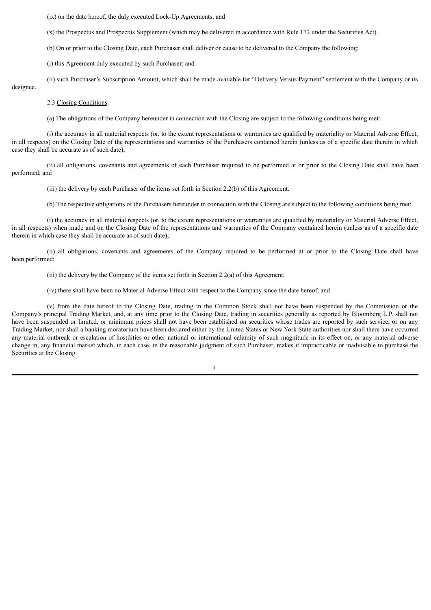(ix) on the date hereof, the duly executed Lock-Up Agreements; and

(x) the Prospectus and Prospectus Supplement (which may be delivered in accordance with Rule 172 under the Securities Act).

(b) On or prior to the Closing Date, each Purchaser shall deliver or cause to be delivered to the Company the following:

(i) this Agreement duly executed by such Purchaser; and

(ii) such Purchaser's Subscription Amount, which shall be made available for "Delivery Versus Payment" settlement with the Company or its

# designee.

2.3 Closing Conditions.

(a) The obligations of the Company hereunder in connection with the Closing are subject to the following conditions being met:

(i) the accuracy in all material respects (or, to the extent representations or warranties are qualified by materiality or Material Adverse Effect, in all respects) on the Closing Date of the representations and warranties of the Purchasers contained herein (unless as of a specific date therein in which case they shall be accurate as of such date);

(ii) all obligations, covenants and agreements of each Purchaser required to be performed at or prior to the Closing Date shall have been performed; and

(iii) the delivery by each Purchaser of the items set forth in Section 2.2(b) of this Agreement.

(b) The respective obligations of the Purchasers hereunder in connection with the Closing are subject to the following conditions being met:

(i) the accuracy in all material respects (or, to the extent representations or warranties are qualified by materiality or Material Adverse Effect, in all respects) when made and on the Closing Date of the representations and warranties of the Company contained herein (unless as of a specific date therein in which case they shall be accurate as of such date);

(ii) all obligations, covenants and agreements of the Company required to be performed at or prior to the Closing Date shall have been performed;

(iii) the delivery by the Company of the items set forth in Section 2.2(a) of this Agreement;

(iv) there shall have been no Material Adverse Effect with respect to the Company since the date hereof; and

(v) from the date hereof to the Closing Date, trading in the Common Stock shall not have been suspended by the Commission or the Company's principal Trading Market, and, at any time prior to the Closing Date, trading in securities generally as reported by Bloomberg L.P. shall not have been suspended or limited, or minimum prices shall not have been established on securities whose trades are reported by such service, or on any Trading Market, nor shall a banking moratorium have been declared either by the United States or New York State authorities nor shall there have occurred any material outbreak or escalation of hostilities or other national or international calamity of such magnitude in its effect on, or any material adverse change in, any financial market which, in each case, in the reasonable judgment of such Purchaser, makes it impracticable or inadvisable to purchase the Securities at the Closing.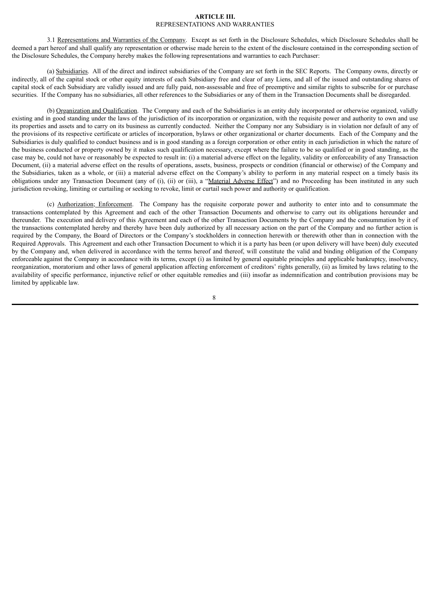### **ARTICLE III.** REPRESENTATIONS AND WARRANTIES

3.1 Representations and Warranties of the Company. Except as set forth in the Disclosure Schedules, which Disclosure Schedules shall be deemed a part hereof and shall qualify any representation or otherwise made herein to the extent of the disclosure contained in the corresponding section of the Disclosure Schedules, the Company hereby makes the following representations and warranties to each Purchaser:

(a) Subsidiaries. All of the direct and indirect subsidiaries of the Company are set forth in the SEC Reports. The Company owns, directly or indirectly, all of the capital stock or other equity interests of each Subsidiary free and clear of any Liens, and all of the issued and outstanding shares of capital stock of each Subsidiary are validly issued and are fully paid, non-assessable and free of preemptive and similar rights to subscribe for or purchase securities. If the Company has no subsidiaries, all other references to the Subsidiaries or any of them in the Transaction Documents shall be disregarded.

(b) Organization and Qualification. The Company and each of the Subsidiaries is an entity duly incorporated or otherwise organized, validly existing and in good standing under the laws of the jurisdiction of its incorporation or organization, with the requisite power and authority to own and use its properties and assets and to carry on its business as currently conducted. Neither the Company nor any Subsidiary is in violation nor default of any of the provisions of its respective certificate or articles of incorporation, bylaws or other organizational or charter documents. Each of the Company and the Subsidiaries is duly qualified to conduct business and is in good standing as a foreign corporation or other entity in each jurisdiction in which the nature of the business conducted or property owned by it makes such qualification necessary, except where the failure to be so qualified or in good standing, as the case may be, could not have or reasonably be expected to result in: (i) a material adverse effect on the legality, validity or enforceability of any Transaction Document, (ii) a material adverse effect on the results of operations, assets, business, prospects or condition (financial or otherwise) of the Company and the Subsidiaries, taken as a whole, or (iii) a material adverse effect on the Company's ability to perform in any material respect on a timely basis its obligations under any Transaction Document (any of (i), (ii) or (iii), a "Material Adverse Effect") and no Proceeding has been instituted in any such jurisdiction revoking, limiting or curtailing or seeking to revoke, limit or curtail such power and authority or qualification.

(c) Authorization; Enforcement. The Company has the requisite corporate power and authority to enter into and to consummate the transactions contemplated by this Agreement and each of the other Transaction Documents and otherwise to carry out its obligations hereunder and thereunder. The execution and delivery of this Agreement and each of the other Transaction Documents by the Company and the consummation by it of the transactions contemplated hereby and thereby have been duly authorized by all necessary action on the part of the Company and no further action is required by the Company, the Board of Directors or the Company's stockholders in connection herewith or therewith other than in connection with the Required Approvals. This Agreement and each other Transaction Document to which it is a party has been (or upon delivery will have been) duly executed by the Company and, when delivered in accordance with the terms hereof and thereof, will constitute the valid and binding obligation of the Company enforceable against the Company in accordance with its terms, except (i) as limited by general equitable principles and applicable bankruptcy, insolvency, reorganization, moratorium and other laws of general application affecting enforcement of creditors' rights generally, (ii) as limited by laws relating to the availability of specific performance, injunctive relief or other equitable remedies and (iii) insofar as indemnification and contribution provisions may be limited by applicable law.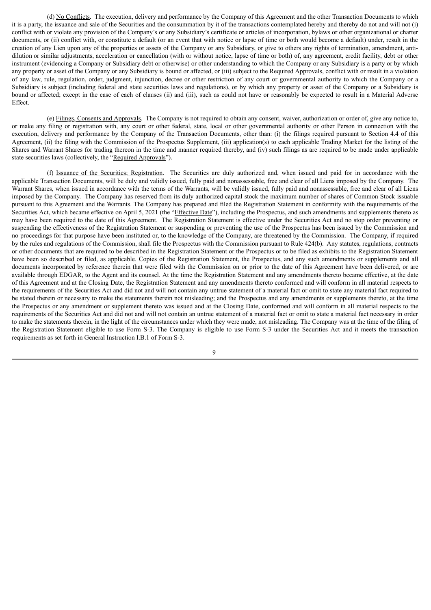(d) No Conflicts. The execution, delivery and performance by the Company of this Agreement and the other Transaction Documents to which it is a party, the issuance and sale of the Securities and the consummation by it of the transactions contemplated hereby and thereby do not and will not (i) conflict with or violate any provision of the Company's or any Subsidiary's certificate or articles of incorporation, bylaws or other organizational or charter documents, or (ii) conflict with, or constitute a default (or an event that with notice or lapse of time or both would become a default) under, result in the creation of any Lien upon any of the properties or assets of the Company or any Subsidiary, or give to others any rights of termination, amendment, antidilution or similar adjustments, acceleration or cancellation (with or without notice, lapse of time or both) of, any agreement, credit facility, debt or other instrument (evidencing a Company or Subsidiary debt or otherwise) or other understanding to which the Company or any Subsidiary is a party or by which any property or asset of the Company or any Subsidiary is bound or affected, or (iii) subject to the Required Approvals, conflict with or result in a violation of any law, rule, regulation, order, judgment, injunction, decree or other restriction of any court or governmental authority to which the Company or a Subsidiary is subject (including federal and state securities laws and regulations), or by which any property or asset of the Company or a Subsidiary is bound or affected; except in the case of each of clauses (ii) and (iii), such as could not have or reasonably be expected to result in a Material Adverse Effect.

(e) Filings, Consents and Approvals. The Company is not required to obtain any consent, waiver, authorization or order of, give any notice to, or make any filing or registration with, any court or other federal, state, local or other governmental authority or other Person in connection with the execution, delivery and performance by the Company of the Transaction Documents, other than: (i) the filings required pursuant to Section 4.4 of this Agreement, (ii) the filing with the Commission of the Prospectus Supplement, (iii) application(s) to each applicable Trading Market for the listing of the Shares and Warrant Shares for trading thereon in the time and manner required thereby, and (iv) such filings as are required to be made under applicable state securities laws (collectively, the "Required Approvals").

(f) Issuance of the Securities; Registration. The Securities are duly authorized and, when issued and paid for in accordance with the applicable Transaction Documents, will be duly and validly issued, fully paid and nonassessable, free and clear of all Liens imposed by the Company. The Warrant Shares, when issued in accordance with the terms of the Warrants, will be validly issued, fully paid and nonassessable, free and clear of all Liens imposed by the Company. The Company has reserved from its duly authorized capital stock the maximum number of shares of Common Stock issuable pursuant to this Agreement and the Warrants. The Company has prepared and filed the Registration Statement in conformity with the requirements of the Securities Act, which became effective on April 5, 2021 (the "Effective Date"), including the Prospectus, and such amendments and supplements thereto as may have been required to the date of this Agreement. The Registration Statement is effective under the Securities Act and no stop order preventing or suspending the effectiveness of the Registration Statement or suspending or preventing the use of the Prospectus has been issued by the Commission and no proceedings for that purpose have been instituted or, to the knowledge of the Company, are threatened by the Commission. The Company, if required by the rules and regulations of the Commission, shall file the Prospectus with the Commission pursuant to Rule 424(b). Any statutes, regulations, contracts or other documents that are required to be described in the Registration Statement or the Prospectus or to be filed as exhibits to the Registration Statement have been so described or filed, as applicable. Copies of the Registration Statement, the Prospectus, and any such amendments or supplements and all documents incorporated by reference therein that were filed with the Commission on or prior to the date of this Agreement have been delivered, or are available through EDGAR, to the Agent and its counsel. At the time the Registration Statement and any amendments thereto became effective, at the date of this Agreement and at the Closing Date, the Registration Statement and any amendments thereto conformed and will conform in all material respects to the requirements of the Securities Act and did not and will not contain any untrue statement of a material fact or omit to state any material fact required to be stated therein or necessary to make the statements therein not misleading; and the Prospectus and any amendments or supplements thereto, at the time the Prospectus or any amendment or supplement thereto was issued and at the Closing Date, conformed and will conform in all material respects to the requirements of the Securities Act and did not and will not contain an untrue statement of a material fact or omit to state a material fact necessary in order to make the statements therein, in the light of the circumstances under which they were made, not misleading. The Company was at the time of the filing of the Registration Statement eligible to use Form S-3. The Company is eligible to use Form S-3 under the Securities Act and it meets the transaction requirements as set forth in General Instruction I.B.1 of Form S-3.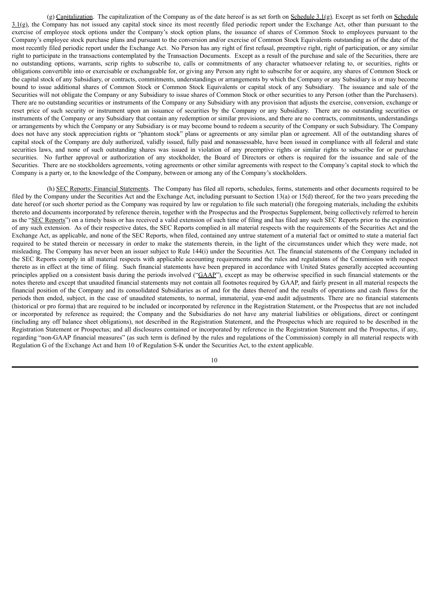(g) Capitalization. The capitalization of the Company as of the date hereof is as set forth on Schedule 3.1(g). Except as set forth on Schedule  $3.1(g)$ , the Company has not issued any capital stock since its most recently filed periodic report under the Exchange Act, other than pursuant to the exercise of employee stock options under the Company's stock option plans, the issuance of shares of Common Stock to employees pursuant to the Company's employee stock purchase plans and pursuant to the conversion and/or exercise of Common Stock Equivalents outstanding as of the date of the most recently filed periodic report under the Exchange Act. No Person has any right of first refusal, preemptive right, right of participation, or any similar right to participate in the transactions contemplated by the Transaction Documents. Except as a result of the purchase and sale of the Securities, there are no outstanding options, warrants, scrip rights to subscribe to, calls or commitments of any character whatsoever relating to, or securities, rights or obligations convertible into or exercisable or exchangeable for, or giving any Person any right to subscribe for or acquire, any shares of Common Stock or the capital stock of any Subsidiary, or contracts, commitments, understandings or arrangements by which the Company or any Subsidiary is or may become bound to issue additional shares of Common Stock or Common Stock Equivalents or capital stock of any Subsidiary. The issuance and sale of the Securities will not obligate the Company or any Subsidiary to issue shares of Common Stock or other securities to any Person (other than the Purchasers). There are no outstanding securities or instruments of the Company or any Subsidiary with any provision that adjusts the exercise, conversion, exchange or reset price of such security or instrument upon an issuance of securities by the Company or any Subsidiary. There are no outstanding securities or instruments of the Company or any Subsidiary that contain any redemption or similar provisions, and there are no contracts, commitments, understandings or arrangements by which the Company or any Subsidiary is or may become bound to redeem a security of the Company or such Subsidiary. The Company does not have any stock appreciation rights or "phantom stock" plans or agreements or any similar plan or agreement. All of the outstanding shares of capital stock of the Company are duly authorized, validly issued, fully paid and nonassessable, have been issued in compliance with all federal and state securities laws, and none of such outstanding shares was issued in violation of any preemptive rights or similar rights to subscribe for or purchase securities. No further approval or authorization of any stockholder, the Board of Directors or others is required for the issuance and sale of the Securities. There are no stockholders agreements, voting agreements or other similar agreements with respect to the Company's capital stock to which the Company is a party or, to the knowledge of the Company, between or among any of the Company's stockholders.

(h) SEC Reports; Financial Statements. The Company has filed all reports, schedules, forms, statements and other documents required to be filed by the Company under the Securities Act and the Exchange Act, including pursuant to Section 13(a) or 15(d) thereof, for the two years preceding the date hereof (or such shorter period as the Company was required by law or regulation to file such material) (the foregoing materials, including the exhibits thereto and documents incorporated by reference therein, together with the Prospectus and the Prospectus Supplement, being collectively referred to herein as the "SEC Reports") on a timely basis or has received a valid extension of such time of filing and has filed any such SEC Reports prior to the expiration of any such extension. As of their respective dates, the SEC Reports complied in all material respects with the requirements of the Securities Act and the Exchange Act, as applicable, and none of the SEC Reports, when filed, contained any untrue statement of a material fact or omitted to state a material fact required to be stated therein or necessary in order to make the statements therein, in the light of the circumstances under which they were made, not misleading. The Company has never been an issuer subject to Rule 144(i) under the Securities Act. The financial statements of the Company included in the SEC Reports comply in all material respects with applicable accounting requirements and the rules and regulations of the Commission with respect thereto as in effect at the time of filing. Such financial statements have been prepared in accordance with United States generally accepted accounting principles applied on a consistent basis during the periods involved ("GAAP"), except as may be otherwise specified in such financial statements or the notes thereto and except that unaudited financial statements may not contain all footnotes required by GAAP, and fairly present in all material respects the financial position of the Company and its consolidated Subsidiaries as of and for the dates thereof and the results of operations and cash flows for the periods then ended, subject, in the case of unaudited statements, to normal, immaterial, year-end audit adjustments. There are no financial statements (historical or pro forma) that are required to be included or incorporated by reference in the Registration Statement, or the Prospectus that are not included or incorporated by reference as required; the Company and the Subsidiaries do not have any material liabilities or obligations, direct or contingent (including any off balance sheet obligations), not described in the Registration Statement, and the Prospectus which are required to be described in the Registration Statement or Prospectus; and all disclosures contained or incorporated by reference in the Registration Statement and the Prospectus, if any, regarding "non-GAAP financial measures" (as such term is defined by the rules and regulations of the Commission) comply in all material respects with Regulation G of the Exchange Act and Item 10 of Regulation S-K under the Securities Act, to the extent applicable.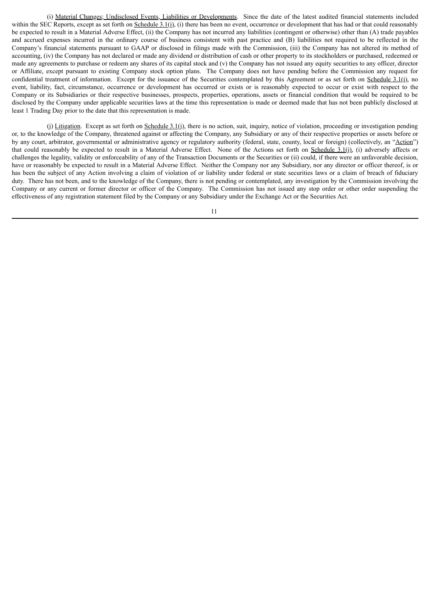(i) Material Changes; Undisclosed Events, Liabilities or Developments. Since the date of the latest audited financial statements included within the SEC Reports, except as set forth on Schedule 3.1(i), (i) there has been no event, occurrence or development that has had or that could reasonably be expected to result in a Material Adverse Effect, (ii) the Company has not incurred any liabilities (contingent or otherwise) other than (A) trade payables and accrued expenses incurred in the ordinary course of business consistent with past practice and (B) liabilities not required to be reflected in the Company's financial statements pursuant to GAAP or disclosed in filings made with the Commission, (iii) the Company has not altered its method of accounting, (iv) the Company has not declared or made any dividend or distribution of cash or other property to its stockholders or purchased, redeemed or made any agreements to purchase or redeem any shares of its capital stock and (v) the Company has not issued any equity securities to any officer, director or Affiliate, except pursuant to existing Company stock option plans. The Company does not have pending before the Commission any request for confidential treatment of information. Except for the issuance of the Securities contemplated by this Agreement or as set forth on Schedule 3.1(i), no event, liability, fact, circumstance, occurrence or development has occurred or exists or is reasonably expected to occur or exist with respect to the Company or its Subsidiaries or their respective businesses, prospects, properties, operations, assets or financial condition that would be required to be disclosed by the Company under applicable securities laws at the time this representation is made or deemed made that has not been publicly disclosed at least 1 Trading Day prior to the date that this representation is made.

(j) Litigation. Except as set forth on Schedule 3.1(j), there is no action, suit, inquiry, notice of violation, proceeding or investigation pending or, to the knowledge of the Company, threatened against or affecting the Company, any Subsidiary or any of their respective properties or assets before or by any court, arbitrator, governmental or administrative agency or regulatory authority (federal, state, county, local or foreign) (collectively, an "Action") that could reasonably be expected to result in a Material Adverse Effect. None of the Actions set forth on Schedule 3.1(j), (i) adversely affects or challenges the legality, validity or enforceability of any of the Transaction Documents or the Securities or (ii) could, if there were an unfavorable decision, have or reasonably be expected to result in a Material Adverse Effect. Neither the Company nor any Subsidiary, nor any director or officer thereof, is or has been the subject of any Action involving a claim of violation of or liability under federal or state securities laws or a claim of breach of fiduciary duty. There has not been, and to the knowledge of the Company, there is not pending or contemplated, any investigation by the Commission involving the Company or any current or former director or officer of the Company. The Commission has not issued any stop order or other order suspending the effectiveness of any registration statement filed by the Company or any Subsidiary under the Exchange Act or the Securities Act.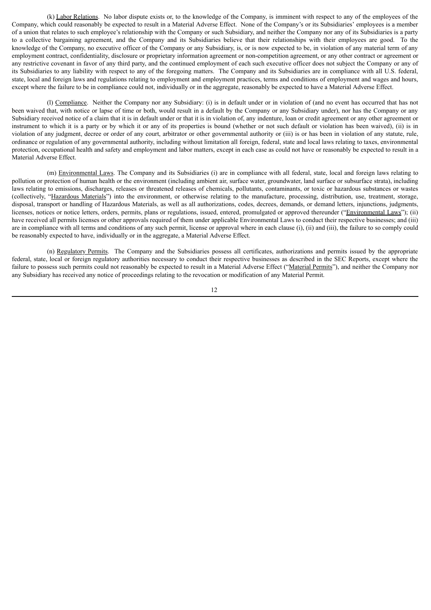(k) Labor Relations. No labor dispute exists or, to the knowledge of the Company, is imminent with respect to any of the employees of the Company, which could reasonably be expected to result in a Material Adverse Effect. None of the Company's or its Subsidiaries' employees is a member of a union that relates to such employee's relationship with the Company or such Subsidiary, and neither the Company nor any of its Subsidiaries is a party to a collective bargaining agreement, and the Company and its Subsidiaries believe that their relationships with their employees are good. To the knowledge of the Company, no executive officer of the Company or any Subsidiary, is, or is now expected to be, in violation of any material term of any employment contract, confidentiality, disclosure or proprietary information agreement or non-competition agreement, or any other contract or agreement or any restrictive covenant in favor of any third party, and the continued employment of each such executive officer does not subject the Company or any of its Subsidiaries to any liability with respect to any of the foregoing matters. The Company and its Subsidiaries are in compliance with all U.S. federal, state, local and foreign laws and regulations relating to employment and employment practices, terms and conditions of employment and wages and hours, except where the failure to be in compliance could not, individually or in the aggregate, reasonably be expected to have a Material Adverse Effect.

(l) Compliance. Neither the Company nor any Subsidiary: (i) is in default under or in violation of (and no event has occurred that has not been waived that, with notice or lapse of time or both, would result in a default by the Company or any Subsidiary under), nor has the Company or any Subsidiary received notice of a claim that it is in default under or that it is in violation of, any indenture, loan or credit agreement or any other agreement or instrument to which it is a party or by which it or any of its properties is bound (whether or not such default or violation has been waived), (ii) is in violation of any judgment, decree or order of any court, arbitrator or other governmental authority or (iii) is or has been in violation of any statute, rule, ordinance or regulation of any governmental authority, including without limitation all foreign, federal, state and local laws relating to taxes, environmental protection, occupational health and safety and employment and labor matters, except in each case as could not have or reasonably be expected to result in a Material Adverse Effect.

(m) Environmental Laws. The Company and its Subsidiaries (i) are in compliance with all federal, state, local and foreign laws relating to pollution or protection of human health or the environment (including ambient air, surface water, groundwater, land surface or subsurface strata), including laws relating to emissions, discharges, releases or threatened releases of chemicals, pollutants, contaminants, or toxic or hazardous substances or wastes (collectively, "Hazardous Materials") into the environment, or otherwise relating to the manufacture, processing, distribution, use, treatment, storage, disposal, transport or handling of Hazardous Materials, as well as all authorizations, codes, decrees, demands, or demand letters, injunctions, judgments, licenses, notices or notice letters, orders, permits, plans or regulations, issued, entered, promulgated or approved thereunder ("Environmental Laws"); (ii) have received all permits licenses or other approvals required of them under applicable Environmental Laws to conduct their respective businesses; and (iii) are in compliance with all terms and conditions of any such permit, license or approval where in each clause (i), (ii) and (iii), the failure to so comply could be reasonably expected to have, individually or in the aggregate, a Material Adverse Effect.

(n) Regulatory Permits. The Company and the Subsidiaries possess all certificates, authorizations and permits issued by the appropriate federal, state, local or foreign regulatory authorities necessary to conduct their respective businesses as described in the SEC Reports, except where the failure to possess such permits could not reasonably be expected to result in a Material Adverse Effect ("Material Permits"), and neither the Company nor any Subsidiary has received any notice of proceedings relating to the revocation or modification of any Material Permit.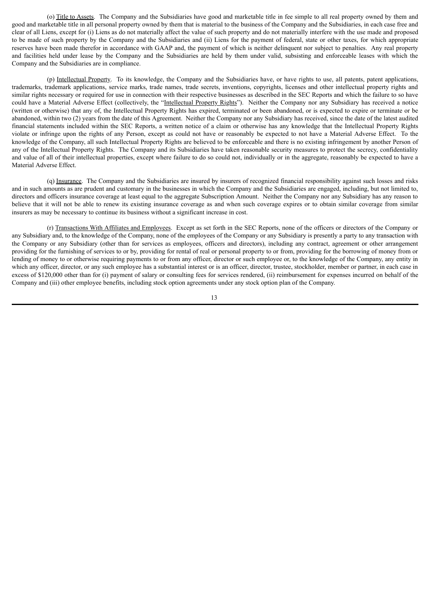(o) Title to Assets. The Company and the Subsidiaries have good and marketable title in fee simple to all real property owned by them and good and marketable title in all personal property owned by them that is material to the business of the Company and the Subsidiaries, in each case free and clear of all Liens, except for (i) Liens as do not materially affect the value of such property and do not materially interfere with the use made and proposed to be made of such property by the Company and the Subsidiaries and (ii) Liens for the payment of federal, state or other taxes, for which appropriate reserves have been made therefor in accordance with GAAP and, the payment of which is neither delinquent nor subject to penalties. Any real property and facilities held under lease by the Company and the Subsidiaries are held by them under valid, subsisting and enforceable leases with which the Company and the Subsidiaries are in compliance.

(p) Intellectual Property. To its knowledge, the Company and the Subsidiaries have, or have rights to use, all patents, patent applications, trademarks, trademark applications, service marks, trade names, trade secrets, inventions, copyrights, licenses and other intellectual property rights and similar rights necessary or required for use in connection with their respective businesses as described in the SEC Reports and which the failure to so have could have a Material Adverse Effect (collectively, the "Intellectual Property Rights"). Neither the Company nor any Subsidiary has received a notice (written or otherwise) that any of, the Intellectual Property Rights has expired, terminated or been abandoned, or is expected to expire or terminate or be abandoned, within two (2) years from the date of this Agreement. Neither the Company nor any Subsidiary has received, since the date of the latest audited financial statements included within the SEC Reports, a written notice of a claim or otherwise has any knowledge that the Intellectual Property Rights violate or infringe upon the rights of any Person, except as could not have or reasonably be expected to not have a Material Adverse Effect. To the knowledge of the Company, all such Intellectual Property Rights are believed to be enforceable and there is no existing infringement by another Person of any of the Intellectual Property Rights. The Company and its Subsidiaries have taken reasonable security measures to protect the secrecy, confidentiality and value of all of their intellectual properties, except where failure to do so could not, individually or in the aggregate, reasonably be expected to have a Material Adverse Effect.

(q) Insurance. The Company and the Subsidiaries are insured by insurers of recognized financial responsibility against such losses and risks and in such amounts as are prudent and customary in the businesses in which the Company and the Subsidiaries are engaged, including, but not limited to, directors and officers insurance coverage at least equal to the aggregate Subscription Amount. Neither the Company nor any Subsidiary has any reason to believe that it will not be able to renew its existing insurance coverage as and when such coverage expires or to obtain similar coverage from similar insurers as may be necessary to continue its business without a significant increase in cost.

(r) Transactions With Affiliates and Employees. Except as set forth in the SEC Reports, none of the officers or directors of the Company or any Subsidiary and, to the knowledge of the Company, none of the employees of the Company or any Subsidiary is presently a party to any transaction with the Company or any Subsidiary (other than for services as employees, officers and directors), including any contract, agreement or other arrangement providing for the furnishing of services to or by, providing for rental of real or personal property to or from, providing for the borrowing of money from or lending of money to or otherwise requiring payments to or from any officer, director or such employee or, to the knowledge of the Company, any entity in which any officer, director, or any such employee has a substantial interest or is an officer, director, trustee, stockholder, member or partner, in each case in excess of \$120,000 other than for (i) payment of salary or consulting fees for services rendered, (ii) reimbursement for expenses incurred on behalf of the Company and (iii) other employee benefits, including stock option agreements under any stock option plan of the Company.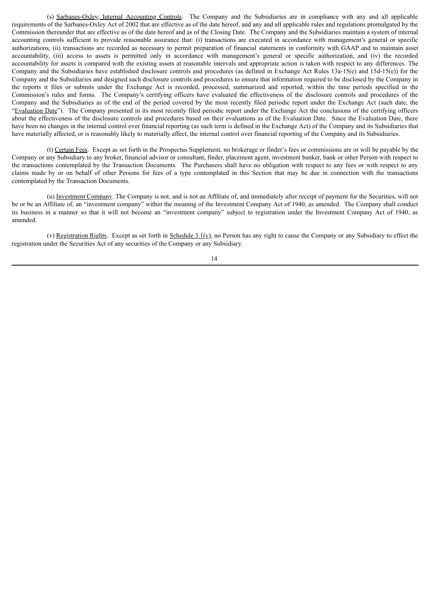(s) Sarbanes-Oxley; Internal Accounting Controls. The Company and the Subsidiaries are in compliance with any and all applicable requirements of the Sarbanes-Oxley Act of 2002 that are effective as of the date hereof, and any and all applicable rules and regulations promulgated by the Commission thereunder that are effective as of the date hereof and as of the Closing Date. The Company and the Subsidiaries maintain a system of internal accounting controls sufficient to provide reasonable assurance that: (i) transactions are executed in accordance with management's general or specific authorizations, (ii) transactions are recorded as necessary to permit preparation of financial statements in conformity with GAAP and to maintain asset accountability, (iii) access to assets is permitted only in accordance with management's general or specific authorization, and (iv) the recorded accountability for assets is compared with the existing assets at reasonable intervals and appropriate action is taken with respect to any differences. The Company and the Subsidiaries have established disclosure controls and procedures (as defined in Exchange Act Rules 13a-15(e) and 15d-15(e)) for the Company and the Subsidiaries and designed such disclosure controls and procedures to ensure that information required to be disclosed by the Company in the reports it files or submits under the Exchange Act is recorded, processed, summarized and reported, within the time periods specified in the Commission's rules and forms. The Company's certifying officers have evaluated the effectiveness of the disclosure controls and procedures of the Company and the Subsidiaries as of the end of the period covered by the most recently filed periodic report under the Exchange Act (such date, the "Evaluation Date"). The Company presented in its most recently filed periodic report under the Exchange Act the conclusions of the certifying officers about the effectiveness of the disclosure controls and procedures based on their evaluations as of the Evaluation Date. Since the Evaluation Date, there have been no changes in the internal control over financial reporting (as such term is defined in the Exchange Act) of the Company and its Subsidiaries that have materially affected, or is reasonably likely to materially affect, the internal control over financial reporting of the Company and its Subsidiaries.

(t) Certain Fees. Except as set forth in the Prospectus Supplement, no brokerage or finder's fees or commissions are or will be payable by the Company or any Subsidiary to any broker, financial advisor or consultant, finder, placement agent, investment banker, bank or other Person with respect to the transactions contemplated by the Transaction Documents. The Purchasers shall have no obligation with respect to any fees or with respect to any claims made by or on behalf of other Persons for fees of a type contemplated in this Section that may be due in connection with the transactions contemplated by the Transaction Documents.

(u) Investment Company. The Company is not, and is not an Affiliate of, and immediately after receipt of payment for the Securities, will not be or be an Affiliate of, an "investment company" within the meaning of the Investment Company Act of 1940, as amended. The Company shall conduct its business in a manner so that it will not become an "investment company" subject to registration under the Investment Company Act of 1940, as amended.

(v) Registration Rights. Except as set forth in Schedule 3.1(v), no Person has any right to cause the Company or any Subsidiary to effect the registration under the Securities Act of any securities of the Company or any Subsidiary.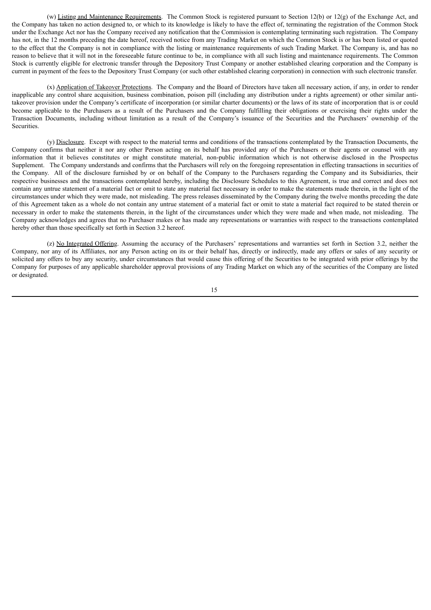(w) Listing and Maintenance Requirements. The Common Stock is registered pursuant to Section 12(b) or 12(g) of the Exchange Act, and the Company has taken no action designed to, or which to its knowledge is likely to have the effect of, terminating the registration of the Common Stock under the Exchange Act nor has the Company received any notification that the Commission is contemplating terminating such registration. The Company has not, in the 12 months preceding the date hereof, received notice from any Trading Market on which the Common Stock is or has been listed or quoted to the effect that the Company is not in compliance with the listing or maintenance requirements of such Trading Market. The Company is, and has no reason to believe that it will not in the foreseeable future continue to be, in compliance with all such listing and maintenance requirements. The Common Stock is currently eligible for electronic transfer through the Depository Trust Company or another established clearing corporation and the Company is current in payment of the fees to the Depository Trust Company (or such other established clearing corporation) in connection with such electronic transfer.

(x) Application of Takeover Protections. The Company and the Board of Directors have taken all necessary action, if any, in order to render inapplicable any control share acquisition, business combination, poison pill (including any distribution under a rights agreement) or other similar antitakeover provision under the Company's certificate of incorporation (or similar charter documents) or the laws of its state of incorporation that is or could become applicable to the Purchasers as a result of the Purchasers and the Company fulfilling their obligations or exercising their rights under the Transaction Documents, including without limitation as a result of the Company's issuance of the Securities and the Purchasers' ownership of the **Securities**.

(y) Disclosure. Except with respect to the material terms and conditions of the transactions contemplated by the Transaction Documents, the Company confirms that neither it nor any other Person acting on its behalf has provided any of the Purchasers or their agents or counsel with any information that it believes constitutes or might constitute material, non-public information which is not otherwise disclosed in the Prospectus Supplement. The Company understands and confirms that the Purchasers will rely on the foregoing representation in effecting transactions in securities of the Company. All of the disclosure furnished by or on behalf of the Company to the Purchasers regarding the Company and its Subsidiaries, their respective businesses and the transactions contemplated hereby, including the Disclosure Schedules to this Agreement, is true and correct and does not contain any untrue statement of a material fact or omit to state any material fact necessary in order to make the statements made therein, in the light of the circumstances under which they were made, not misleading. The press releases disseminated by the Company during the twelve months preceding the date of this Agreement taken as a whole do not contain any untrue statement of a material fact or omit to state a material fact required to be stated therein or necessary in order to make the statements therein, in the light of the circumstances under which they were made and when made, not misleading. The Company acknowledges and agrees that no Purchaser makes or has made any representations or warranties with respect to the transactions contemplated hereby other than those specifically set forth in Section 3.2 hereof.

(z) No Integrated Offering. Assuming the accuracy of the Purchasers' representations and warranties set forth in Section 3.2, neither the Company, nor any of its Affiliates, nor any Person acting on its or their behalf has, directly or indirectly, made any offers or sales of any security or solicited any offers to buy any security, under circumstances that would cause this offering of the Securities to be integrated with prior offerings by the Company for purposes of any applicable shareholder approval provisions of any Trading Market on which any of the securities of the Company are listed or designated.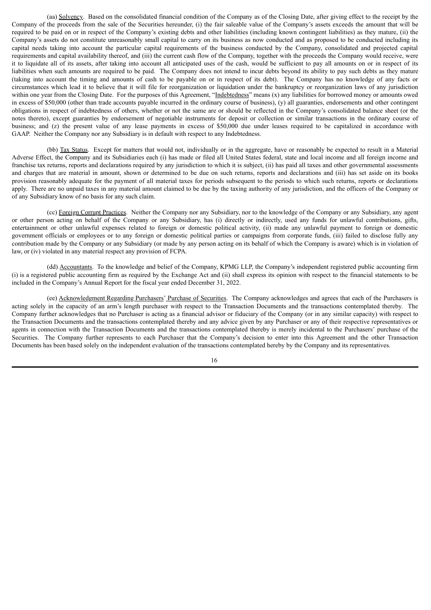(aa) Solvency. Based on the consolidated financial condition of the Company as of the Closing Date, after giving effect to the receipt by the Company of the proceeds from the sale of the Securities hereunder, (i) the fair saleable value of the Company's assets exceeds the amount that will be required to be paid on or in respect of the Company's existing debts and other liabilities (including known contingent liabilities) as they mature, (ii) the Company's assets do not constitute unreasonably small capital to carry on its business as now conducted and as proposed to be conducted including its capital needs taking into account the particular capital requirements of the business conducted by the Company, consolidated and projected capital requirements and capital availability thereof, and (iii) the current cash flow of the Company, together with the proceeds the Company would receive, were it to liquidate all of its assets, after taking into account all anticipated uses of the cash, would be sufficient to pay all amounts on or in respect of its liabilities when such amounts are required to be paid. The Company does not intend to incur debts beyond its ability to pay such debts as they mature (taking into account the timing and amounts of cash to be payable on or in respect of its debt). The Company has no knowledge of any facts or circumstances which lead it to believe that it will file for reorganization or liquidation under the bankruptcy or reorganization laws of any jurisdiction within one year from the Closing Date. For the purposes of this Agreement, "Indebtedness" means (x) any liabilities for borrowed money or amounts owed in excess of \$50,000 (other than trade accounts payable incurred in the ordinary course of business), (y) all guaranties, endorsements and other contingent obligations in respect of indebtedness of others, whether or not the same are or should be reflected in the Company's consolidated balance sheet (or the notes thereto), except guaranties by endorsement of negotiable instruments for deposit or collection or similar transactions in the ordinary course of business; and (z) the present value of any lease payments in excess of \$50,000 due under leases required to be capitalized in accordance with GAAP. Neither the Company nor any Subsidiary is in default with respect to any Indebtedness.

(bb) Tax Status. Except for matters that would not, individually or in the aggregate, have or reasonably be expected to result in a Material Adverse Effect, the Company and its Subsidiaries each (i) has made or filed all United States federal, state and local income and all foreign income and franchise tax returns, reports and declarations required by any jurisdiction to which it is subject, (ii) has paid all taxes and other governmental assessments and charges that are material in amount, shown or determined to be due on such returns, reports and declarations and (iii) has set aside on its books provision reasonably adequate for the payment of all material taxes for periods subsequent to the periods to which such returns, reports or declarations apply. There are no unpaid taxes in any material amount claimed to be due by the taxing authority of any jurisdiction, and the officers of the Company or of any Subsidiary know of no basis for any such claim.

(cc) Foreign Corrupt Practices. Neither the Company nor any Subsidiary, nor to the knowledge of the Company or any Subsidiary, any agent or other person acting on behalf of the Company or any Subsidiary, has (i) directly or indirectly, used any funds for unlawful contributions, gifts, entertainment or other unlawful expenses related to foreign or domestic political activity, (ii) made any unlawful payment to foreign or domestic government officials or employees or to any foreign or domestic political parties or campaigns from corporate funds, (iii) failed to disclose fully any contribution made by the Company or any Subsidiary (or made by any person acting on its behalf of which the Company is aware) which is in violation of law, or (iv) violated in any material respect any provision of FCPA.

(dd) Accountants. To the knowledge and belief of the Company, KPMG LLP, the Company's independent registered public accounting firm (i) is a registered public accounting firm as required by the Exchange Act and (ii) shall express its opinion with respect to the financial statements to be included in the Company's Annual Report for the fiscal year ended December 31, 2022.

(ee) Acknowledgment Regarding Purchasers' Purchase of Securities. The Company acknowledges and agrees that each of the Purchasers is acting solely in the capacity of an arm's length purchaser with respect to the Transaction Documents and the transactions contemplated thereby. The Company further acknowledges that no Purchaser is acting as a financial advisor or fiduciary of the Company (or in any similar capacity) with respect to the Transaction Documents and the transactions contemplated thereby and any advice given by any Purchaser or any of their respective representatives or agents in connection with the Transaction Documents and the transactions contemplated thereby is merely incidental to the Purchasers' purchase of the Securities. The Company further represents to each Purchaser that the Company's decision to enter into this Agreement and the other Transaction Documents has been based solely on the independent evaluation of the transactions contemplated hereby by the Company and its representatives.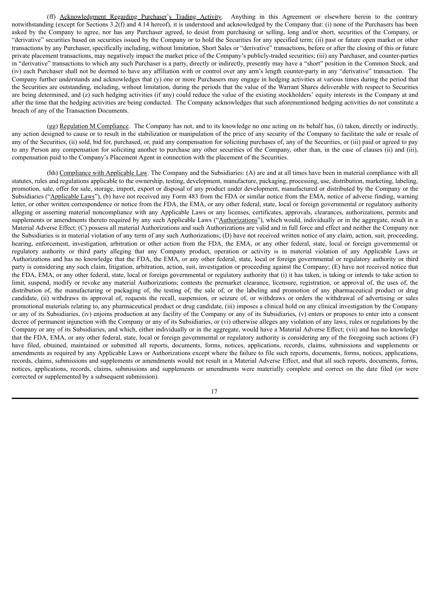(ff) Acknowledgment Regarding Purchaser's Trading Activity. Anything in this Agreement or elsewhere herein to the contrary notwithstanding (except for Sections 3.2(f) and 4.14 hereof), it is understood and acknowledged by the Company that: (i) none of the Purchasers has been asked by the Company to agree, nor has any Purchaser agreed, to desist from purchasing or selling, long and/or short, securities of the Company, or "derivative" securities based on securities issued by the Company or to hold the Securities for any specified term; (ii) past or future open market or other transactions by any Purchaser, specifically including, without limitation, Short Sales or "derivative" transactions, before or after the closing of this or future private placement transactions, may negatively impact the market price of the Company's publicly-traded securities; (iii) any Purchaser, and counter-parties in "derivative" transactions to which any such Purchaser is a party, directly or indirectly, presently may have a "short" position in the Common Stock, and (iv) each Purchaser shall not be deemed to have any affiliation with or control over any arm's length counter-party in any "derivative" transaction. The Company further understands and acknowledges that (y) one or more Purchasers may engage in hedging activities at various times during the period that the Securities are outstanding, including, without limitation, during the periods that the value of the Warrant Shares deliverable with respect to Securities are being determined, and (z) such hedging activities (if any) could reduce the value of the existing stockholders' equity interests in the Company at and after the time that the hedging activities are being conducted. The Company acknowledges that such aforementioned hedging activities do not constitute a breach of any of the Transaction Documents.

(gg) Regulation M Compliance. The Company has not, and to its knowledge no one acting on its behalf has, (i) taken, directly or indirectly, any action designed to cause or to result in the stabilization or manipulation of the price of any security of the Company to facilitate the sale or resale of any of the Securities, (ii) sold, bid for, purchased, or, paid any compensation for soliciting purchases of, any of the Securities, or (iii) paid or agreed to pay to any Person any compensation for soliciting another to purchase any other securities of the Company, other than, in the case of clauses (ii) and (iii), compensation paid to the Company's Placement Agent in connection with the placement of the Securities.

(hh) Compliance with Applicable Law. The Company and the Subsidiaries: (A) are and at all times have been in material compliance with all statutes, rules and regulations applicable to the ownership, testing, development, manufacture, packaging, processing, use, distribution, marketing, labeling, promotion, sale, offer for sale, storage, import, export or disposal of any product under development, manufactured or distributed by the Company or the Subsidiaries ("Applicable Laws"), (b) have not received any Form 483 from the FDA or similar notice from the EMA, notice of adverse finding, warning letter, or other written correspondence or notice from the FDA, the EMA, or any other federal, state, local or foreign governmental or regulatory authority alleging or asserting material noncompliance with any Applicable Laws or any licenses, certificates, approvals, clearances, authorizations, permits and supplements or amendments thereto required by any such Applicable Laws ("Authorizations"), which would, individually or in the aggregate, result in a Material Adverse Effect; (C) possess all material Authorizations and such Authorizations are valid and in full force and effect and neither the Company nor the Subsidiaries is in material violation of any term of any such Authorizations; (D) have not received written notice of any claim, action, suit, proceeding, hearing, enforcement, investigation, arbitration or other action from the FDA, the EMA, or any other federal, state, local or foreign governmental or regulatory authority or third party alleging that any Company product, operation or activity is in material violation of any Applicable Laws or Authorizations and has no knowledge that the FDA, the EMA, or any other federal, state, local or foreign governmental or regulatory authority or third party is considering any such claim, litigation, arbitration, action, suit, investigation or proceeding against the Company; (E) have not received notice that the FDA, EMA, or any other federal, state, local or foreign governmental or regulatory authority that (i) it has taken, is taking or intends to take action to limit, suspend, modify or revoke any material Authorizations; contests the premarket clearance, licensure, registration, or approval of, the uses of, the distribution of, the manufacturing or packaging of, the testing of, the sale of, or the labeling and promotion of any pharmaceutical product or drug candidate, (ii) withdraws its approval of, requests the recall, suspension, or seizure of, or withdraws or orders the withdrawal of advertising or sales promotional materials relating to, any pharmaceutical product or drug candidate, (iii) imposes a clinical hold on any clinical investigation by the Company or any of its Subsidiaries, (iv) enjoins production at any facility of the Company or any of its Subsidiaries, (v) enters or proposes to enter into a consent decree of permanent injunction with the Company or any of its Subsidiaries, or (vi) otherwise alleges any violation of any laws, rules or regulations by the Company or any of its Subsidiaries, and which, either individually or in the aggregate, would have a Material Adverse Effect; (vii) and has no knowledge that the FDA, EMA, or any other federal, state, local or foreign governmental or regulatory authority is considering any of the foregoing such actions (F) have filed, obtained, maintained or submitted all reports, documents, forms, notices, applications, records, claims, submissions and supplements or amendments as required by any Applicable Laws or Authorizations except where the failure to file such reports, documents, forms, notices, applications, records, claims, submissions and supplements or amendments would not result in a Material Adverse Effect, and that all such reports, documents, forms, notices, applications, records, claims, submissions and supplements or amendments were materially complete and correct on the date filed (or were corrected or supplemented by a subsequent submission).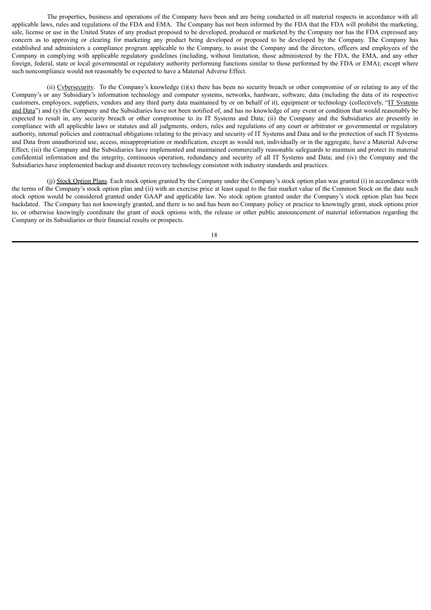The properties, business and operations of the Company have been and are being conducted in all material respects in accordance with all applicable laws, rules and regulations of the FDA and EMA. The Company has not been informed by the FDA that the FDA will prohibit the marketing, sale, license or use in the United States of any product proposed to be developed, produced or marketed by the Company nor has the FDA expressed any concern as to approving or clearing for marketing any product being developed or proposed to be developed by the Company. The Company has established and administers a compliance program applicable to the Company, to assist the Company and the directors, officers and employees of the Company in complying with applicable regulatory guidelines (including, without limitation, those administered by the FDA, the EMA, and any other foreign, federal, state or local governmental or regulatory authority performing functions similar to those performed by the FDA or EMA); except where such noncompliance would not reasonably be expected to have a Material Adverse Effect.

(ii) Cybersecurity. To the Company's knowledge  $(i)(x)$  there has been no security breach or other compromise of or relating to any of the Company's or any Subsidiary's information technology and computer systems, networks, hardware, software, data (including the data of its respective customers, employees, suppliers, vendors and any third party data maintained by or on behalf of it), equipment or technology (collectively, "IT Systems and Data") and (y) the Company and the Subsidiaries have not been notified of, and has no knowledge of any event or condition that would reasonably be expected to result in, any security breach or other compromise to its IT Systems and Data; (ii) the Company and the Subsidiaries are presently in compliance with all applicable laws or statutes and all judgments, orders, rules and regulations of any court or arbitrator or governmental or regulatory authority, internal policies and contractual obligations relating to the privacy and security of IT Systems and Data and to the protection of such IT Systems and Data from unauthorized use, access, misappropriation or modification, except as would not, individually or in the aggregate, have a Material Adverse Effect; (iii) the Company and the Subsidiaries have implemented and maintained commercially reasonable safeguards to maintain and protect its material confidential information and the integrity, continuous operation, redundancy and security of all IT Systems and Data; and (iv) the Company and the Subsidiaries have implemented backup and disaster recovery technology consistent with industry standards and practices.

(jj) Stock Option Plans. Each stock option granted by the Company under the Company's stock option plan was granted (i) in accordance with the terms of the Company's stock option plan and (ii) with an exercise price at least equal to the fair market value of the Common Stock on the date such stock option would be considered granted under GAAP and applicable law. No stock option granted under the Company's stock option plan has been backdated. The Company has not knowingly granted, and there is no and has been no Company policy or practice to knowingly grant, stock options prior to, or otherwise knowingly coordinate the grant of stock options with, the release or other public announcement of material information regarding the Company or its Subsidiaries or their financial results or prospects.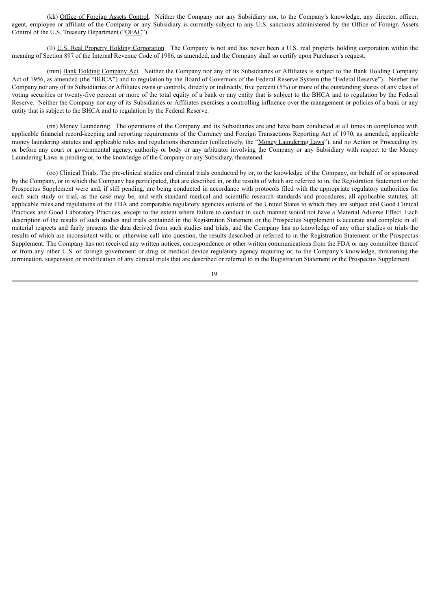(kk) Office of Foreign Assets Control. Neither the Company nor any Subsidiary nor, to the Company's knowledge, any director, officer, agent, employee or affiliate of the Company or any Subsidiary is currently subject to any U.S. sanctions administered by the Office of Foreign Assets Control of the U.S. Treasury Department ("OFAC").

(ll) U.S. Real Property Holding Corporation. The Company is not and has never been a U.S. real property holding corporation within the meaning of Section 897 of the Internal Revenue Code of 1986, as amended, and the Company shall so certify upon Purchaser's request.

(mm) Bank Holding Company Act. Neither the Company nor any of its Subsidiaries or Affiliates is subject to the Bank Holding Company Act of 1956, as amended (the "BHCA") and to regulation by the Board of Governors of the Federal Reserve System (the "Federal Reserve"). Neither the Company nor any of its Subsidiaries or Affiliates owns or controls, directly or indirectly, five percent (5%) or more of the outstanding shares of any class of voting securities or twenty-five percent or more of the total equity of a bank or any entity that is subject to the BHCA and to regulation by the Federal Reserve. Neither the Company nor any of its Subsidiaries or Affiliates exercises a controlling influence over the management or policies of a bank or any entity that is subject to the BHCA and to regulation by the Federal Reserve.

(nn) Money Laundering. The operations of the Company and its Subsidiaries are and have been conducted at all times in compliance with applicable financial record-keeping and reporting requirements of the Currency and Foreign Transactions Reporting Act of 1970, as amended, applicable money laundering statutes and applicable rules and regulations thereunder (collectively, the "Money Laundering Laws"), and no Action or Proceeding by or before any court or governmental agency, authority or body or any arbitrator involving the Company or any Subsidiary with respect to the Money Laundering Laws is pending or, to the knowledge of the Company or any Subsidiary, threatened.

(oo) Clinical Trials. The pre-clinical studies and clinical trials conducted by or, to the knowledge of the Company, on behalf of or sponsored by the Company, or in which the Company has participated, that are described in, or the results of which are referred to in, the Registration Statement or the Prospectus Supplement were and, if still pending, are being conducted in accordance with protocols filed with the appropriate regulatory authorities for each such study or trial, as the case may be, and with standard medical and scientific research standards and procedures, all applicable statutes, all applicable rules and regulations of the FDA and comparable regulatory agencies outside of the United States to which they are subject and Good Clinical Practices and Good Laboratory Practices, except to the extent where failure to conduct in such manner would not have a Material Adverse Effect. Each description of the results of such studies and trials contained in the Registration Statement or the Prospectus Supplement is accurate and complete in all material respects and fairly presents the data derived from such studies and trials, and the Company has no knowledge of any other studies or trials the results of which are inconsistent with, or otherwise call into question, the results described or referred to in the Registration Statement or the Prospectus Supplement. The Company has not received any written notices, correspondence or other written communications from the FDA or any committee thereof or from any other U.S. or foreign government or drug or medical device regulatory agency requiring or, to the Company's knowledge, threatening the termination, suspension or modification of any clinical trials that are described or referred to in the Registration Statement or the Prospectus Supplement.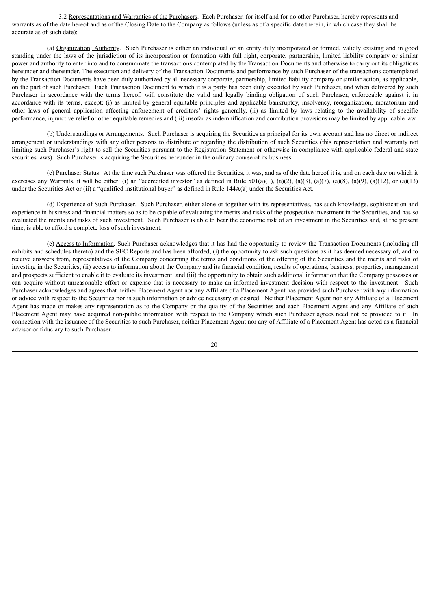3.2 Representations and Warranties of the Purchasers. Each Purchaser, for itself and for no other Purchaser, hereby represents and warrants as of the date hereof and as of the Closing Date to the Company as follows (unless as of a specific date therein, in which case they shall be accurate as of such date):

(a) Organization; Authority. Such Purchaser is either an individual or an entity duly incorporated or formed, validly existing and in good standing under the laws of the jurisdiction of its incorporation or formation with full right, corporate, partnership, limited liability company or similar power and authority to enter into and to consummate the transactions contemplated by the Transaction Documents and otherwise to carry out its obligations hereunder and thereunder. The execution and delivery of the Transaction Documents and performance by such Purchaser of the transactions contemplated by the Transaction Documents have been duly authorized by all necessary corporate, partnership, limited liability company or similar action, as applicable, on the part of such Purchaser. Each Transaction Document to which it is a party has been duly executed by such Purchaser, and when delivered by such Purchaser in accordance with the terms hereof, will constitute the valid and legally binding obligation of such Purchaser, enforceable against it in accordance with its terms, except: (i) as limited by general equitable principles and applicable bankruptcy, insolvency, reorganization, moratorium and other laws of general application affecting enforcement of creditors' rights generally, (ii) as limited by laws relating to the availability of specific performance, injunctive relief or other equitable remedies and (iii) insofar as indemnification and contribution provisions may be limited by applicable law.

(b) Understandings or Arrangements. Such Purchaser is acquiring the Securities as principal for its own account and has no direct or indirect arrangement or understandings with any other persons to distribute or regarding the distribution of such Securities (this representation and warranty not limiting such Purchaser's right to sell the Securities pursuant to the Registration Statement or otherwise in compliance with applicable federal and state securities laws). Such Purchaser is acquiring the Securities hereunder in the ordinary course of its business.

(c) Purchaser Status. At the time such Purchaser was offered the Securities, it was, and as of the date hereof it is, and on each date on which it exercises any Warrants, it will be either: (i) an "accredited investor" as defined in Rule 501(a)(1), (a)(2), (a)(3), (a)(7), (a)(8), (a)(9), (a)(12), or (a)(13) under the Securities Act or (ii) a "qualified institutional buyer" as defined in Rule 144A(a) under the Securities Act.

(d) Experience of Such Purchaser. Such Purchaser, either alone or together with its representatives, has such knowledge, sophistication and experience in business and financial matters so as to be capable of evaluating the merits and risks of the prospective investment in the Securities, and has so evaluated the merits and risks of such investment. Such Purchaser is able to bear the economic risk of an investment in the Securities and, at the present time, is able to afford a complete loss of such investment.

(e) Access to Information. Such Purchaser acknowledges that it has had the opportunity to review the Transaction Documents (including all exhibits and schedules thereto) and the SEC Reports and has been afforded, (i) the opportunity to ask such questions as it has deemed necessary of, and to receive answers from, representatives of the Company concerning the terms and conditions of the offering of the Securities and the merits and risks of investing in the Securities; (ii) access to information about the Company and its financial condition, results of operations, business, properties, management and prospects sufficient to enable it to evaluate its investment; and (iii) the opportunity to obtain such additional information that the Company possesses or can acquire without unreasonable effort or expense that is necessary to make an informed investment decision with respect to the investment. Such Purchaser acknowledges and agrees that neither Placement Agent nor any Affiliate of a Placement Agent has provided such Purchaser with any information or advice with respect to the Securities nor is such information or advice necessary or desired. Neither Placement Agent nor any Affiliate of a Placement Agent has made or makes any representation as to the Company or the quality of the Securities and each Placement Agent and any Affiliate of such Placement Agent may have acquired non-public information with respect to the Company which such Purchaser agrees need not be provided to it. In connection with the issuance of the Securities to such Purchaser, neither Placement Agent nor any of Affiliate of a Placement Agent has acted as a financial advisor or fiduciary to such Purchaser.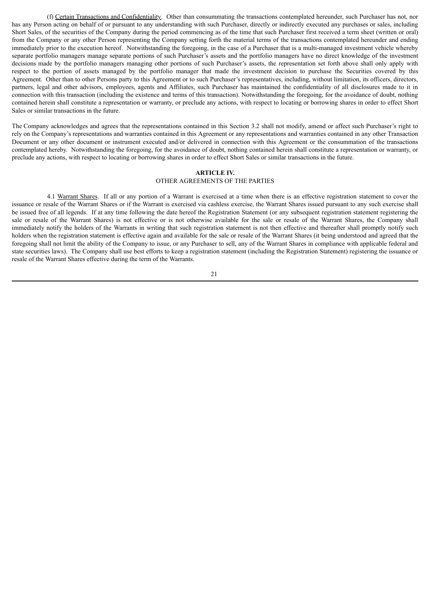(f) Certain Transactions and Confidentiality. Other than consummating the transactions contemplated hereunder, such Purchaser has not, nor has any Person acting on behalf of or pursuant to any understanding with such Purchaser, directly or indirectly executed any purchases or sales, including Short Sales, of the securities of the Company during the period commencing as of the time that such Purchaser first received a term sheet (written or oral) from the Company or any other Person representing the Company setting forth the material terms of the transactions contemplated hereunder and ending immediately prior to the execution hereof. Notwithstanding the foregoing, in the case of a Purchaser that is a multi-managed investment vehicle whereby separate portfolio managers manage separate portions of such Purchaser's assets and the portfolio managers have no direct knowledge of the investment decisions made by the portfolio managers managing other portions of such Purchaser's assets, the representation set forth above shall only apply with respect to the portion of assets managed by the portfolio manager that made the investment decision to purchase the Securities covered by this Agreement. Other than to other Persons party to this Agreement or to such Purchaser's representatives, including, without limitation, its officers, directors, partners, legal and other advisors, employees, agents and Affiliates, such Purchaser has maintained the confidentiality of all disclosures made to it in connection with this transaction (including the existence and terms of this transaction). Notwithstanding the foregoing, for the avoidance of doubt, nothing contained herein shall constitute a representation or warranty, or preclude any actions, with respect to locating or borrowing shares in order to effect Short Sales or similar transactions in the future.

The Company acknowledges and agrees that the representations contained in this Section 3.2 shall not modify, amend or affect such Purchaser's right to rely on the Company's representations and warranties contained in this Agreement or any representations and warranties contained in any other Transaction Document or any other document or instrument executed and/or delivered in connection with this Agreement or the consummation of the transactions contemplated hereby. Notwithstanding the foregoing, for the avoidance of doubt, nothing contained herein shall constitute a representation or warranty, or preclude any actions, with respect to locating or borrowing shares in order to effect Short Sales or similar transactions in the future.

#### **ARTICLE IV.** OTHER AGREEMENTS OF THE PARTIES

4.1 Warrant Shares. If all or any portion of a Warrant is exercised at a time when there is an effective registration statement to cover the issuance or resale of the Warrant Shares or if the Warrant is exercised via cashless exercise, the Warrant Shares issued pursuant to any such exercise shall be issued free of all legends. If at any time following the date hereof the Registration Statement (or any subsequent registration statement registering the sale or resale of the Warrant Shares) is not effective or is not otherwise available for the sale or resale of the Warrant Shares, the Company shall immediately notify the holders of the Warrants in writing that such registration statement is not then effective and thereafter shall promptly notify such holders when the registration statement is effective again and available for the sale or resale of the Warrant Shares (it being understood and agreed that the foregoing shall not limit the ability of the Company to issue, or any Purchaser to sell, any of the Warrant Shares in compliance with applicable federal and state securities laws). The Company shall use best efforts to keep a registration statement (including the Registration Statement) registering the issuance or resale of the Warrant Shares effective during the term of the Warrants.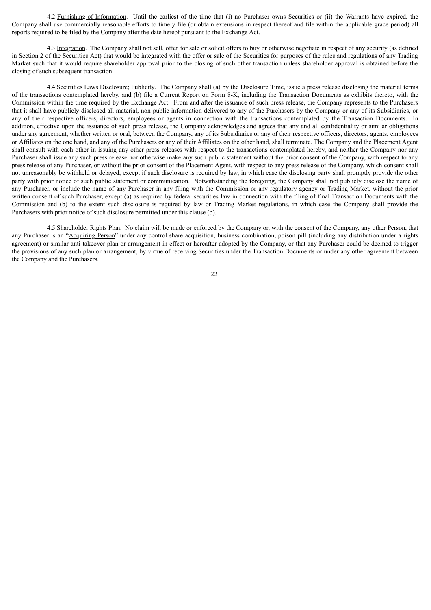4.2 Furnishing of Information. Until the earliest of the time that (i) no Purchaser owns Securities or (ii) the Warrants have expired, the Company shall use commercially reasonable efforts to timely file (or obtain extensions in respect thereof and file within the applicable grace period) all reports required to be filed by the Company after the date hereof pursuant to the Exchange Act.

4.3 Integration. The Company shall not sell, offer for sale or solicit offers to buy or otherwise negotiate in respect of any security (as defined in Section 2 of the Securities Act) that would be integrated with the offer or sale of the Securities for purposes of the rules and regulations of any Trading Market such that it would require shareholder approval prior to the closing of such other transaction unless shareholder approval is obtained before the closing of such subsequent transaction.

4.4 Securities Laws Disclosure; Publicity. The Company shall (a) by the Disclosure Time, issue a press release disclosing the material terms of the transactions contemplated hereby, and (b) file a Current Report on Form 8-K, including the Transaction Documents as exhibits thereto, with the Commission within the time required by the Exchange Act. From and after the issuance of such press release, the Company represents to the Purchasers that it shall have publicly disclosed all material, non-public information delivered to any of the Purchasers by the Company or any of its Subsidiaries, or any of their respective officers, directors, employees or agents in connection with the transactions contemplated by the Transaction Documents. In addition, effective upon the issuance of such press release, the Company acknowledges and agrees that any and all confidentiality or similar obligations under any agreement, whether written or oral, between the Company, any of its Subsidiaries or any of their respective officers, directors, agents, employees or Affiliates on the one hand, and any of the Purchasers or any of their Affiliates on the other hand, shall terminate. The Company and the Placement Agent shall consult with each other in issuing any other press releases with respect to the transactions contemplated hereby, and neither the Company nor any Purchaser shall issue any such press release nor otherwise make any such public statement without the prior consent of the Company, with respect to any press release of any Purchaser, or without the prior consent of the Placement Agent, with respect to any press release of the Company, which consent shall not unreasonably be withheld or delayed, except if such disclosure is required by law, in which case the disclosing party shall promptly provide the other party with prior notice of such public statement or communication. Notwithstanding the foregoing, the Company shall not publicly disclose the name of any Purchaser, or include the name of any Purchaser in any filing with the Commission or any regulatory agency or Trading Market, without the prior written consent of such Purchaser, except (a) as required by federal securities law in connection with the filing of final Transaction Documents with the Commission and (b) to the extent such disclosure is required by law or Trading Market regulations, in which case the Company shall provide the Purchasers with prior notice of such disclosure permitted under this clause (b).

4.5 Shareholder Rights Plan. No claim will be made or enforced by the Company or, with the consent of the Company, any other Person, that any Purchaser is an "Acquiring Person" under any control share acquisition, business combination, poison pill (including any distribution under a rights agreement) or similar anti-takeover plan or arrangement in effect or hereafter adopted by the Company, or that any Purchaser could be deemed to trigger the provisions of any such plan or arrangement, by virtue of receiving Securities under the Transaction Documents or under any other agreement between the Company and the Purchasers.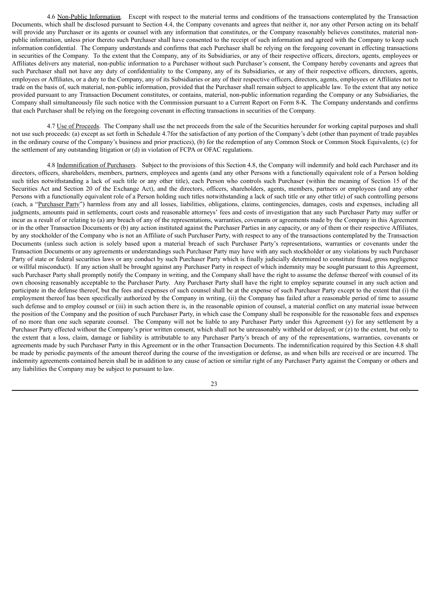4.6 Non-Public Information. Except with respect to the material terms and conditions of the transactions contemplated by the Transaction Documents, which shall be disclosed pursuant to Section 4.4, the Company covenants and agrees that neither it, nor any other Person acting on its behalf will provide any Purchaser or its agents or counsel with any information that constitutes, or the Company reasonably believes constitutes, material nonpublic information, unless prior thereto such Purchaser shall have consented to the receipt of such information and agreed with the Company to keep such information confidential. The Company understands and confirms that each Purchaser shall be relying on the foregoing covenant in effecting transactions in securities of the Company. To the extent that the Company, any of its Subsidiaries, or any of their respective officers, directors, agents, employees or Affiliates delivers any material, non-public information to a Purchaser without such Purchaser's consent, the Company hereby covenants and agrees that such Purchaser shall not have any duty of confidentiality to the Company, any of its Subsidiaries, or any of their respective officers, directors, agents, employees or Affiliates, or a duty to the Company, any of its Subsidiaries or any of their respective officers, directors, agents, employees or Affiliates not to trade on the basis of, such material, non-public information, provided that the Purchaser shall remain subject to applicable law. To the extent that any notice provided pursuant to any Transaction Document constitutes, or contains, material, non-public information regarding the Company or any Subsidiaries, the Company shall simultaneously file such notice with the Commission pursuant to a Current Report on Form 8-K. The Company understands and confirms that each Purchaser shall be relying on the foregoing covenant in effecting transactions in securities of the Company.

4.7 Use of Proceeds. The Company shall use the net proceeds from the sale of the Securities hereunder for working capital purposes and shall not use such proceeds: (a) except as set forth in Schedule 4.7for the satisfaction of any portion of the Company's debt (other than payment of trade payables in the ordinary course of the Company's business and prior practices), (b) for the redemption of any Common Stock or Common Stock Equivalents, (c) for the settlement of any outstanding litigation or (d) in violation of FCPA or OFAC regulations.

4.8 Indemnification of Purchasers. Subject to the provisions of this Section 4.8, the Company will indemnify and hold each Purchaser and its directors, officers, shareholders, members, partners, employees and agents (and any other Persons with a functionally equivalent role of a Person holding such titles notwithstanding a lack of such title or any other title), each Person who controls such Purchaser (within the meaning of Section 15 of the Securities Act and Section 20 of the Exchange Act), and the directors, officers, shareholders, agents, members, partners or employees (and any other Persons with a functionally equivalent role of a Person holding such titles notwithstanding a lack of such title or any other title) of such controlling persons (each, a "Purchaser Party") harmless from any and all losses, liabilities, obligations, claims, contingencies, damages, costs and expenses, including all judgments, amounts paid in settlements, court costs and reasonable attorneys' fees and costs of investigation that any such Purchaser Party may suffer or incur as a result of or relating to (a) any breach of any of the representations, warranties, covenants or agreements made by the Company in this Agreement or in the other Transaction Documents or (b) any action instituted against the Purchaser Parties in any capacity, or any of them or their respective Affiliates, by any stockholder of the Company who is not an Affiliate of such Purchaser Party, with respect to any of the transactions contemplated by the Transaction Documents (unless such action is solely based upon a material breach of such Purchaser Party's representations, warranties or covenants under the Transaction Documents or any agreements or understandings such Purchaser Party may have with any such stockholder or any violations by such Purchaser Party of state or federal securities laws or any conduct by such Purchaser Party which is finally judicially determined to constitute fraud, gross negligence or willful misconduct). If any action shall be brought against any Purchaser Party in respect of which indemnity may be sought pursuant to this Agreement, such Purchaser Party shall promptly notify the Company in writing, and the Company shall have the right to assume the defense thereof with counsel of its own choosing reasonably acceptable to the Purchaser Party. Any Purchaser Party shall have the right to employ separate counsel in any such action and participate in the defense thereof, but the fees and expenses of such counsel shall be at the expense of such Purchaser Party except to the extent that (i) the employment thereof has been specifically authorized by the Company in writing, (ii) the Company has failed after a reasonable period of time to assume such defense and to employ counsel or (iii) in such action there is, in the reasonable opinion of counsel, a material conflict on any material issue between the position of the Company and the position of such Purchaser Party, in which case the Company shall be responsible for the reasonable fees and expenses of no more than one such separate counsel. The Company will not be liable to any Purchaser Party under this Agreement (y) for any settlement by a Purchaser Party effected without the Company's prior written consent, which shall not be unreasonably withheld or delayed; or (z) to the extent, but only to the extent that a loss, claim, damage or liability is attributable to any Purchaser Party's breach of any of the representations, warranties, covenants or agreements made by such Purchaser Party in this Agreement or in the other Transaction Documents. The indemnification required by this Section 4.8 shall be made by periodic payments of the amount thereof during the course of the investigation or defense, as and when bills are received or are incurred. The indemnity agreements contained herein shall be in addition to any cause of action or similar right of any Purchaser Party against the Company or others and any liabilities the Company may be subject to pursuant to law.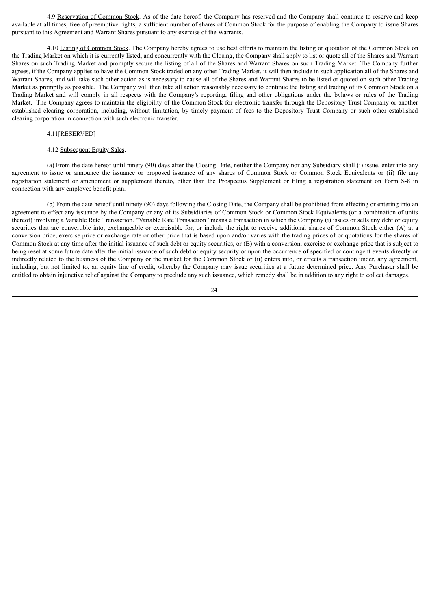4.9 Reservation of Common Stock. As of the date hereof, the Company has reserved and the Company shall continue to reserve and keep available at all times, free of preemptive rights, a sufficient number of shares of Common Stock for the purpose of enabling the Company to issue Shares pursuant to this Agreement and Warrant Shares pursuant to any exercise of the Warrants.

4.10 Listing of Common Stock. The Company hereby agrees to use best efforts to maintain the listing or quotation of the Common Stock on the Trading Market on which it is currently listed, and concurrently with the Closing, the Company shall apply to list or quote all of the Shares and Warrant Shares on such Trading Market and promptly secure the listing of all of the Shares and Warrant Shares on such Trading Market. The Company further agrees, if the Company applies to have the Common Stock traded on any other Trading Market, it will then include in such application all of the Shares and Warrant Shares, and will take such other action as is necessary to cause all of the Shares and Warrant Shares to be listed or quoted on such other Trading Market as promptly as possible. The Company will then take all action reasonably necessary to continue the listing and trading of its Common Stock on a Trading Market and will comply in all respects with the Company's reporting, filing and other obligations under the bylaws or rules of the Trading Market. The Company agrees to maintain the eligibility of the Common Stock for electronic transfer through the Depository Trust Company or another established clearing corporation, including, without limitation, by timely payment of fees to the Depository Trust Company or such other established clearing corporation in connection with such electronic transfer.

#### 4.11[RESERVED]

#### 4.12 Subsequent Equity Sales.

(a) From the date hereof until ninety (90) days after the Closing Date, neither the Company nor any Subsidiary shall (i) issue, enter into any agreement to issue or announce the issuance or proposed issuance of any shares of Common Stock or Common Stock Equivalents or (ii) file any registration statement or amendment or supplement thereto, other than the Prospectus Supplement or filing a registration statement on Form S-8 in connection with any employee benefit plan.

(b) From the date hereof until ninety (90) days following the Closing Date, the Company shall be prohibited from effecting or entering into an agreement to effect any issuance by the Company or any of its Subsidiaries of Common Stock or Common Stock Equivalents (or a combination of units thereof) involving a Variable Rate Transaction. "Variable Rate Transaction" means a transaction in which the Company (i) issues or sells any debt or equity securities that are convertible into, exchangeable or exercisable for, or include the right to receive additional shares of Common Stock either (A) at a conversion price, exercise price or exchange rate or other price that is based upon and/or varies with the trading prices of or quotations for the shares of Common Stock at any time after the initial issuance of such debt or equity securities, or (B) with a conversion, exercise or exchange price that is subject to being reset at some future date after the initial issuance of such debt or equity security or upon the occurrence of specified or contingent events directly or indirectly related to the business of the Company or the market for the Common Stock or (ii) enters into, or effects a transaction under, any agreement, including, but not limited to, an equity line of credit, whereby the Company may issue securities at a future determined price. Any Purchaser shall be entitled to obtain injunctive relief against the Company to preclude any such issuance, which remedy shall be in addition to any right to collect damages.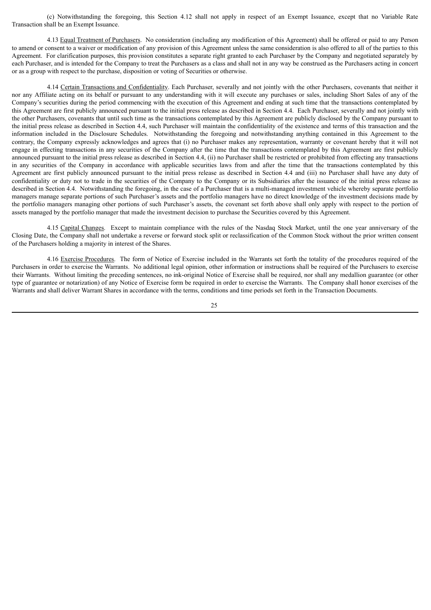(c) Notwithstanding the foregoing, this Section 4.12 shall not apply in respect of an Exempt Issuance, except that no Variable Rate Transaction shall be an Exempt Issuance.

4.13 Equal Treatment of Purchasers. No consideration (including any modification of this Agreement) shall be offered or paid to any Person to amend or consent to a waiver or modification of any provision of this Agreement unless the same consideration is also offered to all of the parties to this Agreement. For clarification purposes, this provision constitutes a separate right granted to each Purchaser by the Company and negotiated separately by each Purchaser, and is intended for the Company to treat the Purchasers as a class and shall not in any way be construed as the Purchasers acting in concert or as a group with respect to the purchase, disposition or voting of Securities or otherwise.

4.14 Certain Transactions and Confidentiality. Each Purchaser, severally and not jointly with the other Purchasers, covenants that neither it nor any Affiliate acting on its behalf or pursuant to any understanding with it will execute any purchases or sales, including Short Sales of any of the Company's securities during the period commencing with the execution of this Agreement and ending at such time that the transactions contemplated by this Agreement are first publicly announced pursuant to the initial press release as described in Section 4.4. Each Purchaser, severally and not jointly with the other Purchasers, covenants that until such time as the transactions contemplated by this Agreement are publicly disclosed by the Company pursuant to the initial press release as described in Section 4.4, such Purchaser will maintain the confidentiality of the existence and terms of this transaction and the information included in the Disclosure Schedules. Notwithstanding the foregoing and notwithstanding anything contained in this Agreement to the contrary, the Company expressly acknowledges and agrees that (i) no Purchaser makes any representation, warranty or covenant hereby that it will not engage in effecting transactions in any securities of the Company after the time that the transactions contemplated by this Agreement are first publicly announced pursuant to the initial press release as described in Section 4.4, (ii) no Purchaser shall be restricted or prohibited from effecting any transactions in any securities of the Company in accordance with applicable securities laws from and after the time that the transactions contemplated by this Agreement are first publicly announced pursuant to the initial press release as described in Section 4.4 and (iii) no Purchaser shall have any duty of confidentiality or duty not to trade in the securities of the Company to the Company or its Subsidiaries after the issuance of the initial press release as described in Section 4.4. Notwithstanding the foregoing, in the case of a Purchaser that is a multi-managed investment vehicle whereby separate portfolio managers manage separate portions of such Purchaser's assets and the portfolio managers have no direct knowledge of the investment decisions made by the portfolio managers managing other portions of such Purchaser's assets, the covenant set forth above shall only apply with respect to the portion of assets managed by the portfolio manager that made the investment decision to purchase the Securities covered by this Agreement.

4.15 Capital Changes. Except to maintain compliance with the rules of the Nasdaq Stock Market, until the one year anniversary of the Closing Date, the Company shall not undertake a reverse or forward stock split or reclassification of the Common Stock without the prior written consent of the Purchasers holding a majority in interest of the Shares.

4.16 Exercise Procedures. The form of Notice of Exercise included in the Warrants set forth the totality of the procedures required of the Purchasers in order to exercise the Warrants. No additional legal opinion, other information or instructions shall be required of the Purchasers to exercise their Warrants. Without limiting the preceding sentences, no ink-original Notice of Exercise shall be required, nor shall any medallion guarantee (or other type of guarantee or notarization) of any Notice of Exercise form be required in order to exercise the Warrants. The Company shall honor exercises of the Warrants and shall deliver Warrant Shares in accordance with the terms, conditions and time periods set forth in the Transaction Documents.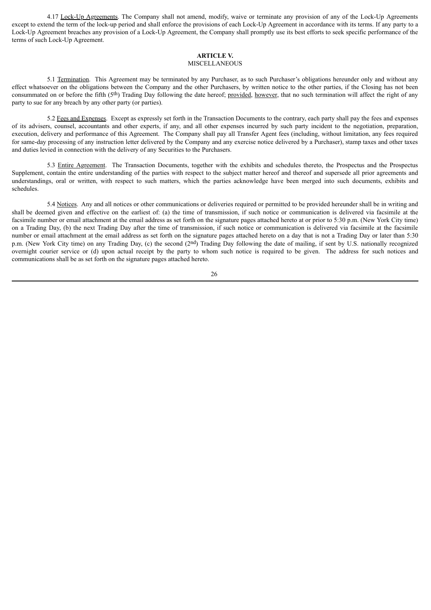4.17 Lock-Up Agreements. The Company shall not amend, modify, waive or terminate any provision of any of the Lock-Up Agreements except to extend the term of the lock-up period and shall enforce the provisions of each Lock-Up Agreement in accordance with its terms. If any party to a Lock-Up Agreement breaches any provision of a Lock-Up Agreement, the Company shall promptly use its best efforts to seek specific performance of the terms of such Lock-Up Agreement.

# **ARTICLE V.**

## MISCELLANEOUS

5.1 Termination. This Agreement may be terminated by any Purchaser, as to such Purchaser's obligations hereunder only and without any effect whatsoever on the obligations between the Company and the other Purchasers, by written notice to the other parties, if the Closing has not been consummated on or before the fifth (5th) Trading Day following the date hereof; provided, however, that no such termination will affect the right of any party to sue for any breach by any other party (or parties).

5.2 Fees and Expenses. Except as expressly set forth in the Transaction Documents to the contrary, each party shall pay the fees and expenses of its advisers, counsel, accountants and other experts, if any, and all other expenses incurred by such party incident to the negotiation, preparation, execution, delivery and performance of this Agreement. The Company shall pay all Transfer Agent fees (including, without limitation, any fees required for same-day processing of any instruction letter delivered by the Company and any exercise notice delivered by a Purchaser), stamp taxes and other taxes and duties levied in connection with the delivery of any Securities to the Purchasers.

5.3 Entire Agreement. The Transaction Documents, together with the exhibits and schedules thereto, the Prospectus and the Prospectus Supplement, contain the entire understanding of the parties with respect to the subject matter hereof and thereof and supersede all prior agreements and understandings, oral or written, with respect to such matters, which the parties acknowledge have been merged into such documents, exhibits and schedules.

5.4 Notices. Any and all notices or other communications or deliveries required or permitted to be provided hereunder shall be in writing and shall be deemed given and effective on the earliest of: (a) the time of transmission, if such notice or communication is delivered via facsimile at the facsimile number or email attachment at the email address as set forth on the signature pages attached hereto at or prior to 5:30 p.m. (New York City time) on a Trading Day, (b) the next Trading Day after the time of transmission, if such notice or communication is delivered via facsimile at the facsimile number or email attachment at the email address as set forth on the signature pages attached hereto on a day that is not a Trading Day or later than 5:30 p.m. (New York City time) on any Trading Day, (c) the second (2nd) Trading Day following the date of mailing, if sent by U.S. nationally recognized overnight courier service or (d) upon actual receipt by the party to whom such notice is required to be given. The address for such notices and communications shall be as set forth on the signature pages attached hereto.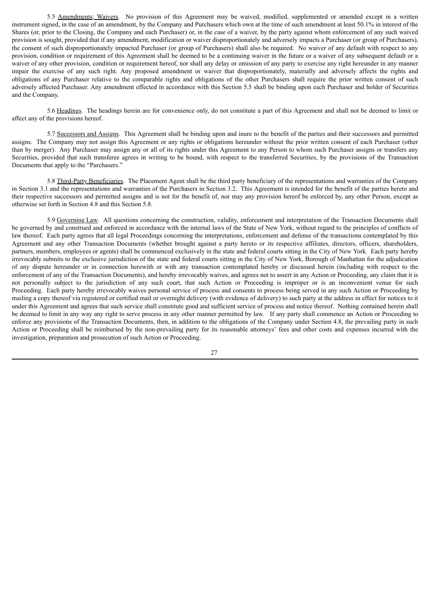5.5 Amendments; Waivers. No provision of this Agreement may be waived, modified, supplemented or amended except in a written instrument signed, in the case of an amendment, by the Company and Purchasers which own at the time of such amendment at least 50.1% in interest of the Shares (or, prior to the Closing, the Company and each Purchaser) or, in the case of a waiver, by the party against whom enforcement of any such waived provision is sought, provided that if any amendment, modification or waiver disproportionately and adversely impacts a Purchaser (or group of Purchasers), the consent of such disproportionately impacted Purchaser (or group of Purchasers) shall also be required. No waiver of any default with respect to any provision, condition or requirement of this Agreement shall be deemed to be a continuing waiver in the future or a waiver of any subsequent default or a waiver of any other provision, condition or requirement hereof, nor shall any delay or omission of any party to exercise any right hereunder in any manner impair the exercise of any such right. Any proposed amendment or waiver that disproportionately, materially and adversely affects the rights and obligations of any Purchaser relative to the comparable rights and obligations of the other Purchasers shall require the prior written consent of such adversely affected Purchaser. Any amendment effected in accordance with this Section 5.5 shall be binding upon each Purchaser and holder of Securities and the Company.

5.6 Headings. The headings herein are for convenience only, do not constitute a part of this Agreement and shall not be deemed to limit or affect any of the provisions hereof.

5.7 Successors and Assigns. This Agreement shall be binding upon and inure to the benefit of the parties and their successors and permitted assigns. The Company may not assign this Agreement or any rights or obligations hereunder without the prior written consent of each Purchaser (other than by merger). Any Purchaser may assign any or all of its rights under this Agreement to any Person to whom such Purchaser assigns or transfers any Securities, provided that such transferee agrees in writing to be bound, with respect to the transferred Securities, by the provisions of the Transaction Documents that apply to the "Purchasers."

5.8 Third-Party Beneficiaries. The Placement Agent shall be the third party beneficiary of the representations and warranties of the Company in Section 3.1 and the representations and warranties of the Purchasers in Section 3.2. This Agreement is intended for the benefit of the parties hereto and their respective successors and permitted assigns and is not for the benefit of, nor may any provision hereof be enforced by, any other Person, except as otherwise set forth in Section 4.8 and this Section 5.8.

5.9 Governing Law. All questions concerning the construction, validity, enforcement and interpretation of the Transaction Documents shall be governed by and construed and enforced in accordance with the internal laws of the State of New York, without regard to the principles of conflicts of law thereof. Each party agrees that all legal Proceedings concerning the interpretations, enforcement and defense of the transactions contemplated by this Agreement and any other Transaction Documents (whether brought against a party hereto or its respective affiliates, directors, officers, shareholders, partners, members, employees or agents) shall be commenced exclusively in the state and federal courts sitting in the City of New York. Each party hereby irrevocably submits to the exclusive jurisdiction of the state and federal courts sitting in the City of New York, Borough of Manhattan for the adjudication of any dispute hereunder or in connection herewith or with any transaction contemplated hereby or discussed herein (including with respect to the enforcement of any of the Transaction Documents), and hereby irrevocably waives, and agrees not to assert in any Action or Proceeding, any claim that it is not personally subject to the jurisdiction of any such court, that such Action or Proceeding is improper or is an inconvenient venue for such Proceeding. Each party hereby irrevocably waives personal service of process and consents to process being served in any such Action or Proceeding by mailing a copy thereof via registered or certified mail or overnight delivery (with evidence of delivery) to such party at the address in effect for notices to it under this Agreement and agrees that such service shall constitute good and sufficient service of process and notice thereof. Nothing contained herein shall be deemed to limit in any way any right to serve process in any other manner permitted by law. If any party shall commence an Action or Proceeding to enforce any provisions of the Transaction Documents, then, in addition to the obligations of the Company under Section 4.8, the prevailing party in such Action or Proceeding shall be reimbursed by the non-prevailing party for its reasonable attorneys' fees and other costs and expenses incurred with the investigation, preparation and prosecution of such Action or Proceeding.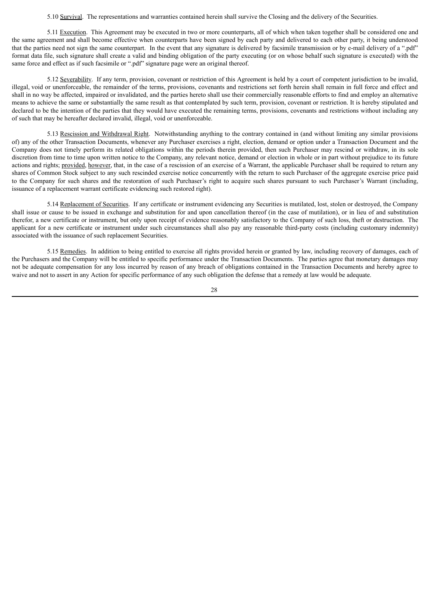5.10 Survival. The representations and warranties contained herein shall survive the Closing and the delivery of the Securities.

5.11 Execution. This Agreement may be executed in two or more counterparts, all of which when taken together shall be considered one and the same agreement and shall become effective when counterparts have been signed by each party and delivered to each other party, it being understood that the parties need not sign the same counterpart. In the event that any signature is delivered by facsimile transmission or by e-mail delivery of a ".pdf" format data file, such signature shall create a valid and binding obligation of the party executing (or on whose behalf such signature is executed) with the same force and effect as if such facsimile or ".pdf" signature page were an original thereof.

5.12 Severability. If any term, provision, covenant or restriction of this Agreement is held by a court of competent jurisdiction to be invalid, illegal, void or unenforceable, the remainder of the terms, provisions, covenants and restrictions set forth herein shall remain in full force and effect and shall in no way be affected, impaired or invalidated, and the parties hereto shall use their commercially reasonable efforts to find and employ an alternative means to achieve the same or substantially the same result as that contemplated by such term, provision, covenant or restriction. It is hereby stipulated and declared to be the intention of the parties that they would have executed the remaining terms, provisions, covenants and restrictions without including any of such that may be hereafter declared invalid, illegal, void or unenforceable.

5.13 Rescission and Withdrawal Right. Notwithstanding anything to the contrary contained in (and without limiting any similar provisions of) any of the other Transaction Documents, whenever any Purchaser exercises a right, election, demand or option under a Transaction Document and the Company does not timely perform its related obligations within the periods therein provided, then such Purchaser may rescind or withdraw, in its sole discretion from time to time upon written notice to the Company, any relevant notice, demand or election in whole or in part without prejudice to its future actions and rights; provided, however, that, in the case of a rescission of an exercise of a Warrant, the applicable Purchaser shall be required to return any shares of Common Stock subject to any such rescinded exercise notice concurrently with the return to such Purchaser of the aggregate exercise price paid to the Company for such shares and the restoration of such Purchaser's right to acquire such shares pursuant to such Purchaser's Warrant (including, issuance of a replacement warrant certificate evidencing such restored right).

5.14 Replacement of Securities. If any certificate or instrument evidencing any Securities is mutilated, lost, stolen or destroyed, the Company shall issue or cause to be issued in exchange and substitution for and upon cancellation thereof (in the case of mutilation), or in lieu of and substitution therefor, a new certificate or instrument, but only upon receipt of evidence reasonably satisfactory to the Company of such loss, theft or destruction. The applicant for a new certificate or instrument under such circumstances shall also pay any reasonable third-party costs (including customary indemnity) associated with the issuance of such replacement Securities.

5.15 Remedies. In addition to being entitled to exercise all rights provided herein or granted by law, including recovery of damages, each of the Purchasers and the Company will be entitled to specific performance under the Transaction Documents. The parties agree that monetary damages may not be adequate compensation for any loss incurred by reason of any breach of obligations contained in the Transaction Documents and hereby agree to waive and not to assert in any Action for specific performance of any such obligation the defense that a remedy at law would be adequate.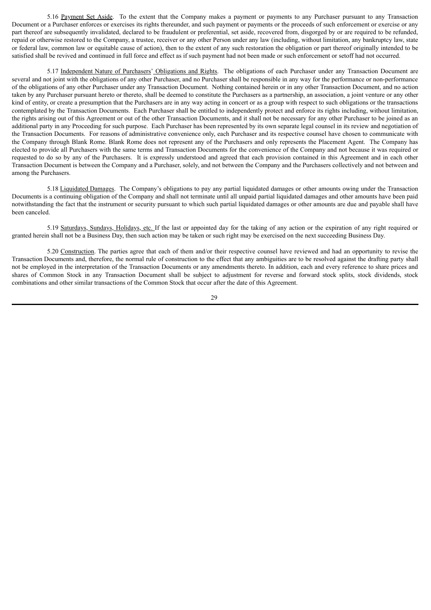5.16 Payment Set Aside. To the extent that the Company makes a payment or payments to any Purchaser pursuant to any Transaction Document or a Purchaser enforces or exercises its rights thereunder, and such payment or payments or the proceeds of such enforcement or exercise or any part thereof are subsequently invalidated, declared to be fraudulent or preferential, set aside, recovered from, disgorged by or are required to be refunded, repaid or otherwise restored to the Company, a trustee, receiver or any other Person under any law (including, without limitation, any bankruptcy law, state or federal law, common law or equitable cause of action), then to the extent of any such restoration the obligation or part thereof originally intended to be satisfied shall be revived and continued in full force and effect as if such payment had not been made or such enforcement or setoff had not occurred.

5.17 Independent Nature of Purchasers' Obligations and Rights. The obligations of each Purchaser under any Transaction Document are several and not joint with the obligations of any other Purchaser, and no Purchaser shall be responsible in any way for the performance or non-performance of the obligations of any other Purchaser under any Transaction Document. Nothing contained herein or in any other Transaction Document, and no action taken by any Purchaser pursuant hereto or thereto, shall be deemed to constitute the Purchasers as a partnership, an association, a joint venture or any other kind of entity, or create a presumption that the Purchasers are in any way acting in concert or as a group with respect to such obligations or the transactions contemplated by the Transaction Documents. Each Purchaser shall be entitled to independently protect and enforce its rights including, without limitation, the rights arising out of this Agreement or out of the other Transaction Documents, and it shall not be necessary for any other Purchaser to be joined as an additional party in any Proceeding for such purpose. Each Purchaser has been represented by its own separate legal counsel in its review and negotiation of the Transaction Documents. For reasons of administrative convenience only, each Purchaser and its respective counsel have chosen to communicate with the Company through Blank Rome. Blank Rome does not represent any of the Purchasers and only represents the Placement Agent. The Company has elected to provide all Purchasers with the same terms and Transaction Documents for the convenience of the Company and not because it was required or requested to do so by any of the Purchasers. It is expressly understood and agreed that each provision contained in this Agreement and in each other Transaction Document is between the Company and a Purchaser, solely, and not between the Company and the Purchasers collectively and not between and among the Purchasers.

5.18 Liquidated Damages. The Company's obligations to pay any partial liquidated damages or other amounts owing under the Transaction Documents is a continuing obligation of the Company and shall not terminate until all unpaid partial liquidated damages and other amounts have been paid notwithstanding the fact that the instrument or security pursuant to which such partial liquidated damages or other amounts are due and payable shall have been canceled.

5.19 Saturdays, Sundays, Holidays, etc. If the last or appointed day for the taking of any action or the expiration of any right required or granted herein shall not be a Business Day, then such action may be taken or such right may be exercised on the next succeeding Business Day.

5.20 Construction. The parties agree that each of them and/or their respective counsel have reviewed and had an opportunity to revise the Transaction Documents and, therefore, the normal rule of construction to the effect that any ambiguities are to be resolved against the drafting party shall not be employed in the interpretation of the Transaction Documents or any amendments thereto. In addition, each and every reference to share prices and shares of Common Stock in any Transaction Document shall be subject to adjustment for reverse and forward stock splits, stock dividends, stock combinations and other similar transactions of the Common Stock that occur after the date of this Agreement.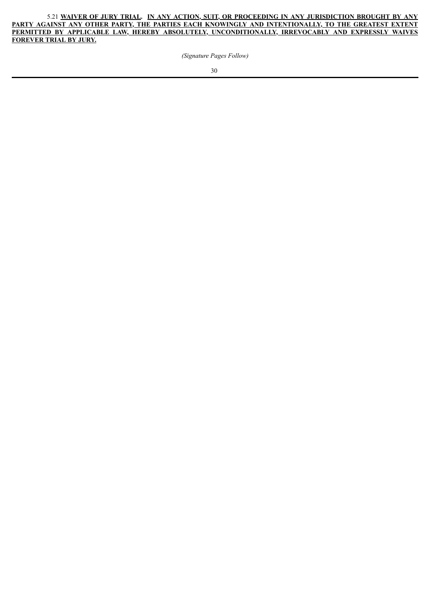#### 5.21 **WAIVER OF JURY TRIAL. IN ANY ACTION, SUIT, OR PROCEEDING IN ANY JURISDICTION BROUGHT BY ANY PARTY AGAINST ANY OTHER PARTY, THE PARTIES EACH KNOWINGLY AND INTENTIONALLY, TO THE GREATEST EXTENT PERMITTED BY APPLICABLE LAW, HEREBY ABSOLUTELY, UNCONDITIONALLY, IRREVOCABLY AND EXPRESSLY WAIVES FOREVER TRIAL BY JURY.**

*(Signature Pages Follow)*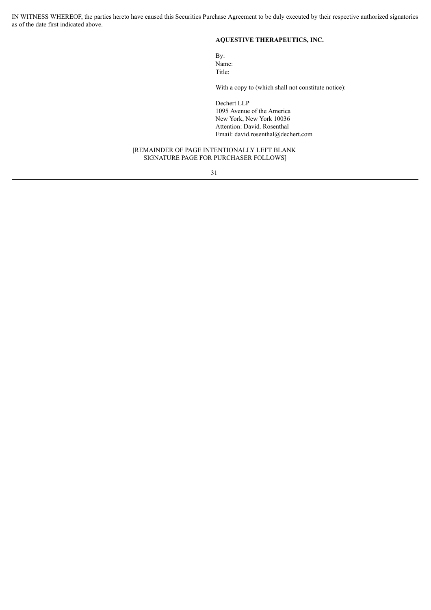IN WITNESS WHEREOF, the parties hereto have caused this Securities Purchase Agreement to be duly executed by their respective authorized signatories as of the date first indicated above.

#### **AQUESTIVE THERAPEUTICS, INC.**

By: Name: Title:

With a copy to (which shall not constitute notice):

Dechert LLP

1095 Avenue of the America New York, New York 10036 Attention: David. Rosenthal Email: david.rosenthal@dechert.com

#### [REMAINDER OF PAGE INTENTIONALLY LEFT BLANK SIGNATURE PAGE FOR PURCHASER FOLLOWS]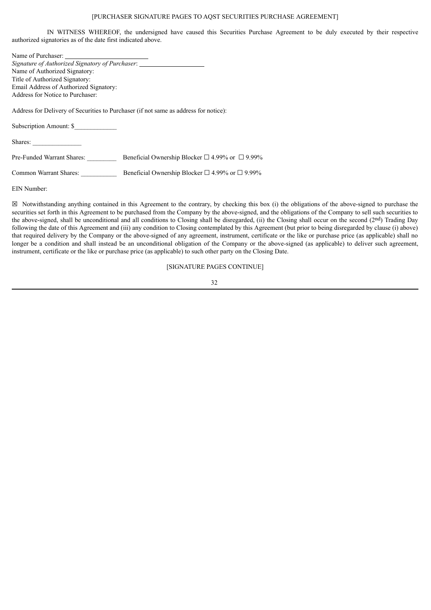### [PURCHASER SIGNATURE PAGES TO AQST SECURITIES PURCHASE AGREEMENT]

IN WITNESS WHEREOF, the undersigned have caused this Securities Purchase Agreement to be duly executed by their respective authorized signatories as of the date first indicated above.

| Name of Purchaser:                                                                                              |                                                           |
|-----------------------------------------------------------------------------------------------------------------|-----------------------------------------------------------|
| Signature of Authorized Signatory of Purchaser:                                                                 |                                                           |
| Name of Authorized Signatory:                                                                                   |                                                           |
| Title of Authorized Signatory:                                                                                  |                                                           |
| Email Address of Authorized Signatory:                                                                          |                                                           |
| <b>Address for Notice to Purchaser:</b>                                                                         |                                                           |
| Address for Delivery of Securities to Purchaser (if not same as address for notice):<br>Subscription Amount: \$ |                                                           |
|                                                                                                                 |                                                           |
| Pre-Funded Warrant Shares:                                                                                      | Beneficial Ownership Blocker $\Box$ 4.99% or $\Box$ 9.99% |
| Common Warrant Shares:                                                                                          | Beneficial Ownership Blocker $\Box$ 4.99% or $\Box$ 9.99% |

EIN Number:

 $\boxtimes$  Notwithstanding anything contained in this Agreement to the contrary, by checking this box (i) the obligations of the above-signed to purchase the securities set forth in this Agreement to be purchased from the Company by the above-signed, and the obligations of the Company to sell such securities to the above-signed, shall be unconditional and all conditions to Closing shall be disregarded, (ii) the Closing shall occur on the second ( $2<sup>nd</sup>$ ) Trading Day following the date of this Agreement and (iii) any condition to Closing contemplated by this Agreement (but prior to being disregarded by clause (i) above) that required delivery by the Company or the above-signed of any agreement, instrument, certificate or the like or purchase price (as applicable) shall no longer be a condition and shall instead be an unconditional obligation of the Company or the above-signed (as applicable) to deliver such agreement, instrument, certificate or the like or purchase price (as applicable) to such other party on the Closing Date.

[SIGNATURE PAGES CONTINUE]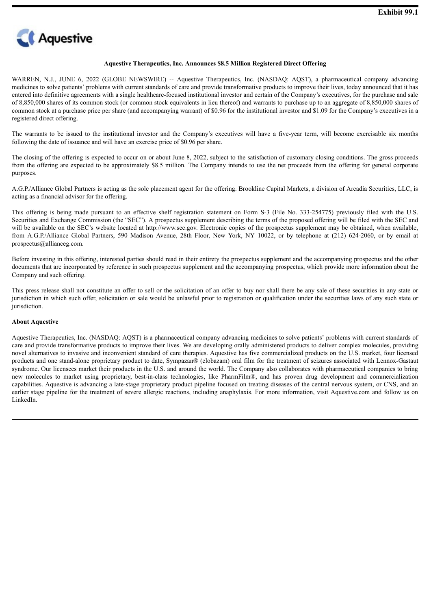

#### **Aquestive Therapeutics, Inc. Announces \$8.5 Million Registered Direct Offering**

WARREN, N.J., JUNE 6, 2022 (GLOBE NEWSWIRE) -- Aquestive Therapeutics, Inc. (NASDAQ: AQST), a pharmaceutical company advancing medicines to solve patients' problems with current standards of care and provide transformative products to improve their lives, today announced that it has entered into definitive agreements with a single healthcare-focused institutional investor and certain of the Company's executives, for the purchase and sale of 8,850,000 shares of its common stock (or common stock equivalents in lieu thereof) and warrants to purchase up to an aggregate of 8,850,000 shares of common stock at a purchase price per share (and accompanying warrant) of \$0.96 for the institutional investor and \$1.09 for the Company's executives in a registered direct offering.

The warrants to be issued to the institutional investor and the Company's executives will have a five-year term, will become exercisable six months following the date of issuance and will have an exercise price of \$0.96 per share.

The closing of the offering is expected to occur on or about June 8, 2022, subject to the satisfaction of customary closing conditions. The gross proceeds from the offering are expected to be approximately \$8.5 million. The Company intends to use the net proceeds from the offering for general corporate purposes.

A.G.P./Alliance Global Partners is acting as the sole placement agent for the offering. Brookline Capital Markets, a division of Arcadia Securities, LLC, is acting as a financial advisor for the offering.

This offering is being made pursuant to an effective shelf registration statement on Form S-3 (File No. 333-254775) previously filed with the U.S. Securities and Exchange Commission (the "SEC"). A prospectus supplement describing the terms of the proposed offering will be filed with the SEC and will be available on the SEC's website located at http://www.sec.gov. Electronic copies of the prospectus supplement may be obtained, when available, from A.G.P./Alliance Global Partners, 590 Madison Avenue, 28th Floor, New York, NY 10022, or by telephone at (212) 624-2060, or by email at prospectus@allianceg.com.

Before investing in this offering, interested parties should read in their entirety the prospectus supplement and the accompanying prospectus and the other documents that are incorporated by reference in such prospectus supplement and the accompanying prospectus, which provide more information about the Company and such offering.

This press release shall not constitute an offer to sell or the solicitation of an offer to buy nor shall there be any sale of these securities in any state or jurisdiction in which such offer, solicitation or sale would be unlawful prior to registration or qualification under the securities laws of any such state or jurisdiction.

#### **About Aquestive**

Aquestive Therapeutics, Inc. (NASDAQ: AQST) is a pharmaceutical company advancing medicines to solve patients' problems with current standards of care and provide transformative products to improve their lives. We are developing orally administered products to deliver complex molecules, providing novel alternatives to invasive and inconvenient standard of care therapies. Aquestive has five commercialized products on the U.S. market, four licensed products and one stand-alone proprietary product to date, Sympazan® (clobazam) oral film for the treatment of seizures associated with Lennox-Gastaut syndrome. Our licensees market their products in the U.S. and around the world. The Company also collaborates with pharmaceutical companies to bring new molecules to market using proprietary, best-in-class technologies, like PharmFilm®, and has proven drug development and commercialization capabilities. Aquestive is advancing a late-stage proprietary product pipeline focused on treating diseases of the central nervous system, or CNS, and an earlier stage pipeline for the treatment of severe allergic reactions, including anaphylaxis. For more information, visit Aquestive.com and follow us on LinkedIn.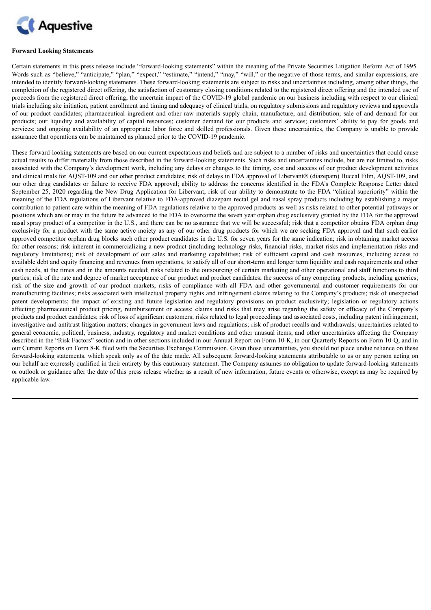

#### **Forward Looking Statements**

Certain statements in this press release include "forward-looking statements" within the meaning of the Private Securities Litigation Reform Act of 1995. Words such as "believe," "anticipate," "plan," "expect," "estimate," "intend," "may," "will," or the negative of those terms, and similar expressions, are intended to identify forward-looking statements. These forward-looking statements are subject to risks and uncertainties including, among other things, the completion of the registered direct offering, the satisfaction of customary closing conditions related to the registered direct offering and the intended use of proceeds from the registered direct offering; the uncertain impact of the COVID-19 global pandemic on our business including with respect to our clinical trials including site initiation, patient enrollment and timing and adequacy of clinical trials; on regulatory submissions and regulatory reviews and approvals of our product candidates; pharmaceutical ingredient and other raw materials supply chain, manufacture, and distribution; sale of and demand for our products; our liquidity and availability of capital resources; customer demand for our products and services; customers' ability to pay for goods and services; and ongoing availability of an appropriate labor force and skilled professionals. Given these uncertainties, the Company is unable to provide assurance that operations can be maintained as planned prior to the COVID-19 pandemic.

These forward-looking statements are based on our current expectations and beliefs and are subject to a number of risks and uncertainties that could cause actual results to differ materially from those described in the forward-looking statements. Such risks and uncertainties include, but are not limited to, risks associated with the Company's development work, including any delays or changes to the timing, cost and success of our product development activities and clinical trials for AQST-109 and our other product candidates; risk of delays in FDA approval of Libervant® (diazepam) Buccal Film, AQST-109, and our other drug candidates or failure to receive FDA approval; ability to address the concerns identified in the FDA's Complete Response Letter dated September 25, 2020 regarding the New Drug Application for Libervant; risk of our ability to demonstrate to the FDA "clinical superiority" within the meaning of the FDA regulations of Libervant relative to FDA-approved diazepam rectal gel and nasal spray products including by establishing a major contribution to patient care within the meaning of FDA regulations relative to the approved products as well as risks related to other potential pathways or positions which are or may in the future be advanced to the FDA to overcome the seven year orphan drug exclusivity granted by the FDA for the approved nasal spray product of a competitor in the U.S., and there can be no assurance that we will be successful; risk that a competitor obtains FDA orphan drug exclusivity for a product with the same active moiety as any of our other drug products for which we are seeking FDA approval and that such earlier approved competitor orphan drug blocks such other product candidates in the U.S. for seven years for the same indication; risk in obtaining market access for other reasons; risk inherent in commercializing a new product (including technology risks, financial risks, market risks and implementation risks and regulatory limitations); risk of development of our sales and marketing capabilities; risk of sufficient capital and cash resources, including access to available debt and equity financing and revenues from operations, to satisfy all of our short-term and longer term liquidity and cash requirements and other cash needs, at the times and in the amounts needed; risks related to the outsourcing of certain marketing and other operational and staff functions to third parties; risk of the rate and degree of market acceptance of our product and product candidates; the success of any competing products, including generics; risk of the size and growth of our product markets; risks of compliance with all FDA and other governmental and customer requirements for our manufacturing facilities; risks associated with intellectual property rights and infringement claims relating to the Company's products; risk of unexpected patent developments; the impact of existing and future legislation and regulatory provisions on product exclusivity; legislation or regulatory actions affecting pharmaceutical product pricing, reimbursement or access; claims and risks that may arise regarding the safety or efficacy of the Company's products and product candidates; risk of loss of significant customers; risks related to legal proceedings and associated costs, including patent infringement, investigative and antitrust litigation matters; changes in government laws and regulations; risk of product recalls and withdrawals; uncertainties related to general economic, political, business, industry, regulatory and market conditions and other unusual items; and other uncertainties affecting the Company described in the "Risk Factors" section and in other sections included in our Annual Report on Form 10-K, in our Quarterly Reports on Form 10-Q, and in our Current Reports on Form 8-K filed with the Securities Exchange Commission. Given those uncertainties, you should not place undue reliance on these forward-looking statements, which speak only as of the date made. All subsequent forward-looking statements attributable to us or any person acting on our behalf are expressly qualified in their entirety by this cautionary statement. The Company assumes no obligation to update forward-looking statements or outlook or guidance after the date of this press release whether as a result of new information, future events or otherwise, except as may be required by applicable law.